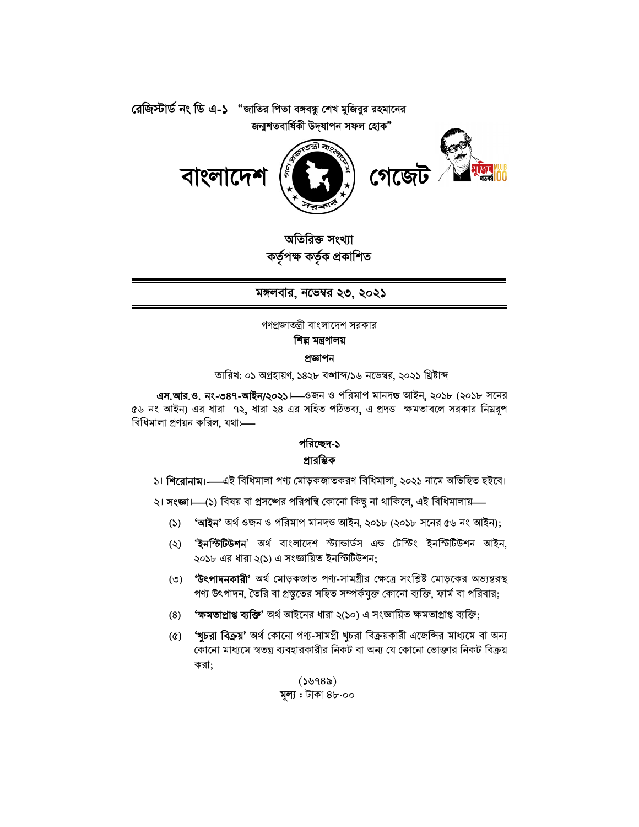



অতিরিক্ত সংখ্যা কৰ্তৃপক্ষ কৰ্তৃক প্ৰকাশিত

মঙ্গলবার, নভেম্বর ২৩, ২০২১

গণপ্রজাতন্ত্রী বাংলাদেশ সরকার

শিল্প মন্ত্রণালয়

## প্ৰজ্ঞাপন

তারিখ: ০১ অগ্রহায়ণ, ১৪২৮ বঙ্গাব্দ/১৬ নভেম্বর, ২০২১ খ্রিষ্টাব্দ

এস.আর.ও. নং-৩৪৭-আইন/২০২১। ওজন ও পরিমাপ মানদন্ড আইন, ২০১৮ (২০১৮ সনের ৫৬ নং আইন) এর ধারা ৭২, ধারা ২৪ এর সহিত পঠিতব্য, এ প্রদত্ত ক্ষমতাবলে সরকার নিম্নরূপ বিধিমালা প্রণয়ন করিল, যথা:----

## পরিচ্ছেদ-১ প্রারম্ভিক

- ১। শিরোনাম।—এই বিধিমালা পণ্য মোড়কজাতকরণ বিধিমালা, ২০২১ নামে অভিহিত হইবে।
- ২। **সংজ্ঞা।—(১**) বিষয় বা প্রসঙ্গের পরিপন্থি কোনো কিছু না থাকিলে, এই বিধিমালায়—
	- 'আইন' অৰ্থ ওজন ও পরিমাপ মানদন্ড আইন, ২০১৮ (২০১৮ সনের ৫৬ নং আইন);  $(5)$
	- '**ইনস্টিটিশন**' অৰ্থ বাংলাদেশ স্ট্যান্ডাৰ্ডস এন্ড টেস্টিং ইনস্টিটিউশন আইন,  $(5)$ ২০১৮ এর ধারা ২(১) এ সংজ্ঞায়িত ইনস্টিটিশন:
	- (৩) 'উৎপাদনকারী' অর্থ মোড়কজাত পণ্য-সামগ্রীর ক্ষেত্রে সংশ্লিষ্ট মোড়কের অভ্যন্তরস্থ পণ্য উৎপাদন, তৈরি বা প্রস্তুতের সহিত সম্পর্কযুক্ত কোনো ব্যক্তি, ফার্ম বা পরিবার;
	- **'ক্ষমতাপ্ৰাপ্ত ব্যক্তি'** অৰ্থ আইনের ধারা ২(১০) এ সংজ্ঞায়িত ক্ষমতাপ্ৰাপ্ত ব্যক্তি;  $(8)$
	- **'খুচরা বিক্রয়'** অর্থ কোনো পণ্য-সামগ্রী খুচরা বিক্রয়কারী এজেন্সির মাধ্যমে বা অন্য  $(\delta)$ কোনো মাধ্যমে স্বতন্ত্র ব্যবহারকারীর নিকট বা অন্য যে কোনো ভোক্তার নিকট বিক্রয় করা: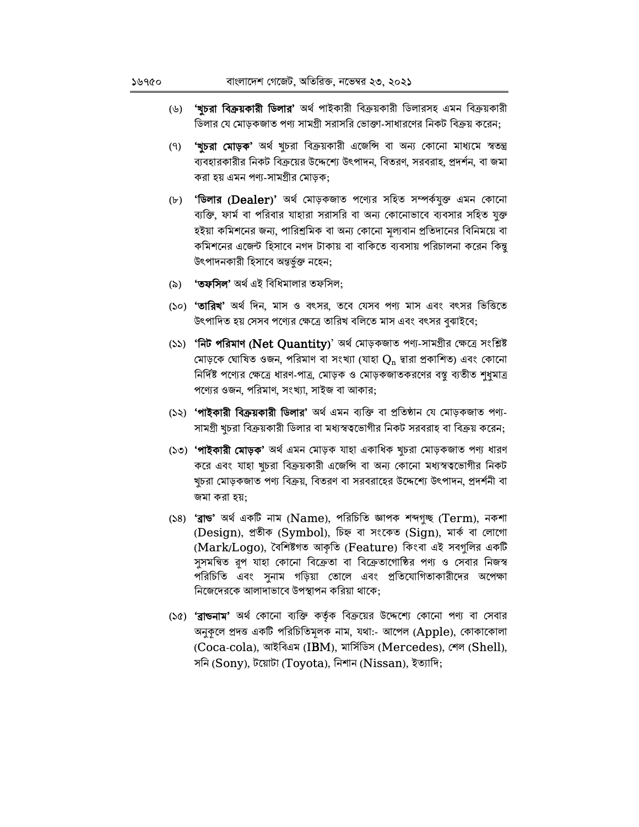- **'খুচরা বিক্রয়কারী ডিলার'** অর্থ পাইকারী বিক্রয়কারী ডিলারসহ এমন বিক্রয়কারী (৬) ডিলার যে মোড়কজাত পণ্য সামগ্রী সরাসরি ভোক্তা-সাধারণের নিকট বিক্রয় করেন;
- **'খচরা মোড়ক'** অর্থ খচরা বিক্রয়কারী এজেন্সি বা অন্য কোনো মাধ্যমে স্বতন্ত্র  $(9)$ ব্যবহারকারীর নিকট বিক্রয়ের উদ্দেশ্যে উৎপাদন, বিতরণ, সরবরাহ, প্রদর্শন, বা জমা করা হয় এমন পণ্য-সামগ্রীর মোড়ক:
- (৮) **'ডিলার (Dealer)'** অর্থ মোড়কজাত পণ্যের সহিত সম্পর্কযুক্ত এমন কোনো ব্যক্তি, ফার্ম বা পরিবার যাহারা সরাসরি বা অন্য কোনোভাবে ব্যবসার সহিত যুক্ত হইয়া কমিশনের জন্য, পারিশ্রমিক বা অন্য কোনো মূল্যবান প্রতিদানের বিনিময়ে বা কমিশনের এজেন্ট হিসাবে নগদ টাকায় বা বাকিতে ব্যবসায় পরিচালনা করেন কিন্তু উৎপাদনকারী হিসাবে অন্তর্ভুক্ত নহেন;
- (৯) **'তফসিল'** অৰ্থ এই বিধিমালার তফসিল:
- (১০) **'তারিখ'** অর্থ দিন, মাস ও বৎসর, তবে যেসব পণ্য মাস এবং বৎসর ভিত্তিতে উৎপাদিত হয় সেসব পণ্যের ক্ষেত্রে তারিখ বলিতে মাস এবং বৎসর বুঝাইবে;
- (১১) 'নিট পরিমাণ (Net Quantity)' অর্থ মোড়কজাত পণ্য-সামগ্রীর ক্ষেত্রে সংশ্লিষ্ট মোড়কে ঘোষিত ওজন, পরিমাণ বা সংখ্যা (যাহা  $\mathrm{Q_{n}}$  দ্বারা প্রকাশিত) এবং কোনো নির্দিষ্ট পণ্যের ক্ষেত্রে ধারণ-পাত্র, মোড়ক ও মোড়কজাতকরণের বস্তু ব্যতীত শুধুমাত্র পণ্যের ওজন, পরিমাণ, সংখ্যা, সাইজ বা আকার;
- (১২) **'পাইকারী বিক্রয়কারী ডিলার'** অর্থ এমন ব্যক্তি বা প্রতিষ্ঠান যে মোড়কজাত পণ্য-সামগ্রী খুচরা বিক্রয়কারী ডিলার বা মধ্যস্বত্বভোগীর নিকট সরবরাহ বা বিক্রয় করেন;
- (১৩) 'পাইকারী মোড়ক' অর্থ এমন মোড়ক যাহা একাধিক খুচরা মোড়কজাত পণ্য ধারণ করে এবং যাহা খুচরা বিক্রয়কারী এজেন্সি বা অন্য কোনো মধ্যস্বত্বভোগীর নিকট খুচরা মোড়কজাত পণ্য বিক্রয়, বিতরণ বা সরবরাহের উদ্দেশ্যে উৎপাদন, প্রদর্শনী বা জমা করা হয়:
- (১৪) 'ব্ৰান্ড' অৰ্থ একটি নাম (Name), পরিচিতি জ্ঞাপক শব্দগৃচ্ছ (Term), নকশা (Design), প্ৰতীক (Symbol), চিহ্ন বা সংকেত (Sign), মাৰ্ক বা লোগো (Mark/Logo), বৈশিষ্টগত আকৃতি (Feature) কিংবা এই সবগুলির একটি সুসমন্বিত রূপ যাহা কোনো বিক্রেতা বা বিক্রেতাগোষ্ঠির পণ্য ও সেবার নিজস্ব পরিচিতি এবং সুনাম গড়িয়া তোলে এবং প্রতিযোগিতাকারীদের অপেক্ষা নিজেদেরকে আলাদাভাবে উপস্থাপন করিয়া থাকে;
- (১৫) '**ব্রাডনাম'** অর্থ কোনো ব্যক্তি কর্তৃক বিক্রয়ের উদ্দেশ্যে কোনো পণ্য বা সেবার অনুকূলে প্রদত্ত একটি পরিচিতিমূলক নাম, যথা:- আপেল (Apple), কোকাকোলা (Coca-cola), আইবিএম (IBM), মার্সিডিস (Mercedes), শেল (Shell), সনি (Sony), টয়োটা (Toyota), নিশান (Nissan), ইত্যাদি;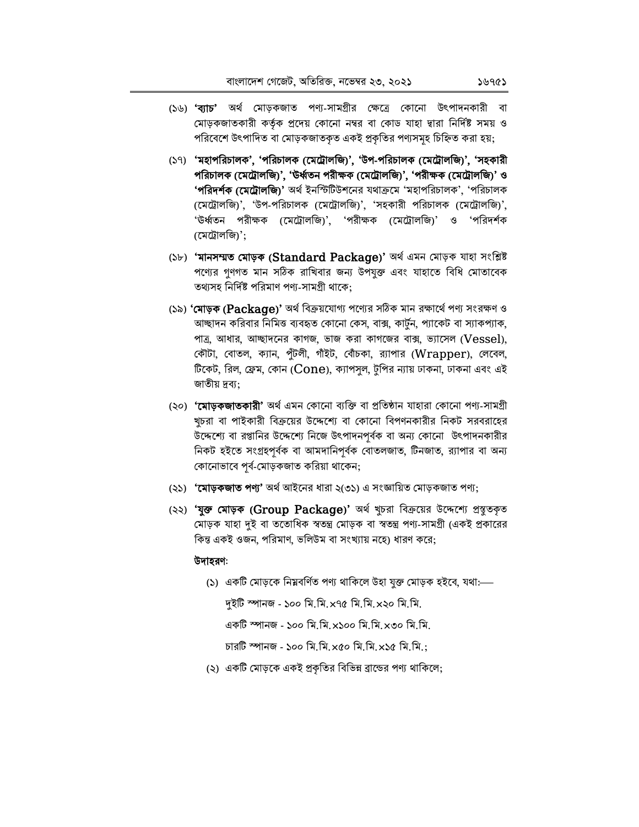- (১৬) **'ব্যাচ'** অর্থ মোড়কজাত পণ্য-সামগ্রীর ক্ষেত্রে কোনো উৎপাদনকারী বা মোড়কজাতকারী কর্তৃক প্রদেয় কোনো নম্বর বা কোড যাহা দ্বারা নির্দিষ্ট সময় ও পরিবেশে উৎপাদিত বা মোড়কজাতকৃত একই প্রকৃতির পণ্যসমূহ চিহ্নিত করা হয়;
- (১৭) 'মহাপরিচালক', 'পরিচালক (মেট্রোলজি)', 'উপ-পরিচালক (মেট্রোলজি)', 'সহকারী পরিচালক (মেট্রোলজি)', 'উর্ধ্বতন পরীক্ষক (মেট্রোলজি)', 'পরীক্ষক (মেট্রোলজি)' ও **'পরিদর্শক (মেট্রোলজি)'** অর্থ ইনস্টিটিশনের যথাক্রমে 'মহাপরিচালক', 'পরিচালক (মেট্রোলজি)', 'উপ-পরিচালক (মেট্রোলজি)', 'সহকারী পরিচালক (মেট্রোলজি)', 'উর্ধ্বতন পরীক্ষক (মেট্রোলজি)', 'পরীক্ষক (মেট্রোলজি)' ও 'পরিদর্শক (মেট্রোলজি)';
- (১৮) 'মানসম্মত মোড়ক (Standard Package)' অৰ্থ এমন মোড়ক যাহা সংশ্লিষ্ট পণ্যের গুণগত মান সঠিক রাখিবার জন্য উপযুক্ত এবং যাহাতে বিধি মোতাবেক তথ্যসহ নির্দিষ্ট পরিমাণ পণ্য-সামগ্রী থাকে;
- (১৯) 'মোড়ক (Package)' অর্থ বিক্রয়যোগ্য পণ্যের সঠিক মান রক্ষার্থে পণ্য সংরক্ষণ ও আচ্ছাদন করিবার নিমিত্ত ব্যবহৃত কোনো কেস, বাক্স, কার্টুন, প্যাকেট বা স্যাকপ্যাক, পাত্র, আধার, আচ্ছাদনের কাগজ, ভাজ করা কাগজের বাক্স, ভ্যাসেল (Vessel), কৌটা, বোতল, ক্যান, পুঁটলী, গাঁইট, বোঁচকা, র্যাপার (Wrapper), লেবেল, টিকেট, রিল, ফ্রেম, কোন ( $\rm{Cone}$ ), ক্যাপসুল, টুপির ন্যায় ঢাকনা, ঢাকনা এবং এই জাতীয় দ্রব্য:
- (২০) **'মোড়কজাতকারী'** অর্থ এমন কোনো ব্যক্তি বা প্রতিষ্ঠান যাহারা কোনো পণ্য-সামগ্রী খুচরা বা পাইকারী বিক্রয়ের উদ্দেশ্যে বা কোনো বিপণনকারীর নিকট সরবরাহের উদ্দেশ্যে বা রপ্তানির উদ্দেশ্যে নিজে উৎপাদনপূর্বক বা অন্য কোনো উৎপাদনকারীর নিকট হইতে সংগ্ৰহপৰ্বক বা আমদানিপৰ্বক বোতলজাত, টিনজাত, র্যাপার বা অন্য কোনোভাবে পূর্ব-মোড়কজাত করিয়া থাকেন;
- (২১) **'মোড়কজাত পণ্য'** অৰ্থ আইনের ধারা ২(৩১) এ সংজ্ঞায়িত মোড়কজাত পণ্য;
- (২২) 'যুক্ত মোড়ক (Group Package)' অর্থ খুচরা বিক্রয়ের উদ্দেশ্যে প্রস্তুতকৃত মোড়ক যাহা দুই বা ততোধিক স্বতন্ত্ৰ মোড়ক বা স্বতন্ত্ৰ পণ্য-সামগ্ৰী (একই প্ৰকারের কিন্ত একই ওজন, পরিমাণ, ভলিউম বা সংখ্যায় নহে) ধারণ করে;

#### উদাহরণ:

(১) একটি মোড়কে নিম্নবৰ্ণিত পণ্য থাকিলে উহা যুক্ত মোড়ক হইবে, যথা:—

দইটি স্পানজ - ১০০ মি.মি.x৭৫ মি.মি.x২০ মি.মি.

একটি স্পানজ - ১০০ মি.মি. x১০০ মি.মি. x৩০ মি.মি.

চারটি স্পানজ - ১০০ মি.মি.x৫০ মি.মি.x১৫ মি.মি.:

(২) একটি মোড়কে একই প্রকৃতির বিভিন্ন ব্রান্ডের পণ্য থাকিলে: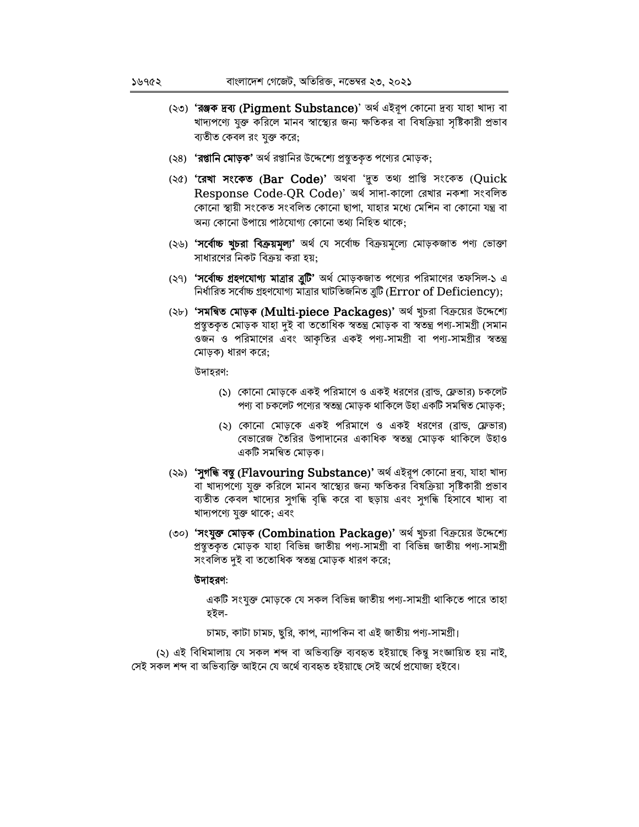- (২৩) 'রঞ্জক দ্রব্য (Pigment Substance)' অর্থ এইরূপ কোনো দ্রব্য যাহা খাদ্য বা খাদ্যপণ্যে যুক্ত করিলে মানব স্বাস্থ্যের জন্য ক্ষতিকর বা বিষক্রিয়া সৃষ্টিকারী প্রভাব ব্যতীত কেবল রং যুক্ত করে;
- (২৪) **'রপ্তানি মোড়ক'** অর্থ রপ্তানির উদ্দেশ্যে প্রস্তুতকৃত পণ্যের মোড়ক;
- (২৫) 'ৰেখা সংকেত (Bar Code)' অথবা 'দুত তথ্য প্ৰাপ্তি সংকেত (Quick Response Code-QR Code)' অৰ্থ সাদা-কালো রেখার নকশা সংবলিত কোনো স্থায়ী সংকেত সংবলিত কোনো ছাপা, যাহার মধ্যে মেশিন বা কোনো যন্ত্র বা অন্য কোনো উপায়ে পাঠযোগ্য কোনো তথ্য নিহিত থাকে;
- (২৬) 'সর্বোচ্চ খুচরা বিক্রয়মূল্য' অর্থ যে সর্বোচ্চ বিক্রয়মূল্যে মোড়কজাত পণ্য ভোক্তা সাধারণের নিকট বিক্রয় করা হয়;
- (২৭) **'সর্বোচ্চ গ্রহণযোগ্য মাত্রার ত্রুটি'** অর্থ মোড়কজাত পণ্যের পরিমাণের তফসিল-১ এ নির্ধারিত সর্বোচ্চ গ্রহণযোগ্য মাত্রার ঘাটতিজনিত ত্রুটি (Error of Deficiency);
- (২৮) **'সমন্বিত মোড়ক (Multi-piece Packages)'** অর্থ খুচরা বিক্রয়ের উদ্দেশ্যে প্ৰস্থুতকৃত মোড়ক যাহা দুই বা ততোধিক স্বতন্ত্ৰ মোড়ক বা স্বতন্ত্ৰ পণ্য-সামগ্ৰী (সমান ওজন ও পরিমাণের এবং আকৃতির একই পণ্য-সামগ্রী বা পণ্য-সামগ্রীর স্বতন্ত্র মোড়ক) ধারণ করে:

উদাহরণ:

- (১) কোনো মোড়কে একই পরিমাণে ও একই ধরণের (ব্রান্ড, ফ্লেভার) চকলেট পণ্য বা চকলেট পণ্যের স্বতন্ত্র মোড়ক থাকিলে উহা একটি সমন্বিত মোড়ক;
- (২) কোনো মোড়কে একই পরিমাণে ও একই ধরণের (ব্রান্ড, ফ্লেভার) বেভারেজ তৈরির উপাদানের একাধিক স্বতন্ত্র মোড়ক থাকিলে উহাও একটি সমন্বিত মোড়ক।
- (২৯) **'সুগন্ধি বস্তু (Flavouring Substance)'** অৰ্থ এইরূপ কোনো দ্ৰব্য, যাহা খাদ্য বা খাদ্যপণ্যে যুক্ত করিলে মানব স্বাস্থ্যের জন্য ক্ষতিকর বিষক্রিয়া সৃষ্টিকারী প্রভাব ব্যতীত কেবল খাদ্যের সুগন্ধি বৃদ্ধি করে বা ছড়ায় এবং সুগন্ধি হিসাবে খাদ্য বা খাদ্যপণ্যে যুক্ত থাকে; এবং
- (৩০) 'সংযুক্ত মোড়ক (Combination Package)' অর্থ খুচরা বিক্রয়ের উদ্দেশ্যে প্রস্তুতকৃত মোড়ক যাহা বিভিন্ন জাতীয় পণ্য-সামগ্রী বা বিভিন্ন জাতীয় পণ্য-সামগ্রী সংবলিত দুই বা ততোধিক স্বতন্ত্র মোড়ক ধারণ করে;

#### উদাহরণ:

একটি সংযুক্ত মোড়কে যে সকল বিভিন্ন জাতীয় পণ্য-সামগ্ৰী থাকিতে পারে তাহা হইল-

চামচ, কাটা চামচ, ছুরি, কাপ, ন্যাপকিন বা এই জাতীয় পণ্য-সামগ্রী।

(২) এই বিধিমালায় যে সকল শব্দ বা অভিব্যক্তি ব্যবহৃত হইয়াছে কিন্তু সংজ্ঞায়িত হয় নাই, সেই সকল শব্দ বা অভিব্যক্তি আইনে যে অৰ্থে ব্যবহৃত হইয়াছে সেই অৰ্থে প্ৰযোজ্য হইবে।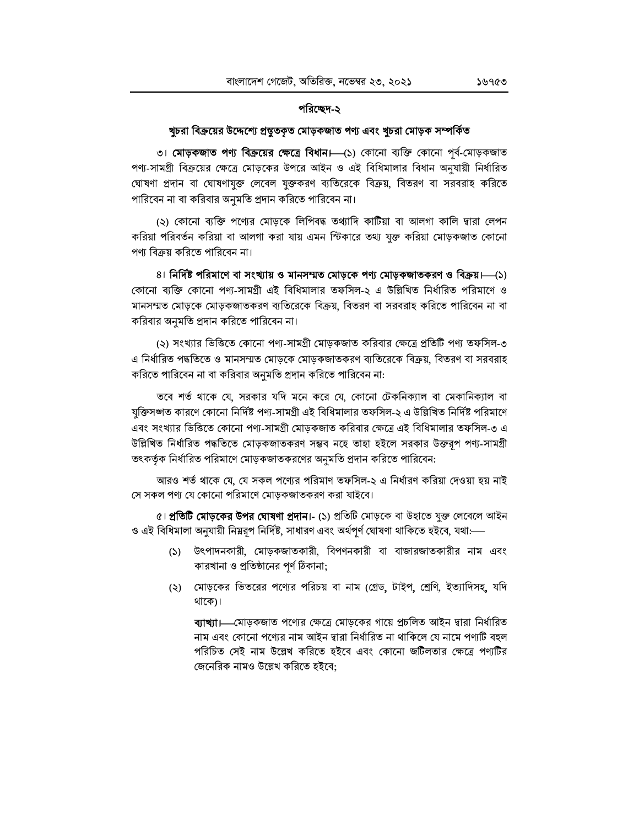## পরিচ্ছেদ-২

## খুচরা বিক্রয়ের উদ্দেশ্যে প্রস্তুতকৃত মোড়কজাত পণ্য এবং খুচরা মোড়ক সম্পর্কিত

৩। **মোড়কজাত পণ্য বিক্রয়ের ক্ষেত্রে বিধান।** (১) কোনো ব্যক্তি কোনো পূর্ব-মোড়কজাত পণ্য-সামগ্রী বিক্রয়ের ক্ষেত্রে মোড়কের উপরে আইন ও এই বিধিমালার বিধান অনুযায়ী নির্ধারিত ঘোষণা প্রদান বা ঘোষণাযুক্ত লেবেল যুক্তকরণ ব্যতিরেকে বিক্রয়, বিতরণ বা সরবরাহ করিতে পারিবেন না বা করিবার অনুমতি প্রদান করিতে পারিবেন না।

(২) কোনো ব্যক্তি পণ্যের মোড়কে লিপিবদ্ধ তথ্যাদি কাটিয়া বা আলগা কালি দ্বারা লেপন করিয়া পরিবর্তন করিয়া বা আলগা করা যায় এমন স্টিকারে তথ্য যুক্ত করিয়া মোড়কজাত কোনো পণ্য বিক্রয় করিতে পারিবেন না।

৪। নির্দিষ্ট পরিমাণে বা সংখ্যায় ও মানসম্মত মোড়কে পণ্য মোড়কজাতকরণ ও বিক্রয়।—(১) কোনো ব্যক্তি কোনো পণ্য-সামগ্রী এই বিধিমালার তফসিল-২ এ উল্লিখিত নির্ধারিত পরিমাণে ও মানসম্মত মোড়কে মোড়কজাতকরণ ব্যতিরেকে বিক্রয়, বিতরণ বা সরবরাহ করিতে পারিবেন না বা করিবার অনুমতি প্রদান করিতে পারিবেন না।

(২) সংখ্যার ভিত্তিতে কোনো পণ্য-সামগ্রী মোড়কজাত করিবার ক্ষেত্রে প্রতিটি পণ্য তফসিল-৩ এ নির্ধারিত পদ্ধতিতে ও মানসম্মত মোড়কে মোড়কজাতকরণ ব্যতিরেকে বিক্রয়, বিতরণ বা সরবরাহ করিতে পারিবেন না বা করিবার অনুমতি প্রদান করিতে পারিবেন না:

তবে শর্ত থাকে যে, সরকার যদি মনে করে যে, কোনো টেকনিক্যাল বা মেকানিক্যাল বা যুক্তিসঙ্গত কারণে কোনো নির্দিষ্ট পণ্য-সামগ্রী এই বিধিমালার তফসিল-২ এ উল্লিখিত নির্দিষ্ট পরিমাণে এবং সংখ্যার ভিত্তিতে কোনো পণ্য-সামগ্রী মোড়কজাত করিবার ক্ষেত্রে এই বিধিমালার তফসিল-৩ এ উল্লিখিত নির্ধারিত পদ্ধতিতে মোড়কজাতকরণ সম্ভব নহে তাহা হইলে সরকার উক্তরূপ পণ্য-সামগ্রী তৎকর্তৃক নির্ধারিত পরিমাণে মোড়কজাতকরণের অনুমতি প্রদান করিতে পারিবেন:

আরও শর্ত থাকে যে, যে সকল পণ্যের পরিমাণ তফসিল-২ এ নির্ধারণ করিয়া দেওয়া হয় নাই সে সকল পণ্য যে কোনো পরিমাণে মোড়কজাতকরণ করা যাইবে।

৫। **প্রতিটি মোড়কের উপর ঘোষণা প্রদান।-** (১) প্রতিটি মোড়কে বা উহাতে যুক্ত লেবেলে আইন ও এই বিধিমালা অনুযায়ী নিম্নরূপ নির্দিষ্ট, সাধারণ এবং অর্থপূর্ণ ঘোষণা থাকিতে হইবে, যথা:—

- (১) উৎপাদনকারী, মোড়কজাতকারী, বিপণনকারী বা বাজারজাতকারীর নাম এবং কারখানা ও প্রতিষ্ঠানের পর্ণ ঠিকানা;
- (২) মোড়কের ভিতরের পণ্যের পরিচয় বা নাম (গ্রেড, টাইপ, শ্রেণি, ইত্যাদিসহ, যদি থাকে)।

ব্যাখ্যা।—মোড়কজাত পণ্যের ক্ষেত্রে মোড়কের গায়ে প্রচলিত আইন দ্বারা নির্ধারিত নাম এবং কোনো পণ্যের নাম আইন দ্বারা নির্ধারিত না থাকিলে যে নামে পণ্যটি বহুল পরিচিত সেই নাম উল্লেখ করিতে হইবে এবং কোনো জটিলতার ক্ষেত্রে পণ্যটির জেনেরিক নামও উল্লেখ করিতে হইবে: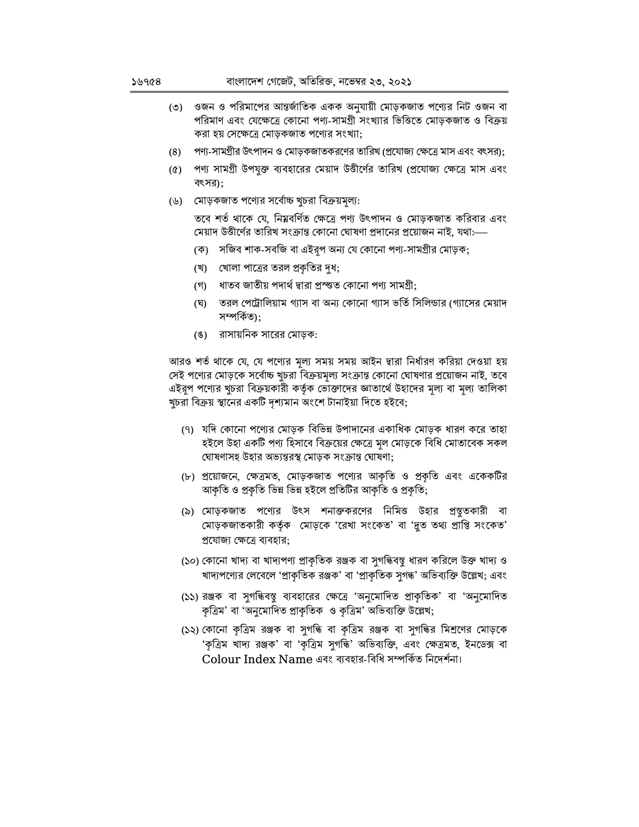- ওজন ও পরিমাপের আন্তর্জাতিক একক অনুযায়ী মোড়কজাত পণ্যের নিট ওজন বা  $(\circ)$ পরিমাণ এবং যেক্ষেত্রে কোনো পণ্য-সামগ্রী সংখ্যার ভিত্তিতে মোড়কজাত ও বিক্রয় করা হয় সেক্ষেত্রে মোড়কজাত পণ্যের সংখ্যা;
- $(8)$ পণ্য-সামগ্রীর উৎপাদন ও মোড়কজাতকরণের তারিখ (প্রযোজ্য ক্ষেত্রে মাস এবং বৎসর);
- (৫) পণ্য সামগ্রী উপযুক্ত ব্যবহারের মেয়াদ উত্তীর্ণের তারিখ (প্রযোজ্য ক্ষেত্রে মাস এবং বৎসর);
- (৬) মোড়কজাত পণ্যের সর্বোচ্চ খুচরা বিক্রয়মূল্য:

তবে শর্ত থাকে যে, নিম্নবর্ণিত ক্ষেত্রে পণ্য উৎপাদন ও মোড়কজাত করিবার এবং মেয়াদ উত্তীর্ণের তারিখ সংক্রান্ত কোনো ঘোষণা প্রদানের প্রয়োজন নাই, যথা:—

- (ক) সজিব শাক-সবজি বা এইরূপ অন্য যে কোনো পণ্য-সামগ্রীর মোড়ক;
- (খ) খোলা পাত্রের তরল প্রকৃতির দুধ;
- (গ) ধাতব জাতীয় পদার্থ দ্বারা প্রস্ত্তত কোনো পণ্য সামগ্রী;
- (ঘ) তরল পেট্রোলিয়াম গ্যাস বা অন্য কোনো গ্যাস ভর্তি সিলিন্ডার (গ্যাসের মেয়াদ সম্পৰ্কিত);
- (ঙ) রাসায়নিক সারের মোড়ক:

আরও শর্ত থাকে যে, যে পণ্যের মূল্য সময় সময় আইন দ্বারা নির্ধারণ করিয়া দেওয়া হয় সেই পণ্যের মোড়কে সর্বোচ্চ খুচরা বিক্রয়মূল্য সংক্রান্ত কোনো ঘোষণার প্রয়োজন নাই, তবে এইরূপ পগ্যের খুচরা বিক্রয়কারী কর্তৃক ভোক্তাদের জ্ঞাতার্থে উহাদের মূল্য বা মূল্য তালিকা খুচরা বিক্রয় স্থানের একটি দৃশ্যমান অংশে টানাইয়া দিতে হইবে;

- (৭) যদি কোনো পণ্যের মোড়ক বিভিন্ন উপাদানের একাধিক মোড়ক ধারণ করে তাহা হইলে উহা একটি পণ্য হিসাবে বিক্রয়ের ক্ষেত্রে মূল মোড়কে বিধি মোতাবেক সকল ঘোষণাসহ উহার অভ্যন্তরস্থ মোড়ক সংক্রান্ত ঘোষণা;
- (৮) প্রয়োজনে, ক্ষেত্রমত, মোড়কজাত পণ্যের আকৃতি ও প্রকৃতি এবং একেকটির আকৃতি ও প্রকৃতি ভিন্ন ভিন্ন হইলে প্রতিটির আকৃতি ও প্রকৃতি;
- (৯) মোড়কজাত পণ্যের উৎস শনাক্তকরণের নিমিত্ত উহার প্রস্তুতকারী বা মোড়কজাতকারী কর্তৃক মোড়কে 'রেখা সংকেত' বা 'দুত তথ্য প্রাপ্তি সংকেত' প্রযোজ্য ক্ষেত্রে ব্যবহার;
- (১০) কোনো খাদ্য বা খাদ্যপণ্য প্রাকৃতিক রঞ্জক বা সুগন্ধিবন্তু ধারণ করিলে উক্ত খাদ্য ও খাদ্যপণ্যের লেবেলে 'প্রাকৃতিক রঞ্জক' বা 'প্রাকৃতিক সুগন্ধ' অভিব্যক্তি উল্লেখ; এবং
- (১১) রঞ্জক বা সুগন্ধিবস্তু ব্যবহারের ক্ষেত্রে 'অনুমোদিত প্রাকৃতিক' বা 'অনুমোদিত কৃত্ৰিম' বা 'অনুমোদিত প্ৰাকৃতিক ও কৃত্ৰিম' অভিব্যক্তি উল্লেখ;
- (১২) কোনো কৃত্রিম রঞ্জক বা সুগন্ধি বা কৃত্রিম রঞ্জক বা সুগন্ধির মিশ্রণের মোড়কে 'কৃত্রিম খাদ্য রঞ্জক' বা 'কৃত্রিম সুগন্ধি' অভিব্যক্তি, এবং ক্ষেত্রমত, ইনডেক্স বা Colour Index Name এবং ব্যবহার-বিধি সম্পর্কিত নিদের্শনা।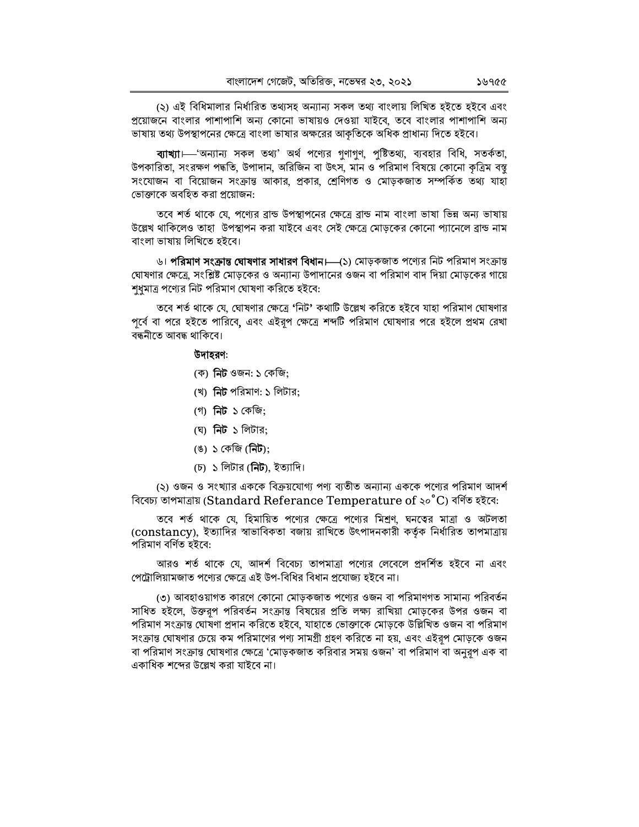(২) এই বিধিমালার নির্ধারিত তথ্যসহ অন্যান্য সকল তথ্য বাংলায় লিখিত হইতে হইবে এবং প্রয়োজনে বাংলার পাশাপাশি অন্য কোনো ভাষায়ও দেওয়া যাইবে, তবে বাংলার পাশাপাশি অন্য ভাষায় তথ্য উপস্থাপনের ক্ষেত্রে বাংলা ভাষার অক্ষরের আকৃতিকে অধিক প্রাধান্য দিতে হইবে।

**ব্যাখ্যা**।— 'অন্যান্য সকল তথ্য' অৰ্থ পণ্যের গুণাগুণ, পুষ্টিতথ্য, ব্যবহার বিধি, সতর্কতা, উপকারিতা, সংরক্ষণ পদ্ধতি, উপাদান, অরিজিন বা উৎস, মান ও পরিমাণ বিষয়ে কোনো কৃত্রিম বস্তু সংযোজন বা বিয়োজন সংক্রান্ত আকার, প্রকার, শ্রেণিগত ও মোড়কজাত সম্পর্কিত তথ্য যাহা ভোক্তাকে অবহিত করা প্রয়োজন:

তবে শর্ত থাকে যে, পণ্যের ব্রান্ড উপস্থাপনের ক্ষেত্রে ব্রান্ড নাম বাংলা ভাষা ভিন্ন অন্য ভাষায় উল্লেখ থাকিলেও তাহা উপস্থাপন করা যাইবে এবং সেই ক্ষেত্রে মোড়কের কোনো প্যানেলে ব্রান্ড নাম বাংলা ভাষায় লিখিতে হইবে।

৬। **পরিমাণ সংক্রান্ত ঘোষণার সাধারণ বিধান।—(**১) মোড়কজাত পণ্যের নিট পরিমাণ সংক্রান্ত ঘোষণার ক্ষেত্রে, সংশ্লিষ্ট মোড়কের ও অন্যান্য উপাদানের ওজন বা পরিমাণ বাদ দিয়া মোড়কের গায়ে শুধুমাত্র পণ্যের নিট পরিমাণ ঘোষণা করিতে হইবে:

তবে শর্ত থাকে যে, ঘোষণার ক্ষেত্রে 'নিট' কথাটি উল্লেখ করিতে হইবে যাহা পরিমাণ ঘোষণার পূর্বে বা পরে হইতে পারিবে, এবং এইরূপ ক্ষেত্রে শব্দটি পরিমাণ ঘোষণার পরে হইলে প্রথম রেখা বন্ধনীতে আবদ্ধ থাকিবে।

## উদাহরণ:

- (ক) **নিট** ওজন: ১ কেজি;
- (খ) নিট পরিমাণ: ১ লিটার:
- (গ) নিট ১ কেজি;
- (ঘ) নিট ১ লিটার:
- (ঙ) ১ কেজি (**নিট**);
- (চ) ১ লিটার (নিট), ইত্যাদি।

(২) ওজন ও সংখ্যার এককে বিক্রয়যোগ্য পণ্য ব্যতীত অন্যান্য এককে পণ্যের পরিমাণ আদর্শ বিবেচ্য তাপমাত্ৰায় (Standard Referance Temperature of ২০°C) বৰ্ণিত হইবে:

তবে শর্ত থাকে যে, হিমায়িত পণ্যের ক্ষেত্রে পণ্যের মিশ্রণ, ঘনত্বের মাত্রা ও অটলতা (constancy), ইত্যাদির স্বাভাবিকতা বজায় রাখিতে উৎপাদনকারী কর্তৃক নির্ধারিত তাপমাত্রায় পরিমাণ বর্ণিত হইবে:

আরও শর্ত থাকে যে, আদর্শ বিবেচ্য তাপমাত্রা পণ্যের লেবেলে প্রদর্শিত হইবে না এবং পেট্রোলিয়ামজাত পণ্যের ক্ষেত্রে এই উপ-বিধির বিধান প্রযোজ্য হইবে না।

(৩) আবহাওয়াগত কারণে কোনো মোড়কজাত পণ্যের ওজন বা পরিমাণগত সামান্য পরিবর্তন সাধিত হইলে, উক্তরপ পরিবর্তন সংক্রান্ত বিষয়ের প্রতি লক্ষ্য রাখিয়া মোড়কের উপর ওজন বা পরিমাণ সংক্রান্ত ঘোষণা প্রদান করিতে হইবে, যাহাতে ভোক্তাকে মোড়কে উল্লিখিত ওজন বা পরিমাণ সংক্রান্ত ঘোষণার চেয়ে কম পরিমাণের পণ্য সামগ্রী গ্রহণ করিতে না হয়, এবং এইরপ মোড়কে ওজন বা পরিমাণ সংক্রান্ত ঘোষণার ক্ষেত্রে 'মোড়কজাত করিবার সময় ওজন' বা পরিমাণ বা অনুরূপ এক বা একাধিক শব্দের উল্লেখ করা যাইবে না।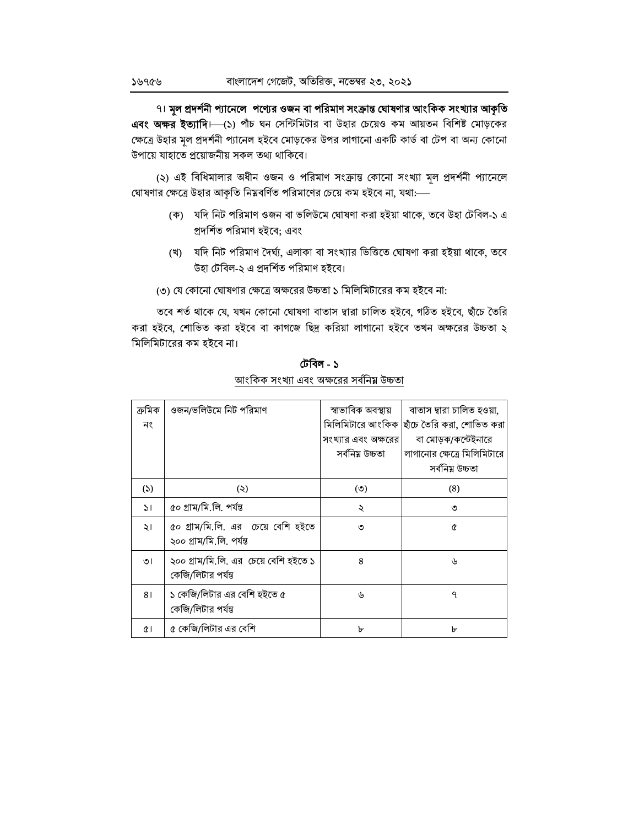৭। মূল প্রদর্শনী প্যানেলে পণ্যের ওজন বা পরিমাণ সংক্রান্ত ঘোষণার আংকিক সংখ্যার আকৃতি এবং অক্ষর ইত্যাদি। (১) পাঁচ ঘন সেন্টিমিটার বা উহার চেয়েও কম আয়তন বিশিষ্ট মোড়কের ক্ষেত্রে উহার মূল প্রদর্শনী প্যানেল হইবে মোড়কের উপর লাগানো একটি কার্ড বা টেপ বা অন্য কোনো উপায়ে যাহাতে প্রয়োজনীয় সকল তথ্য থাকিবে।

(২) এই বিধিমালার অধীন ওজন ও পরিমাণ সংক্রান্ত কোনো সংখ্যা মূল প্রদর্শনী প্যানেলে ঘোষণার ক্ষেত্রে উহার আকৃতি নিম্নবর্ণিত পরিমাণের চেয়ে কম হইবে না, যথা:--

- (ক) যদি নিট পরিমাণ ওজন বা ভলিউমে ঘোষণা করা হইয়া থাকে, তবে উহা টেবিল-১ এ প্রদর্শিত পরিমাণ হইবে: এবং
- (খ) যদি নিট পরিমাণ দৈর্ঘ্য, এলাকা বা সংখ্যার ভিত্তিতে ঘোষণা করা হইয়া থাকে, তবে উহা টেবিল-২ এ প্রদর্শিত পরিমাণ হইবে।
- (৩) যে কোনো ঘোষণার ক্ষেত্রে অক্ষরের উচ্চতা ১ মিলিমিটারের কম হইবে না:

তবে শর্ত থাকে যে, যখন কোনো ঘোষণা বাতাস দ্বারা চালিত হইবে, গঠিত হইবে, ছাঁচে তৈরি করা হইবে, শোভিত করা হইবে বা কাগজে ছিদ্র করিয়া লাগানো হইবে তখন অক্ষরের উচ্চতা ২ মিলিমিটারের কম হইবে না।

| ক্ৰমিক<br>নং  | ওজন/ভলিউমে নিট পরিমাণ                                          | স্বাভাবিক অবস্থায়<br>মিলিমিটারে আংকিক<br>সংখ্যার এবং অক্ষরের<br>সর্বনিয় উচ্চতা | বাতাস দ্বারা চালিত হওয়া,<br>ছাঁচে তৈরি করা, শোভিত করা<br>বা মোড়ক/কন্টেইনারে<br>লাগানোর ক্ষেত্রে মিলিমিটারে<br>সৰ্বনিয় উচ্চতা |
|---------------|----------------------------------------------------------------|----------------------------------------------------------------------------------|---------------------------------------------------------------------------------------------------------------------------------|
| (5)           | (5)                                                            | $\circ$                                                                          | (8)                                                                                                                             |
| $\mathcal{L}$ | ৫০ গ্ৰাম/মি.লি. পৰ্যন্ত                                        | ২                                                                                | ৩                                                                                                                               |
| ২।            | ৫০ গ্রাম/মি.লি. এর চেয়ে বেশি হইতে<br>২০০ গ্ৰাম/মি.লি. পৰ্যন্ত | ৩                                                                                | Q                                                                                                                               |
| ৩৷            | ২০০ গ্রাম/মি.লি. এর চেয়ে বেশি হইতে ১<br>কেজি/লিটার পর্যন্ত    | 8                                                                                | رل                                                                                                                              |
| 81            | ১ কেজি/লিটার এর বেশি হইতে ৫<br>কেজি/লিটার পর্যন্ত              | ৬                                                                                | $\mathsf{P}$                                                                                                                    |
| ¢۱            | ৫ কেজি/লিটার এর বেশি                                           | ৮                                                                                | ৮                                                                                                                               |

টেবিল - ১ আংকিক সংখ্যা এবং অক্ষরের সর্বনিয় উচ্চতা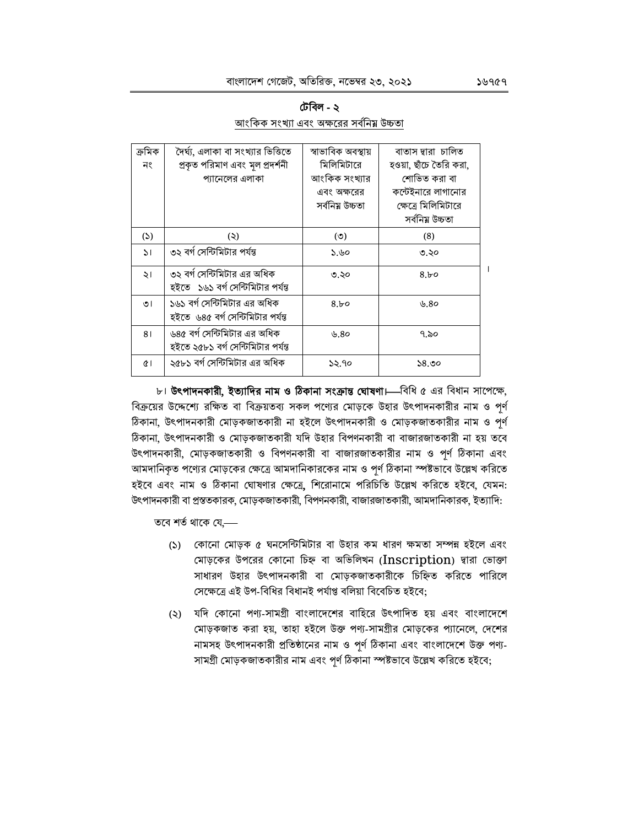|                                        | টেবিল - ২ |  |
|----------------------------------------|-----------|--|
| আংকিক সংখ্যা এবং অক্ষবের সর্বনিম উচ্চত |           |  |

| ক্ৰমিক       | দৈর্ঘ্য, এলাকা বা সংখ্যার ভিত্তিতে                                 | স্বাভাবিক অবস্থায় | বাতাস দ্বারা চালিত     |  |
|--------------|--------------------------------------------------------------------|--------------------|------------------------|--|
| নং           | প্ৰকৃত পরিমাণ এবং মূল প্রদর্শনী                                    | মিলিমিটারে         | হওয়া, ছাঁচে তৈরি করা, |  |
|              | প্যানেলের এলাকা                                                    | আংকিক সংখ্যার      | শোভিত করা বা           |  |
|              |                                                                    | এবং অক্ষরের        | কন্টেইনারে লাগানোর     |  |
|              |                                                                    | সৰ্বনিয় উচ্চতা    | ক্ষেত্রে মিলিমিটারে    |  |
|              |                                                                    |                    | সৰ্বনিয় উচ্চতা        |  |
| (5)          | (5)                                                                | $\circ$            | (8)                    |  |
| $\mathbf{M}$ | ৩২ বর্গ সেন্টিমিটার পর্যন্ত                                        | ১.৬০               | ৩.২০                   |  |
| ২।           | ৩২ বর্গ সেন্টিমিটার এর অধিক<br>হইতে   ১৬১ বর্গ সেন্টিমিটার পর্যন্ত | ৩.২০               | 8.b                    |  |
| ৩।           | ১৬১ বর্গ সেন্টিমিটার এর অধিক<br>হইতে  ৬৪৫ বর্গ সেন্টিমিটার পর্যন্ত | 8.50               | ৬.8০                   |  |
| 81           | ৬৪৫ বর্গ সেন্টিমিটার এর অধিক<br>হইতে ২৫৮১ বর্গ সেন্টিমিটার পর্যন্ত | ৬.8০               | ৭.৯০                   |  |
| Œ١           | ২৫৮১ বর্গ সেন্টিমিটার এর অধিক                                      | ১২.৭০              | ১৪.৩০                  |  |

৮। উৎপাদনকারী, ইত্যাদির নাম ও ঠিকানা সংক্রান্ত ঘোষণা। বিধি ৫ এর বিধান সাপেক্ষে, বিক্রয়ের উদ্দেশ্যে রক্ষিত বা বিক্রয়তব্য সকল পণ্যের মোড়কে উহার উৎপাদনকারীর নাম ও পূর্ণ ঠিকানা, উৎপাদনকারী মোড়কজাতকারী না হইলে উৎপাদনকারী ও মোড়কজাতকারীর নাম ও পূর্ণ ঠিকানা, উৎপাদনকারী ও মোড়কজাতকারী যদি উহার বিপণনকারী বা বাজারজাতকারী না হয় তবে উৎপাদনকারী, মোড়কজাতকারী ও বিপণনকারী বা বাজারজাতকারীর নাম ও পূর্ণ ঠিকানা এবং আমদানিকৃত পণ্যের মোড়কের ক্ষেত্রে আমদানিকারকের নাম ও পূর্ণ ঠিকানা স্পষ্টভাবে উল্লেখ করিতে হইবে এবং নাম ও ঠিকানা ঘোষণার ক্ষেত্রে, শিরোনামে পরিচিতি উল্লেখ করিতে হইবে, যেমন: উৎপাদনকারী বা প্রস্ততকারক, মোড়কজাতকারী, বিপণনকারী, বাজারজাতকারী, আমদানিকারক, ইত্যাদি:

তবে শর্ত থাকে যে,—

- (১) কোনো মোড়ক ৫ ঘনসেন্টিমিটার বা উহার কম ধারণ ক্ষমতা সম্পন্ন হইলে এবং মোড়কের উপরের কোনো চিহ্ন বা অভিলিখন (Inscription) দ্বারা ভোক্তা সাধারণ উহার উৎপাদনকারী বা মোড়কজাতকারীকে চিহ্নিত করিতে পারিলে সেক্ষেত্রে এই উপ-বিধির বিধানই পর্যাপ্ত বলিয়া বিবেচিত হইবে;
- (২) যদি কোনো পণ্য-সামগ্রী বাংলাদেশের বাহিরে উৎপাদিত হয় এবং বাংলাদেশে মোড়কজাত করা হয়, তাহা হইলে উক্ত পণ্য-সামগ্রীর মোড়কের প্যানেলে, দেশের নামসহ উৎপাদনকারী প্রতিষ্ঠানের নাম ও পূর্ণ ঠিকানা এবং বাংলাদেশে উক্ত পণ্য-সামগ্রী মোড়কজাতকারীর নাম এবং পূর্ণ ঠিকানা স্পষ্টভাবে উল্লেখ করিতে হইবে;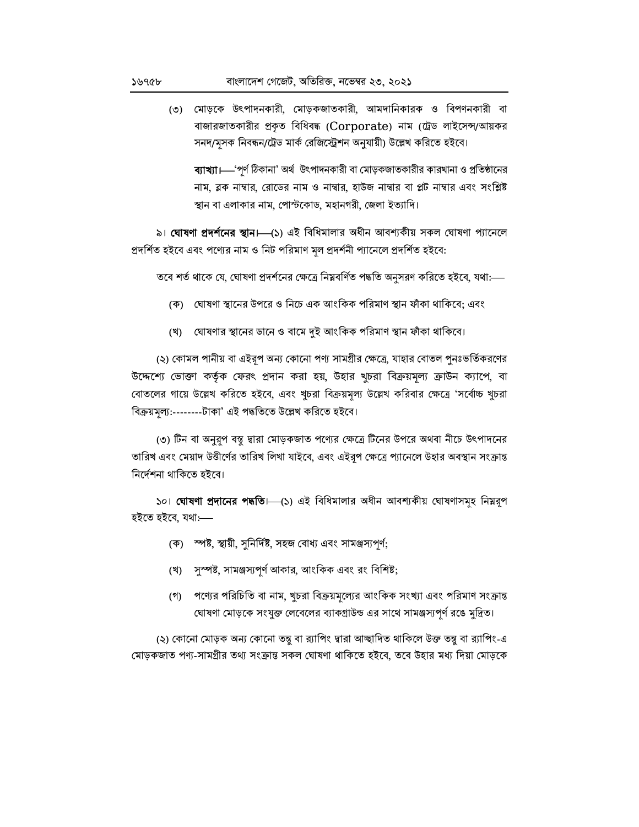৩) মোড়কে উৎপাদনকারী, মোড়কজাতকারী, আমদানিকারক ও বিপণনকারী বা বাজারজাতকারীর প্রকৃত বিধিবদ্ধ (Corporate) নাম (ট্রেড লাইসেন্স/আয়কর সনদ/মূসক নিবন্ধন/ট্রেড মার্ক রেজিস্ট্রেশন অনুযায়ী) উল্লেখ করিতে হইবে।

ব্যাখ্যা।—'পূর্ণ ঠিকানা' অর্থ উৎপাদনকারী বা মোড়কজাতকারীর কারখানা ও প্রতিষ্ঠানের নাম, ব্লক নাম্বার, রোডের নাম ও নাম্বার, হাউজ নাম্বার বা প্লট নাম্বার এবং সংশ্লিষ্ট স্থান বা এলাকার নাম, পোস্টকোড, মহানগরী, জেলা ইত্যাদি।

৯। **ঘোষণা প্রদর্শনের স্থান।**—(১) এই বিধিমালার অধীন আবশ্যকীয় সকল ঘোষণা প্যানেলে প্রদর্শিত হইবে এবং পগ্যের নাম ও নিট পরিমাণ মূল প্রদর্শনী প্যানেলে প্রদর্শিত হইবে:

তবে শর্ত থাকে যে, ঘোষণা প্রদর্শনের ক্ষেত্রে নিম্নবর্ণিত পদ্ধতি অনুসরণ করিতে হইবে, যথা:—

- (ক) ঘোষণা স্থানের উপরে ও নিচে এক আংকিক পরিমাণ স্থান ফাঁকা থাকিবে; এবং
- (খ) যোষণার স্থানের ডানে ও বামে দুই আংকিক পরিমাণ স্থান ফাঁকা থাকিবে।

(২) কোমল পানীয় বা এইরূপ অন্য কোনো পণ্য সামগ্রীর ক্ষেত্রে, যাহার বোতল পুনঃভর্তিকরণের উদ্দেশ্যে ভোক্তা কর্তৃক ফেরৎ প্রদান করা হয়, উহার খুচরা বিক্রয়মূল্য ক্রাউন ক্যাপে, বা বোতলের গায়ে উল্লেখ করিতে হইবে, এবং খুচরা বিক্রয়মূল্য উল্লেখ করিবার ক্ষেত্রে 'সর্বোচ্চ খুচরা বিক্রয়মূল্য:--------টাকা' এই পদ্ধতিতে উল্লেখ করিতে হইবে।

(৩) টিন বা অনুরূপ বম্বু দ্বারা মোড়কজাত পণ্যের ক্ষেত্রে টিনের উপরে অথবা নীচে উৎপাদনের তারিখ এবং মেয়াদ উত্তীর্ণের তারিখ লিখা যাইবে, এবং এইরূপ ক্ষেত্রে প্যানেলে উহার অবস্থান সংক্রান্ত নিৰ্দেশনা থাকিতে হইবে।

১০। **ঘোষণা প্রদানের পদ্ধতি।** (১) এই বিধিমালার অধীন আবশ্যকীয় ঘোষণাসমূহ নিম্নরূপ হইতে হইবে, যথা:----

- (ক) স্পষ্ট, স্থায়ী, সুনির্দিষ্ট, সহজ বোধ্য এবং সামঞ্জস্যপূর্ণ;
- সুস্পষ্ট, সামঞ্জস্যপূর্ণ আকার, আংকিক এবং রং বিশিষ্ট; (খ)
- (গ) পণ্যের পরিচিতি বা নাম, খুচরা বিক্রয়মূল্যের আংকিক সংখ্যা এবং পরিমাণ সংক্রান্ত ঘোষণা মোড়কে সংযুক্ত লেবেলের ব্যাকগ্রাউন্ড এর সাথে সামঞ্জস্যপূর্ণ রঙে মুদ্রিত।

(২) কোনো মোড়ক অন্য কোনো তন্তু বা র্যাপিং দ্বারা আচ্ছাদিত থাকিলে উক্ত তন্তু বা র্যাপিং-এ মোড়কজাত পণ্য-সামগ্ৰীর তথ্য সংক্রান্ত সকল ঘোষণা থাকিতে হইবে, তবে উহার মধ্য দিয়া মোড়কে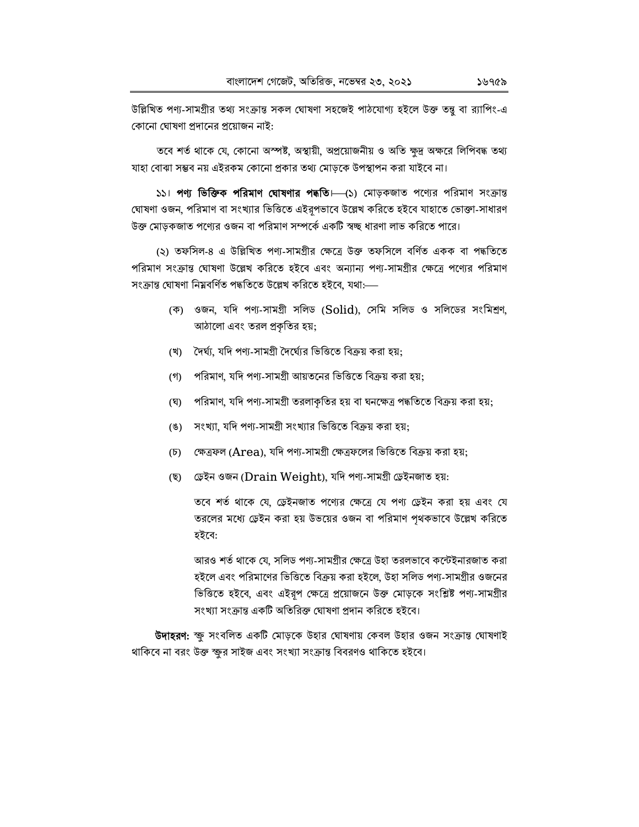উল্লিখিত পণ্য-সামগ্ৰীর তথ্য সংক্রান্ত সকল ঘোষণা সহজেই পাঠযোগ্য হইলে উক্ত তন্তু বা র্যাপিং-এ কোনো ঘোষণা প্রদানের প্রয়োজন নাই:

তবে শর্ত থাকে যে, কোনো অস্পষ্ট, অস্থায়ী, অপ্রয়োজনীয় ও অতি ক্ষদ্র অক্ষরে লিপিবদ্ধ তথ্য যাহা বোঝা সম্ভব নয় এইরকম কোনো প্রকার তথ্য মোড়কে উপস্থাপন করা যাইবে না।

১১। পণ্য ভিক্তিক পরিমাণ ঘোষণার পদ্ধতি। (১) মোড়কজাত পণ্যের পরিমাণ সংক্রান্ত ঘোষণা ওজন, পরিমাণ বা সংখ্যার ভিত্তিতে এইরূপভাবে উল্লেখ করিতে হইবে যাহাতে ভোক্তা-সাধারণ উক্ত মোড়কজাত পণ্যের ওজন বা পরিমাণ সম্পর্কে একটি স্বচ্ছ ধারণা লাভ করিতে পারে।

(২) তফসিল-৪ এ উল্লিখিত পণ্য-সামগ্ৰীর ক্ষেত্রে উক্ত তফসিলে বর্ণিত একক বা পদ্ধতিতে পরিমাণ সংক্রান্ত ঘোষণা উল্লেখ করিতে হইবে এবং অন্যান্য পণ্য-সামগ্রীর ক্ষেত্রে পণ্যের পরিমাণ সংক্ৰান্ত ঘোষণা নিম্নবৰ্ণিত পদ্ধতিতে উল্লেখ করিতে হইবে, যথা:---

- (ক) ওজন, যদি পণ্য-সামগ্ৰী সলিড (Solid), সেমি সলিড ও সলিডের সংমিশ্রণ, আঠালো এবং তরল প্রকৃতির হয়;
- (খ) দৈর্ঘ্য, যদি পণ্য-সামগ্রী দৈর্ঘ্যের ভিত্তিতে বিক্রয় করা হয়;
- পরিমাণ, যদি পণ্য-সামগ্রী আয়তনের ভিত্তিতে বিক্রয় করা হয়:  $($ গী
- পরিমাণ, যদি পণ্য-সামগ্রী তরলাকৃতির হয় বা ঘনক্ষেত্র পদ্ধতিতে বিক্রয় করা হয়; (ঘ)
- সংখ্যা, যদি পণ্য-সামগ্রী সংখ্যার ভিত্তিতে বিক্রয় করা হয়:  $(8)$
- ক্ষেত্রফল (Area), যদি পণ্য-সামগ্রী ক্ষেত্রফলের ভিত্তিতে বিক্রয় করা হয়;  $(\overline{b})$
- ড্ৰেইন ওজন (Drain Weight), যদি পণ্য-সামগ্ৰী ড্ৰেইনজাত হয়: (ছ)

তবে শর্ত থাকে যে, ড্রেইনজাত পণ্যের ক্ষেত্রে যে পণ্য ড্রেইন করা হয় এবং যে তরলের মধ্যে ড্রেইন করা হয় উভয়ের ওজন বা পরিমাণ পৃথকভাবে উল্লেখ করিতে হইবে:

আরও শর্ত থাকে যে, সলিড পণ্য-সামগ্রীর ক্ষেত্রে উহা তরলভাবে কন্টেইনারজাত করা হইলে এবং পরিমাণের ভিত্তিতে বিক্রয় করা হইলে, উহা সলিড পণ্য-সামগ্রীর ওজনের ভিত্তিতে হইবে, এবং এইরূপ ক্ষেত্রে প্রয়োজনে উক্ত মোড়কে সংশ্লিষ্ট পণ্য-সামগ্রীর সংখ্যা সংক্রান্ত একটি অতিরিক্ত ঘোষণা প্রদান করিতে হইবে।

**উদাহরণ:** ক্ষু সংবলিত একটি মোড়কে উহার ঘোষণায় কেবল উহার ওজন সংক্রান্ত ঘোষণাই থাকিবে না বরং উক্ত ক্ষুর সাইজ এবং সংখ্যা সংক্রান্ত বিবরণও থাকিতে হইবে।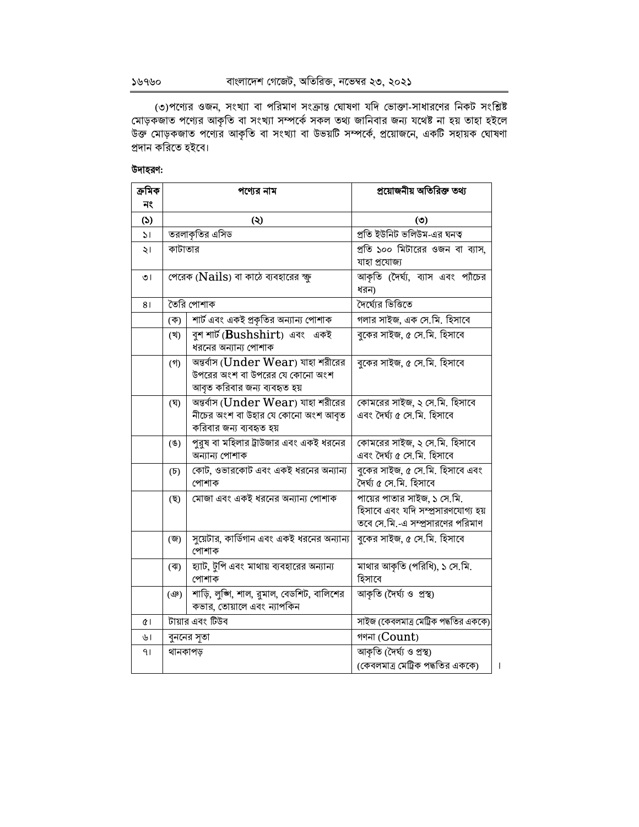৩)পণ্যের ওজন, সংখ্যা বা পরিমাণ সংক্রান্ত ঘোষণা যদি ভোক্তা-সাধারণের নিকট সংশ্লিষ্ট<br>মোড়কজাত পণ্যের আকৃতি বা সংখ্যা সম্পর্কে সকল তথ্য জানিবার জন্য যথেষ্ট না হয় তাহা হইলে<br>উক্ত মোড়কজাত পণ্যের আকৃতি বা সংখ্যা বা উভয়টি সম্পর প্ৰদান করিতে হইবে।

## উদাহরণ:

| ক্ৰমিক       |                     | পণ্যের নাম                                                                                                 | প্রয়োজনীয় অতিরিক্ত তথ্য                                                                             |
|--------------|---------------------|------------------------------------------------------------------------------------------------------------|-------------------------------------------------------------------------------------------------------|
| নং           |                     |                                                                                                            |                                                                                                       |
| (5)          |                     | $\circledcirc$                                                                                             | (5)                                                                                                   |
| $\mathsf{H}$ |                     | তরলাকৃতির এসিড                                                                                             | প্রতি ইউনিট ভলিউম-এর ঘনত্ব                                                                            |
| $\geq$       | কাটাতার             |                                                                                                            | প্রতি ১০০ মিটারের ওজন বা ব্যাস,<br>যাহা প্ৰযোজ্য                                                      |
| ৩।           |                     | পেরেক (Nails) বা কাঠে ব্যবহারের ক্ষ                                                                        | আকৃতি (দৈর্ঘ্য, ব্যাস এবং প্যাঁচের<br>ধরন)                                                            |
| 81           |                     | তৈরি পোশাক                                                                                                 | দৈর্ঘ্যের ভিত্তিতে                                                                                    |
|              | (ক)                 | শার্ট এবং একই প্রকৃতির অন্যান্য পোশাক                                                                      | গলার সাইজ, এক সে.মি. হিসাবে                                                                           |
|              | (খ)                 | বুশ শার্ট (Bushshirt) এবং একই<br>ধরনের অন্যান্য পোশাক                                                      | বুকের সাইজ, ৫ সে.মি. হিসাবে                                                                           |
|              | $($ গী              | অন্তর্বাস ( $Under Weapon$ ) যাহা শরীরের<br>উপরের অংশ বা উপরের যে কোনো অংশ<br>আবৃত করিবার জন্য ব্যবহৃত হয় | বুকের সাইজ, ৫ সে.মি. হিসাবে                                                                           |
|              | (ঘৃ)                | অন্তর্বাস ( $Under Weapon$ ) যাহা শরীরের<br>নীচের অংশ বা উহার যে কোনো অংশ আবৃত<br>করিবার জন্য ব্যবহৃত হয়  | কোমরের সাইজ, ২ সে.মি. হিসাবে<br>এবং দৈৰ্ঘ্য ৫ সে.মি. হিসাবে                                           |
|              | (8)                 | ___<br>পুরুষ বা মহিলার ট্রাউজার এবং একই ধরনের<br>অন্যান্য পোশাক                                            | কোমরের সাইজ, ২ সে.মি. হিসাবে<br>এবং দৈৰ্ঘ্য ৫ সে.মি. হিসাবে                                           |
|              | $(\mathfrak{F})$    | কোট, ওভারকোট এবং একই ধরনের অন্যান্য<br>পোশাক                                                               | বুকের সাইজ, ৫ সে.মি. হিসাবে এবং<br>দৈৰ্ঘ্য ৫ সে.মি. হিসাবে                                            |
|              | (ছ)                 | মোজা এবং একই ধরনের অন্যান্য পোশাক                                                                          | পায়ের পাতার সাইজ, ১ সে.মি.<br>হিসাবে এবং যদি সম্প্রসারণযোগ্য হয়<br>তবে সে.মি.-এ সম্প্রসারণের পরিমাণ |
|              | (জ)                 | সুয়েটার, কার্ডিগান এবং একই ধরনের অন্যান্য<br>পোশাক                                                        | বুকের সাইজ, ৫ সে.মি. হিসাবে                                                                           |
|              | $(\overline{\ast})$ | হ্যাট, টুপি এবং মাথায় ব্যবহারের অন্যান্য<br>পোশাক                                                         | মাথার আকৃতি (পরিধি), ১ সে.মি.<br>হিসাবে                                                               |
|              | (ආ)                 | শাড়ি, লুজ্গি, শাল, রুমাল, বেডশিট, বালিশের<br>কভার, তোয়ালে এবং ন্যাপকিন                                   | আকৃতি (দৈৰ্ঘ্য ও প্ৰস্থ)                                                                              |
| ¢۱           |                     | টায়ার এবং টিউব                                                                                            | সাইজ (কেবলমাত্র মেট্রিক পদ্ধতির এককে)                                                                 |
| ৬।           |                     | বুননের সূতা                                                                                                | গণনা $\left($ Count $\right)$                                                                         |
| 41           | থানকাপড়            |                                                                                                            | আকৃতি (দৈৰ্ঘ্য ও প্ৰস্থ)                                                                              |
|              |                     |                                                                                                            | (কেবলমাত্র মেট্রিক পদ্ধতির এককে)                                                                      |

 $\bar{\mathbb{I}}$ 

১৬৭৬০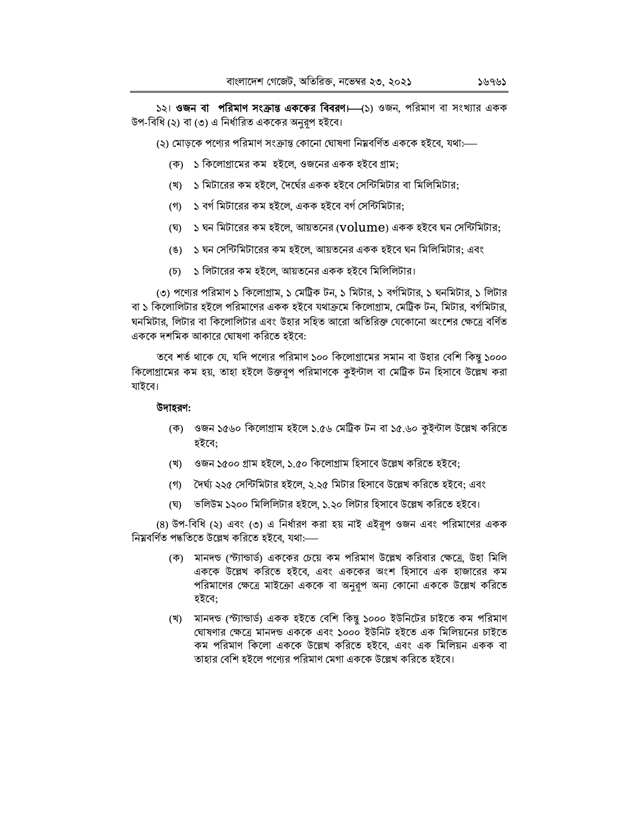১২। ওজন বা পরিমাণ সংক্রান্ত এককের বিবরণ।—(১) ওজন, পরিমাণ বা সংখ্যার একক উপ-বিধি (২) বা (৩) এ নির্ধারিত এককের অনুরূপ হইবে।

(২) মোডকে পণ্যের পরিমাণ সংক্রান্ত কোনো ঘোষণা নিম্নবর্ণিত এককে হইবে. যথা:—

- (ক) ১ কিলোগ্রামের কম হইলে, ওজনের একক হইবে গ্রাম:
- (খ) ১ মিটারের কম হইলে, দৈর্ঘের একক হইবে সেন্টিমিটার বা মিলিমিটার;
- <u>(গ) ১ বর্গ মিটারের কম হইলে. একক হইবে বর্গ সেন্টিমিটার:</u>
- (ঘ) ১ ঘন মিটারের কম হইলে, আয়তনের ( $volume$ ) একক হইবে ঘন সেন্টিমিটার;
- (ঙ) ১ ঘন সেন্টিমিটারের কম হইলে, আয়তনের একক হইবে ঘন মিলিমিটার; এবং
- (চ) ১ লিটারের কম হইলে, আয়তনের একক হইবে মিলিলিটার।

(৩) পণ্যের পরিমাণ ১ কিলোগ্রাম, ১ মেট্রিক টন, ১ মিটার, ১ বর্গমিটার, ১ ঘনমিটার, ১ লিটার বা ১ কিলোলিটার হইলে পরিমাণের একক হইবে যথাক্রমে কিলোগ্রাম, মেট্রিক টন, মিটার, বর্গমিটার, ঘনমিটার, লিটার বা কিলোলিটার এবং উহার সহিত আরো অতিরিক্ত যেকোনো অংশের ক্ষেত্রে বর্ণিত এককে দশমিক আকারে ঘোষণা করিতে হইবে:

তবে শর্ত থাকে যে, যদি পণ্যের পরিমাণ ১০০ কিলোগ্রামের সমান বা উহার বেশি কিন্তু ১০০০ কিলোগ্রামের কম হয়, তাহা হইলে উক্তরপ পরিমাণকে কইন্টাল বা মেট্রিক টন হিসাবে উল্লেখ করা যাইবে।

## উদাহরণ:

- (ক) ওজন ১৫৬০ কিলোগ্রাম হইলে ১.৫৬ মেট্রিক টন বা ১৫.৬০ কুইন্টাল উল্লেখ করিতে হইবে;
- (খ) ওজন ১৫০০ গ্রাম হইলে, ১.৫০ কিলোগ্রাম হিসাবে উল্লেখ করিতে হইবে;
- (গ) দৈর্ঘ্য ২২৫ সেন্টিমিটার হইলে, ২.২৫ মিটার হিসাবে উল্লেখ করিতে হইবে: এবং
- (ঘ) ভলিউম ১২০০ মিলিলিটার হইলে, ১.২০ লিটার হিসাবে উল্লেখ করিতে হইবে।

(8) উপ-বিধি (২) এবং (৩) এ নির্ধারণ করা হয় নাই এইরূপ ওজন এবং পরিমাণের একক নিম্নবৰ্ণিত পদ্ধতিতে উল্লেখ করিতে হইবে, যথা:—–

- (ক) মানদন্ড (স্ট্যান্ডার্ড) এককের চেয়ে কম পরিমাণ উল্লেখ করিবার ক্ষেত্রে, উহা মিলি এককে উল্লেখ করিতে হইবে, এবং এককের অংশ হিসাবে এক হাজারের কম পরিমাণের ক্ষেত্রে মাইক্রো এককে বা অনুরূপ অন্য কোনো এককে উল্লেখ করিতে হইবে:
- (খ) মানদন্ড (স্ট্যান্ডাৰ্ড) একক হইতে বেশি কিন্তু ১০০০ ইউনিটের চাইতে কম পরিমাণ ঘোষণার ক্ষেত্রে মানদন্ড এককে এবং ১০০০ ইউনিট হইতে এক মিলিয়নের চাইতে কম পরিমাণ কিলো এককে উল্লেখ করিতে হইবে, এবং এক মিলিয়ন একক বা তাহার বেশি হইলে পণ্যের পরিমাণ মেগা এককে উল্লেখ করিতে হইবে।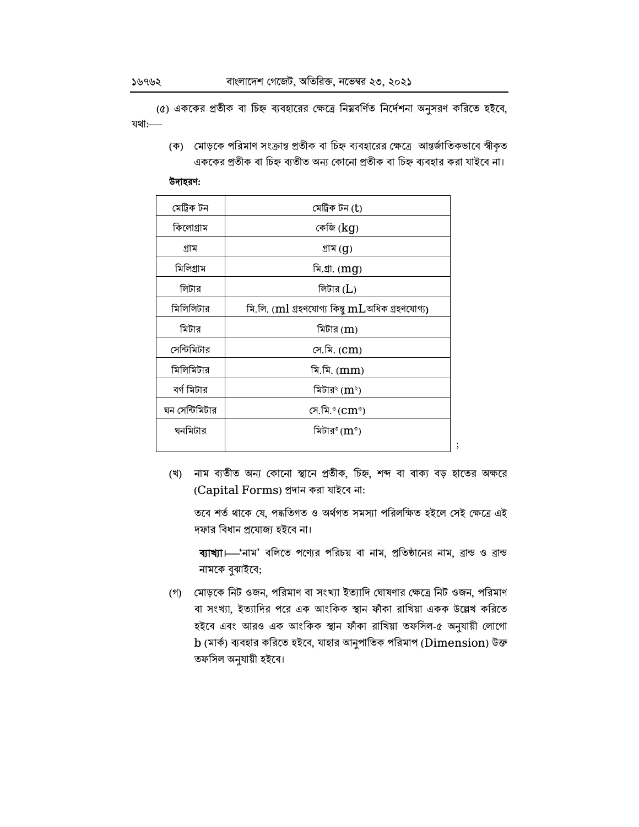(৫) এককের প্রতীক বা চিহ্ন ব্যবহারের ক্ষেত্রে নিম্নবর্ণিত নির্দেশনা অনুসরণ করিতে হইবে, যথা:

> (ক) মোড়কে পরিমাণ সংক্রান্ত প্রতীক বা চিহ্ন ব্যবহারের ক্ষেত্রে আন্তর্জাতিকভাবে স্বীকৃত এককের প্রতীক বা চিহ্ন ব্যতীত অন্য কোনো প্রতীক বা চিহ্ন ব্যবহার করা যাইবে না।

#### উদাহরণ:

| মেট্ৰিক টন     | মেট্ৰিক টন (t)                                       |
|----------------|------------------------------------------------------|
| কিলোগ্ৰাম      | কেজি (kg)                                            |
| গ্ৰাম          | গ্ৰাম (g)                                            |
| মিলিগ্ৰাম      | মি.গ্ৰা. (mg)                                        |
| লিটার          | লিটার ( $L$ )                                        |
| মিলিলিটার      | মি.লি. $(ml$ গ্ৰহণযোগ্য কিন্তু $mL$ অধিক গ্ৰহণযোগ্য) |
| মিটার          | মিটার $(m)$                                          |
| সেন্টিমিটার    | সে.মি. (Cm)                                          |
| মিলিমিটার      | মি.মি. (mm)                                          |
| বর্গ মিটার     | মিটার <sup>২</sup> (m <sup>২</sup> )                 |
| ঘন সেন্টিমিটার | সে.মি.°(cm°)                                         |
| ঘনমিটার        | মিটার° ( $\text{m}^\circ$ )                          |
|                |                                                      |

(খ) নাম ব্যতীত অন্য কোনো স্থানে প্রতীক, চিহ্ন, শব্দ বা বাক্য বড় হাতের অক্ষরে (Capital Forms) প্ৰদান করা যাইবে না:

তবে শর্ত থাকে যে, পদ্ধতিগত ও অর্থগত সমস্যা পরিলক্ষিত হইলে সেই ক্ষেত্রে এই দফার বিধান প্রযোজ্য হইবে না।

ব্যাখ্যা। "নাম' বলিতে পণ্যের পরিচয় বা নাম, প্রতিষ্ঠানের নাম, ব্রান্ড ও ব্রান্ড নামকে বুঝাইবে;

(গ) মোড়কে নিট ওজন, পরিমাণ বা সংখ্যা ইত্যাদি ঘোষণার ক্ষেত্রে নিট ওজন, পরিমাণ বা সংখ্যা, ইত্যাদির পরে এক আংকিক স্থান ফাঁকা রাখিয়া একক উল্লেখ করিতে হইবে এবং আরও এক আংকিক স্থান ফাঁকা রাখিয়া তফসিল-৫ অনুযায়ী লোগো  $\mathbf b$  (মার্ক) ব্যবহার করিতে হইবে, যাহার আনুপাতিক পরিমাপ ( $\mathbf D$ imension) উক্ত তফসিল অনুযায়ী হইবে।

১৬৭৬২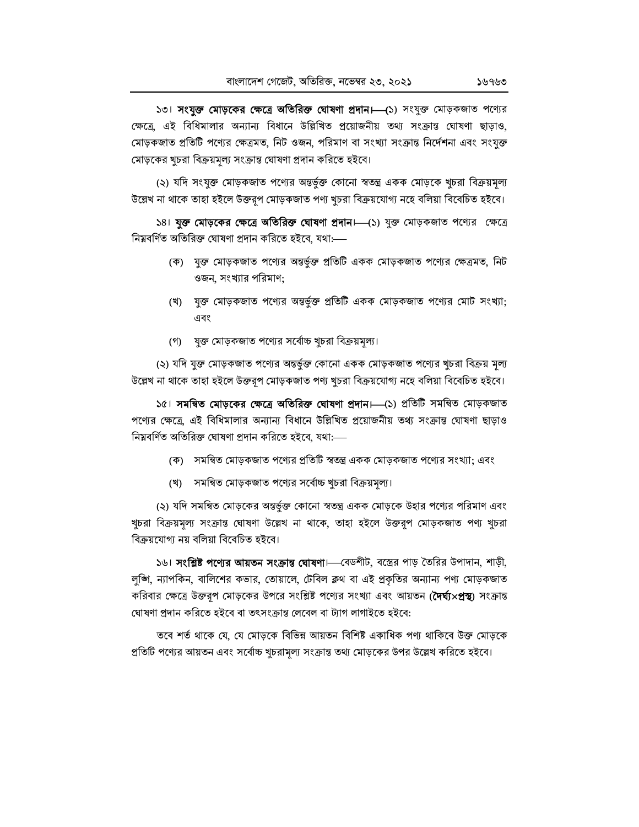১৩। **সংযুক্ত মোড়কের ক্ষেত্রে অতিরিক্ত ঘোষণা প্রদান।** (১) সংযুক্ত মোড়কজাত পণ্যের ক্ষেত্রে, এই বিধিমালার অন্যান্য বিধানে উল্লিখিত প্রয়োজনীয় তথ্য সংক্রান্ত ঘোষণা ছাড়াও, মোড়কজাত প্রতিটি পণ্যের ক্ষেত্রমত, নিট ওজন, পরিমাণ বা সংখ্যা সংক্রান্ত নির্দেশনা এবং সংযুক্ত মোড়কের খুচরা বিক্রয়মূল্য সংক্রান্ত ঘোষণা প্রদান করিতে হইবে।

(২) যদি সংযুক্ত মোড়কজাত পণ্যের অন্তর্ভুক্ত কোনো স্বতন্ত্র একক মোড়কে খুচরা বিক্রয়মূল্য উল্লেখ না থাকে তাহা হইলে উক্তরূপ মোড়কজাত পণ্য খুচরা বিক্রয়যোগ্য নহে বলিয়া বিবেচিত হইবে।

১৪। যুক্ত মোড়কের ক্ষেত্রে অতিরিক্ত ঘোষণা প্রদান। (১) যুক্ত মোড়কজাত পণ্যের ক্ষেত্রে নিম্নবৰ্ণিত অতিরিক্ত ঘোষণা প্রদান করিতে হইবে, যথা:—

- (ক) যুক্ত মোড়কজাত পণ্যের অন্তর্ভুক্ত প্রতিটি একক মোড়কজাত পণ্যের ক্ষেত্রমত, নিট ওজন, সংখ্যার পরিমাণ;
- (খ) যুক্ত মোড়কজাত পণ্যের অন্তর্ভুক্ত প্রতিটি একক মোড়কজাত পণ্যের মোট সংখ্যা; এবং
- যুক্ত মোড়কজাত পণ্যের সর্বোচ্চ খুচরা বিক্রয়মূল্য। (গ)

(২) যদি যুক্ত মোড়কজাত পণ্যের অন্তর্ভুক্ত কোনো একক মোড়কজাত পণ্যের খুচরা বিক্রয় মূল্য উল্লেখ না থাকে তাহা হইলে উক্তরূপ মোড়কজাত পণ্য খুচরা বিক্রয়যোগ্য নহে বলিয়া বিবেচিত হইবে।

১৫। **সমন্বিত মোড়কের ক্ষেত্রে অতিরিক্ত ঘোষণা প্রদান।—(**১) প্রতিটি সমন্বিত মোড়কজাত পণ্যের ক্ষেত্রে, এই বিধিমালার অন্যান্য বিধানে উল্লিখিত প্রয়োজনীয় তথ্য সংক্রান্ত ঘোষণা ছাড়াও নিম্নবৰ্ণিত অতিরিক্ত ঘোষণা প্রদান করিতে হইবে, যথা:---

- (ক) সমন্বিত মোড়কজাত পণ্যের প্রতিটি স্বতন্ত্র একক মোড়কজাত পণ্যের সংখ্যা; এবং
- (খ) সমন্বিত মোড়কজাত পণ্যের সর্বোচ্চ খুচরা বিক্রয়মূল্য।

(২) যদি সমন্বিত মোড়কের অন্তর্ভুক্ত কোনো স্বতন্ত্র একক মোড়কে উহার পণ্যের পরিমাণ এবং খুচরা বিক্রয়মূল্য সংক্রান্ত ঘোষণা উল্লেখ না থাকে, তাহা হইলে উক্তরূপ মোড়কজাত পণ্য খুচরা বিক্রয়যোগ্য নয় বলিয়া বিবেচিত হইবে।

১৬। **সংশ্লিষ্ট পণ্যের আয়তন সংক্রান্ত ঘোষণা**।—বেডশীট, বস্ত্রের পাড় তৈরির উপাদান, শাড়ী, লুজ্গি, ন্যাপকিন, বালিশের কভার, তোয়ালে, টেবিল ক্লথ বা এই প্রকৃতির অন্যান্য পণ্য মোড়কজাত করিবার ক্ষেত্রে উক্তরূপ মোড়কের উপরে সংশ্লিষ্ট পণ্যের সংখ্যা এবং আয়তন (**দৈর্ঘ্য×প্রস্থ**) সংক্রান্ত ঘোষণা প্ৰদান করিতে হইবে বা তৎসংক্রান্ত লেবেল বা ট্যাগ লাগাইতে হইবে:

তবে শর্ত থাকে যে, যে মোড়কে বিভিন্ন আয়তন বিশিষ্ট একাধিক পণ্য থাকিবে উক্ত মোড়কে প্রতিটি পণ্যের আয়তন এবং সর্বোচ্চ খচরামল্য সংক্রান্ত তথ্য মোড়কের উপর উল্লেখ করিতে হইবে।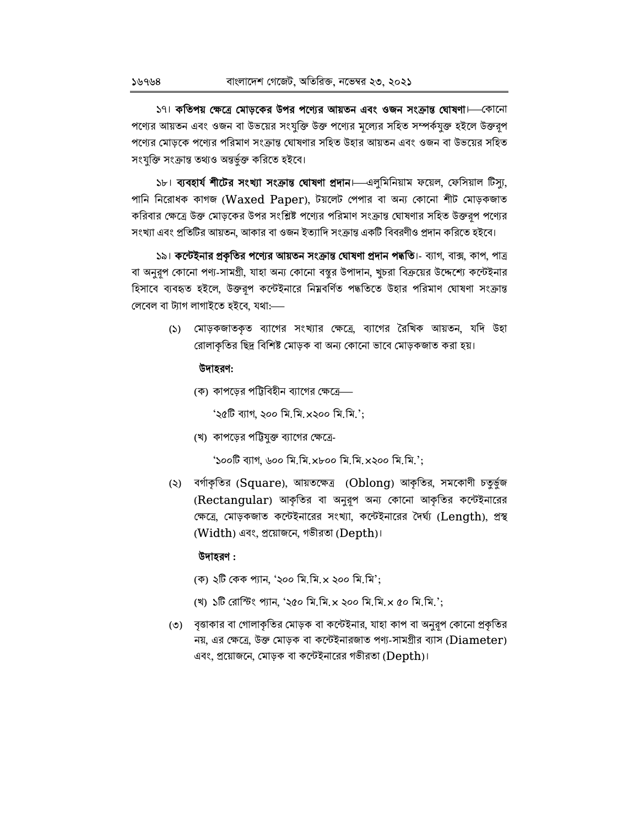১৭। কতিপয় ক্ষেত্রে মোড়কের উপর পণ্যের আয়তন এবং ওজন সংক্রান্ত ঘোষণা। ব্যানো পণ্যের আয়তন এবং ওজন বা উভয়ের সংযুক্তি উক্ত পণ্যের মূল্যের সহিত সম্পর্কযুক্ত হইলে উক্তরূপ পণ্যের মোড়কে পণ্যের পরিমাণ সংক্রান্ত ঘোষণার সহিত উহার আয়তন এবং ওজন বা উভয়ের সহিত সংযুক্তি সংক্রান্ত তথ্যও অন্তর্ভুক্ত করিতে হইবে।

১৮। ব্যবহার্য শীটের সংখ্যা সংক্রান্ত ঘোষণা প্রদান।—এলুমিনিয়াম ফয়েল, ফেসিয়াল টিস্যু, পানি নিরোধক কাগজ (Waxed Paper), টয়লেট পেপার বা অন্য কোনো শীট মোড়কজাত করিবার ক্ষেত্রে উক্ত মোড়কের উপর সংশ্লিষ্ট পণ্যের পরিমাণ সংক্রান্ত ঘোষণার সহিত উক্তরূপ পণ্যের সংখ্যা এবং প্রতিটির আয়তন, আকার বা ওজন ইত্যাদি সংক্রান্ত একটি বিবরণীও প্রদান করিতে হইবে।

১৯। **কন্টেইনার প্রকৃতির পণ্যের আয়তন সংক্রান্ত ঘোষণা প্রদান পদ্ধতি**।- ব্যাগ, বাক্স, কাপ, পাত্র বা অনুরূপ কোনো পণ্য-সামগ্রী, যাহা অন্য কোনো বস্তুর উপাদান, খুচরা বিক্রয়ের উদ্দেশ্যে কন্টেইনার হিসাবে ব্যবহৃত হইলে, উক্তরূপ কন্টেইনারে নিম্নবর্ণিত পদ্ধতিতে উহার পরিমাণ ঘোষণা সংক্রান্ত লেবেল বা ট্যাগ লাগাইতে হইবে, যথা:--

> (১) মোড়কজাতকৃত ব্যাগের সংখ্যার ক্ষেত্রে, ব্যাগের রৈখিক আয়তন, যদি উহা রোলাকৃতির ছিদ্র বিশিষ্ট মোড়ক বা অন্য কোনো ভাবে মোড়কজাত করা হয়।

## উদাহরণ:

(ক) কাপড়ের পট্টিবিহীন ব্যাগের ক্ষেত্রে—

'২৫টি ব্যাগ, ২০০ মি.মি.×২০০ মি.মি.';

(খ) কাপড়ের পট্টিযুক্ত ব্যাগের ক্ষেত্রে-

'Sooि ব্যাগ, ৬০০ মি.মি.xboo মি.মি.x২০০ মি.মি.';

(২) বর্গাকৃতির (Square), আয়তক্ষেত্র (Oblong) আকৃতির, সমকোণী চতুর্ভুজ (Rectangular) আকৃতির বা অনুরূপ অন্য কোনো আকৃতির কন্টেইনারের ক্ষেত্রে, মোড়কজাত কন্টেইনারের সংখ্যা, কন্টেইনারের দৈর্ঘ্য (Length), প্রস্থ (Width) এবং, প্রয়োজনে, গভীরতা (Depth)।

## উদাহরণ :

- (ক) ২টি কেক প্যান, '২০০ মি.মি.x ২০০ মি.মি';
- (খ) ১টি রোস্টিং প্যান, '২৫০ মি.মি.x ২০০ মি.মি.x ৫০ মি.মি.';
- (৩) বৃত্তাকার বা গোলাকৃতির মোড়ক বা কন্টেইনার, যাহা কাপ বা অনুরূপ কোনো প্রকৃতির নয়, এর ক্ষেত্রে, উক্ত মোড়ক বা কন্টেইনারজাত পণ্য-সামগ্রীর ব্যাস ( $Diameter$ ) এবং, প্রয়োজনে, মোড়ক বা কন্টেইনারের গভীরতা ( $\mathrm{Depth}$ )।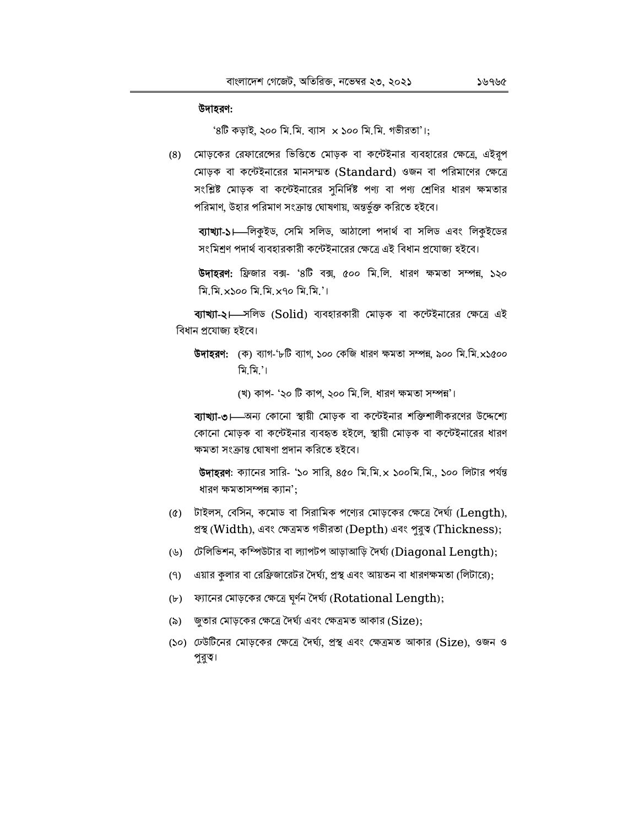#### উদাহরণ:

 $96$  কড়াই, ২০০ মি.মি. ব্যাস x ১০০ মি.মি. গভীরতা'।;

(৪) মোড়কের রেফারেন্সের ভিত্তিতে মোড়ক বা কন্টেইনার ব্যবহারের ক্ষেত্রে, এইরূপ মোড়ক বা কন্টেইনারের মানসম্মত (Standard) ওজন বা পরিমাণের ক্ষেত্রে সংশ্লিষ্ট মোড়ক বা কন্টেইনারের সুনির্দিষ্ট পণ্য বা পণ্য শ্রেণির ধারণ ক্ষমতার পরিমাণ, উহার পরিমাণ সংক্রান্ত ঘোষণায়, অন্তর্ভুক্ত করিতে হইবে।

ব্যাখ্যা-১। লিকুইড, সেমি সলিড, আঠালো পদার্থ বা সলিড এবং লিকুইডের সংমিশ্রণ পদার্থ ব্যবহারকারী কন্টেইনারের ক্ষেত্রে এই বিধান প্রযোজ্য হইবে।

উদাহরণ: ফ্রিজার বক্স- '৪টি বক্স, ৫০০ মি.লি. ধারণ ক্ষমতা সম্পন্ন, ১২০ মি.মি. x১০০ মি.মি. x৭০ মি.মি.'।

ব্যাখ্যা-২। সলিড (Solid) ব্যবহারকারী মোড়ক বা কন্টেইনারের ক্ষেত্রে এই বিধান প্ৰযোজ্য হইবে।

**উদাহরণ:** (ক) ব্যাগ-'৮টি ব্যাগ, ১০০ কেজি ধারণ ক্ষমতা সম্পন্ন, ৯০০ মি.মি.x১৫০০ মি মি '।

(খ) কাপ- '২০ টি কাপ, ২০০ মি.লি. ধারণ ক্ষমতা সম্পন্ন'।

ব্যাখ্যা-৩।—অন্য কোনো স্থায়ী মোড়ক বা কন্টেইনার শক্তিশালীকরণের উদ্দেশ্যে কোনো মোডক বা কন্টেইনার ব্যবহৃত হইলে. স্থায়ী মোডক বা কন্টেইনারের ধারণ ক্ষমতা সংক্রান্ত ঘোষণা প্রদান করিতে হইবে।

**উদাহরণ:** ক্যানের সারি- '১০ সারি, ৪৫০ মি.মি.x ১০০মি.মি., ১০০ লিটার পর্যন্ত ধারণ ক্ষমতাসম্পন্ন ক্যান':

- (৫) টাইলস, বেসিন, কমোড বা সিরামিক পণ্যের মোড়কের ক্ষেত্রে দৈর্ঘ্য (Length), প্ৰস্থ (Width), এবং ক্ষেত্ৰমত গভীরতা (Depth) এবং পুরুত্ব (Thickness);
- (৬) টেলিভিশন, কম্পিউটার বা ল্যাপটপ আড়াআড়ি দৈর্ঘ্য (Diagonal Length);
- এয়ার কুলার বা রেফ্রিজারেটর দৈর্ঘ্য, প্রস্থ এবং আয়তন বা ধারণক্ষমতা (লিটারে);  $(9)$
- (৮) ফ্যানের মোড়কের ক্ষেত্রে ঘূর্ণন দৈর্ঘ্য (Rotational Length);
- জতার মোড়কের ক্ষেত্রে দৈর্ঘ্য এবং ক্ষেত্রমত আকার (Size);  $(\delta)$
- (১০) ঢেউটিনের মোড়কের ক্ষেত্রে দৈর্ঘ্য, প্রস্থ এবং ক্ষেত্রমত আকার (Size), ওজন ও পুরুত্ব।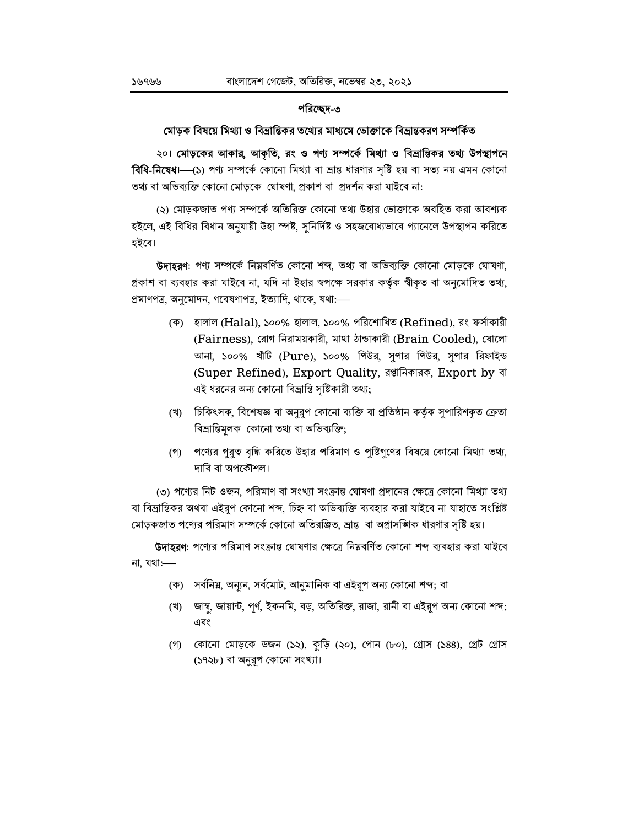## পরিচ্ছেদ-৩

#### মোড়ক বিষয়ে মিথ্যা ও বিভ্রান্তিকর তথ্যের মাধ্যমে ভোক্তাকে বিভ্রান্তকরণ সম্পর্কিত

২০৷ মোড়কের আকার, আকৃতি, রং ও পণ্য সম্পর্কে মিথ্যা ও বিভ্রান্তিকর তথ্য উপস্থাপনে **বিধি-নিষেধ**।—(১) পণ্য সম্পর্কে কোনো মিথ্যা বা ভ্রান্ত ধারণার সৃষ্টি হয় বা সত্য নয় এমন কোনো তথ্য বা অভিব্যক্তি কোনো মোড়কে ঘোষণা, প্রকাশ বা প্রদর্শন করা যাইবে না:

(২) মোড়কজাত পণ্য সম্পৰ্কে অতিরিক্ত কোনো তথ্য উহার ভোক্তাকে অবহিত করা আবশ্যক হইলে, এই বিধির বিধান অনুযায়ী উহা স্পষ্ট, সুনির্দিষ্ট ও সহজবোধ্যভাবে প্যানেলে উপস্থাপন করিতে হইবে।

উদাহরণ: পণ্য সম্পর্কে নিম্নবর্ণিত কোনো শব্দ, তথ্য বা অভিব্যক্তি কোনো মোড়কে ঘোষণা, প্রকাশ বা ব্যবহার করা যাইবে না, যদি না ইহার স্বপক্ষে সরকার কর্তৃক স্বীকৃত বা অনুমোদিত তথ্য, প্রমাণপত্র, অনুমোদন, গবেষণাপত্র, ইত্যাদি, থাকে, যথা:—

- (ক) হালাল (Halal), ১০০% হালাল, ১০০% পরিশোধিত (Refined), রং ফর্সাকারী (Fairness), রোগ নিরাময়কারী, মাথা ঠান্ডাকারী (Brain Cooled), যোলো আনা, ১০০% খাঁটি (Pure), ১০০% পিউর, সুপার পিউর, সুপার রিফাইন্ড (Super Refined), Export Quality, রপ্তানিকারক, Export by বা এই ধরনের অন্য কোনো বিভ্রান্তি সৃষ্টিকারী তথ্য;
- (খ) চিকিৎসক, বিশেষজ্ঞ বা অনুরূপ কোনো ব্যক্তি বা প্রতিষ্ঠান কর্তৃক সুপারিশকৃত ক্রেতা বিভ্রান্তিমূলক কোনো তথ্য বা অভিব্যক্তি;
- (গ) পণ্যের গুরুত্ব বৃদ্ধি করিতে উহার পরিমাণ ও পুষ্টিগুণের বিষয়ে কোনো মিথ্যা তথ্য, দাবি বা অপকৌশল।

৩) পণ্যের নিট ওজন, পরিমাণ বা সংখ্যা সংক্রান্ত ঘোষণা প্রদানের ক্ষেত্রে কোনো মিথ্যা তথ্য বা বিভ্রান্তিকর অথবা এইরপ কোনো শব্দ, চিহ্ন বা অভিব্যক্তি ব্যবহার করা যাইবে না যাহাতে সংশ্লিষ্ট মোড়কজাত পণ্যের পরিমাণ সম্পর্কে কোনো অতিরঞ্জিত, ভ্রান্ত বা অপ্রাসজ্ঞিক ধারণার সৃষ্টি হয়।

**উদাহরণ**: পণ্যের পরিমাণ সংক্রান্ত ঘোষণার ক্ষেত্রে নিম্নবর্ণিত কোনো শব্দ ব্যবহার করা যাইবে না, যথা $:=$ 

- (ক) সর্বনিম্ন, অন্যন, সর্বমোট, আনুমানিক বা এইরূপ অন্য কোনো শব্দ; বা
- (খ) জাম্বু, জায়ান্ট, পূর্ণ, ইকনমি, বড়, অতিরিক্ত, রাজা, রানী বা এইরূপ অন্য কোনো শব্দ; এবং
- (গ) কোনো মোড়কে ডজন (১২), কুড়ি (২০), পোন (৮০), গ্রোস (১৪৪), গ্রেট গ্রোস (১৭২৮) বা অনুরূপ কোনো সংখ্যা।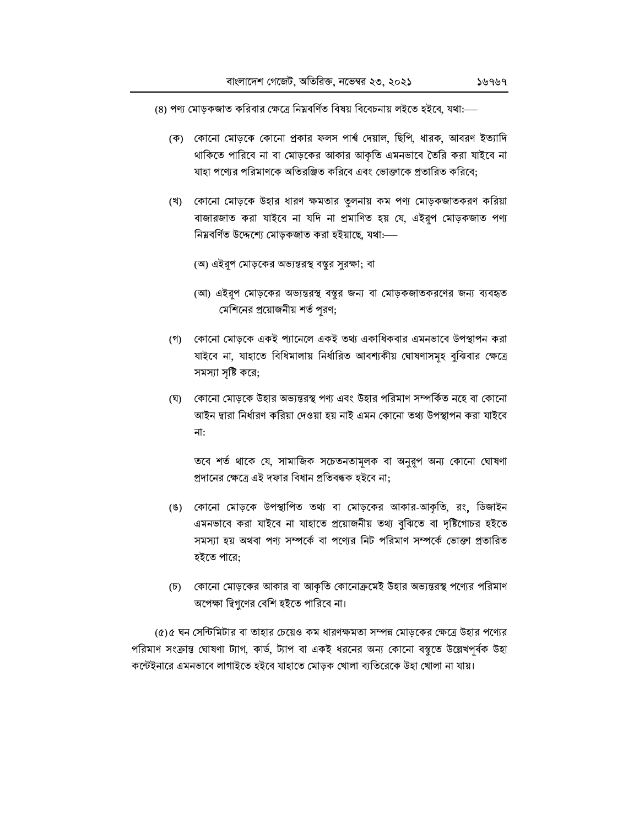(৪) পণ্য মোড়কজাত করিবার ক্ষেত্রে নিম্নবর্ণিত বিষয় বিবেচনায় লইতে হইবে, যথা:—

- (ক) কোনো মোড়কে কোনো প্রকার ফলস পার্শ্ব দেয়াল, ছিপি, ধারক, আবরণ ইত্যাদি থাকিতে পারিবে না বা মোড়কের আকার আকৃতি এমনভাবে তৈরি করা যাইবে না যাহা পণ্যের পরিমাণকে অতিরঞ্জিত করিবে এবং ভোক্তাকে প্রতারিত করিবে;
- (খ) কোনো মোড়কে উহার ধারণ ক্ষমতার তুলনায় কম পণ্য মোড়কজাতকরণ করিয়া বাজারজাত করা যাইবে না যদি না প্রমাণিত হয় যে, এইরূপ মোড়কজাত পণ্য নিম্নবৰ্ণিত উদ্দেশ্যে মোড়কজাত করা হইয়াছে, যথা:----
	- (অ) এইরূপ মোড়কের অভ্যন্তরস্থ বস্তুর সুরক্ষা; বা
	- (আ) এইরূপ মোড়কের অভ্যন্তরস্থ বস্তুর জন্য বা মোড়কজাতকরণের জন্য ব্যবহৃত মেশিনের প্রয়োজনীয় শর্ত পূরণ;
- (গ) কোনো মোড়কে একই প্যানেলে একই তথ্য একাধিকবার এমনভাবে উপস্থাপন করা যাইবে না, যাহাতে বিধিমালায় নির্ধারিত আবশ্যকীয় ঘোষণাসমূহ বুঝিবার ক্ষেত্রে সমস্যা সৃষ্টি করে;
- (ঘ) কোনো মোড়কে উহার অভ্যন্তরস্থ পণ্য এবং উহার পরিমাণ সম্পর্কিত নহে বা কোনো আইন দ্বারা নির্ধারণ করিয়া দেওয়া হয় নাই এমন কোনো তথ্য উপস্থাপন করা যাইবে না:

তবে শর্ত থাকে যে, সামাজিক সচেতনতামূলক বা অনুরূপ অন্য কোনো ঘোষণা প্রদানের ক্ষেত্রে এই দফার বিধান প্রতিবন্ধক হইবে না;

- (ঙ) কোনো মোড়কে উপস্থাপিত তথ্য বা মোড়কের আকার-আকৃতি, রং, ডিজাইন এমনভাবে করা যাইবে না যাহাতে প্রয়োজনীয় তথ্য বুঝিতে বা দৃষ্টিগোচর হইতে সমস্যা হয় অথবা পণ্য সম্পর্কে বা পণ্যের নিট পরিমাণ সম্পর্কে ভোক্তা প্রতারিত হইতে পারে;
- (চ) কোনো মোড়কের আকার বা আকৃতি কোনোক্রমেই উহার অভ্যন্তরস্থ পণ্যের পরিমাণ অপেক্ষা দ্বিগুণের বেশি হইতে পারিবে না।

(৫)৫ ঘন সেন্টিমিটার বা তাহার চেয়েও কম ধারণক্ষমতা সম্পন্ন মোড়কের ক্ষেত্রে উহার পণ্যের পরিমাণ সংক্রান্ত ঘোষণা ট্যাগ, কার্ড, ট্যাপ বা একই ধরনের অন্য কোনো বস্তুতে উল্লেখপূর্বক উহা কন্টেইনারে এমনভাবে লাগাইতে হইবে যাহাতে মোড়ক খোলা ব্যতিরেকে উহা খোলা না যায়।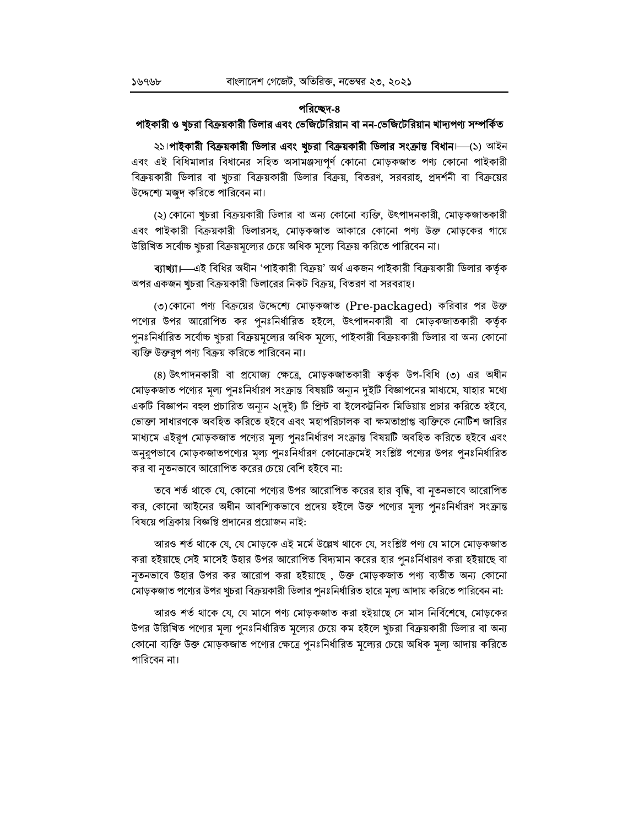## পরিচ্ছেদ-৪

## পাইকারী ও খুচরা বিক্রয়কারী ডিলার এবং ভেজিটেরিয়ান বা নন-ভেজিটেরিয়ান খাদ্যপণ্য সম্পর্কিত

২১।**পাইকারী বিক্রয়কারী ডিলার এবং খুচরা বিক্রয়কারী ডিলার সংক্রান্ত বিধান।—(১**) আইন এবং এই বিধিমালার বিধানের সহিত অসামঞ্জস্যপূর্ণ কোনো মোড়কজাত পণ্য কোনো পাইকারী বিক্রয়কারী ডিলার বা খুচরা বিক্রয়কারী ডিলার বিক্রয়, বিতরণ, সরবরাহ, প্রদর্শনী বা বিক্রয়ের উদ্দেশ্যে মজুদ করিতে পারিবেন না।

(২) কোনো খচরা বিক্রয়কারী ডিলার বা অন্য কোনো ব্যক্তি, উৎপাদনকারী, মোড়কজাতকারী এবং পাইকারী বিক্রয়কারী ডিলারসহ, মোড়কজাত আকারে কোনো পণ্য উক্ত মোড়কের গায়ে উল্লিখিত সর্বোচ্চ খুচরা বিক্রয়মূল্যের চেয়ে অধিক মূল্যে বিক্রয় করিতে পারিবেন না।

**ব্যাখ্যা।—**এই বিধির অধীন 'পাইকারী বিক্রয়' অর্থ একজন পাইকারী বিক্রয়কারী ডিলার কর্তৃক অপর একজন খুচরা বিক্রয়কারী ডিলারের নিকট বিক্রয়, বিতরণ বা সরবরাহ।

(৩)কোনো পণ্য বিক্রয়ের উদ্দেশ্যে মোড়কজাত (Pre-packaged) করিবার পর উক্ত পণ্যের উপর আরোপিত কর পুনঃনির্ধারিত হইলে, উৎপাদনকারী বা মোড়কজাতকারী কর্তৃক পুনঃনির্ধারিত সর্বোচ্চ খুচরা বিক্রয়মূল্যের অধিক মূল্যে, পাইকারী বিক্রয়কারী ডিলার বা অন্য কোনো ব্যক্তি উক্তরূপ পণ্য বিক্রয় করিতে পারিবেন না।

(৪) উৎপাদনকারী বা প্রযোজ্য ক্ষেত্রে, মোড়কজাতকারী কর্তৃক উপ-বিধি (৩) এর অধীন মোড়কজাত পণ্যের মূল্য পুনঃনির্ধারণ সংক্রান্ত বিষয়টি অন্যুন দুইটি বিজ্ঞাপনের মাধ্যমে, যাহার মধ্যে একটি বিজ্ঞাপন বহুল প্রচারিত অন্যন ২(দুই) টি প্রিন্ট বা ইলেকট্রনিক মিডিয়ায় প্রচার করিতে হইবে, ভোক্তা সাধারণকে অবহিত করিতে হইবে এবং মহাপরিচালক বা ক্ষমতাপ্রাপ্ত ব্যক্তিকে নোটিশ জারির মাধ্যমে এইরূপ মোড়কজাত পণ্যের মূল্য পুনঃনির্ধারণ সংক্রান্ত বিষয়টি অবহিত করিতে হইবে এবং অনুরূপভাবে মোড়কজাতপণ্যের মূল্য পুনঃনির্ধারণ কোনোক্রমেই সংশ্লিষ্ট পণ্যের উপর পুনঃনির্ধারিত কর বা নৃতনভাবে আরোপিত করের চেয়ে বেশি হইবে না:

তবে শর্ত থাকে যে, কোনো পণ্যের উপর আরোপিত করের হার বৃদ্ধি, বা নৃতনভাবে আরোপিত কর, কোনো আইনের অধীন আবশ্যিকভাবে প্রদেয় হইলে উক্ত পণ্যের মূল্য পুনঃনির্ধারণ সংক্রান্ত বিষয়ে পত্রিকায় বিজ্ঞপ্তি প্রদানের প্রয়োজন নাই:

আরও শর্ত থাকে যে, যে মোড়কে এই মর্মে উল্লেখ থাকে যে, সংশ্লিষ্ট পণ্য যে মাসে মোড়কজাত করা হইয়াছে সেই মাসেই উহার উপর আরোপিত বিদ্যমান করের হার পুনঃর্নিধারণ করা হইয়াছে বা নৃতনভাবে উহার উপর কর আরোপ করা হইয়াছে , উক্ত মোড়কজাত পণ্য ব্যতীত অন্য কোনো মোড়কজাত পণ্যের উপর খুচরা বিক্রয়কারী ডিলার পুনঃনির্ধারিত হারে মূল্য আদায় করিতে পারিবেন না:

আরও শর্ত থাকে যে, যে মাসে পণ্য মোড়কজাত করা হইয়াছে সে মাস নির্বিশেষে, মোড়কের উপর উল্লিখিত পণ্যের মূল্য পুনঃনির্ধারিত মূল্যের চেয়ে কম হইলে খুচরা বিক্রয়কারী ডিলার বা অন্য কোনো ব্যক্তি উক্ত মোড়কজাত পণ্যের ক্ষেত্রে পুনঃনির্ধারিত মূল্যের চেয়ে অধিক মূল্য আদায় করিতে পারিবেন না।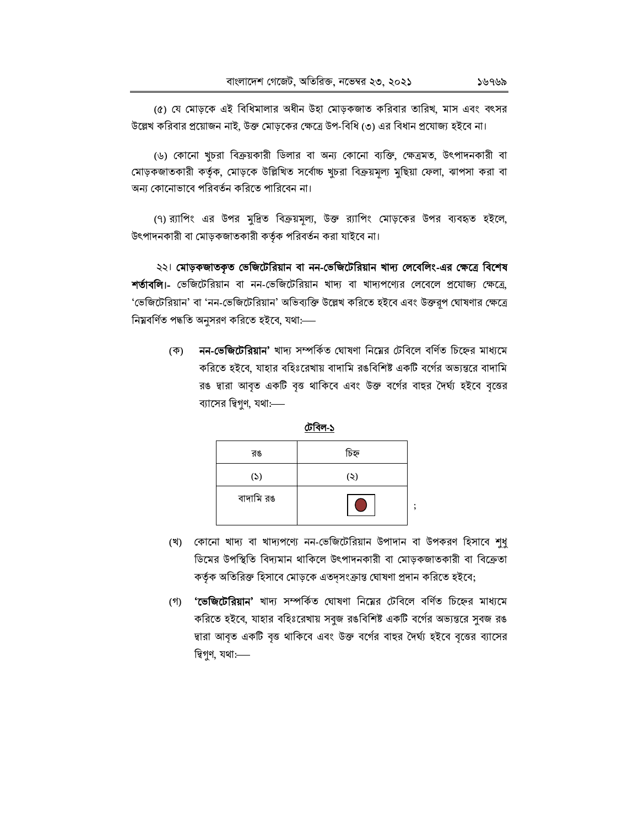(৫) যে মোড়কে এই বিধিমালার অধীন উহা মোড়কজাত করিবার তারিখ, মাস এবং বৎসর উল্লেখ করিবার প্রয়োজন নাই, উক্ত মোড়কের ক্ষেত্রে উপ-বিধি (৩) এর বিধান প্রযোজ্য হইবে না।

(৬) কোনো খুচরা বিক্রয়কারী ডিলার বা অন্য কোনো ব্যক্তি, ক্ষেত্রমত, উৎপাদনকারী বা মোড়কজাতকারী কর্তৃক, মোড়কে উল্লিখিত সর্বোচ্চ খুচরা বিক্রয়মূল্য মুছিয়া ফেলা, ঝাপসা করা বা অন্য কোনোভাবে পরিবর্তন করিতে পারিবেন না।

(৭) র্যাপিং এর উপর মুদ্রিত বিক্রয়মূল্য, উক্ত র্যাপিং মোড়কের উপর ব্যবহৃত হইলে, উৎপাদনকারী বা মোড়কজাতকারী কর্তৃক পরিবর্তন করা যাইবে না।

২২। মোড়কজাতকৃত ভেজিটেরিয়ান বা নন-ভেজিটেরিয়ান খাদ্য লেবেলিং-এর ক্ষেত্রে বিশেষ শর্তাবলি।- ভেজিটেরিয়ান বা নন-ভেজিটেরিয়ান খাদ্য বা খাদ্যপণ্যের লেবেলে প্রযোজ্য ক্ষেত্রে, 'ভেজিটেরিয়ান' বা 'নন-ভেজিটেরিয়ান' অভিব্যক্তি উল্লেখ করিতে হইবে এবং উক্তরূপ ঘোষণার ক্ষেত্রে নিম্নবৰ্ণিত পদ্ধতি অনুসরণ করিতে হইবে, যথা:----

> নন-ভেজিটেরিয়ান' খাদ্য সম্পর্কিত ঘোষণা নিয়ের টেবিলে বর্ণিত চিহ্নের মাধ্যমে (ক) করিতে হইবে, যাহার বহিঃরেখায় বাদামি রঙবিশিষ্ট একটি বর্গের অভ্যন্তরে বাদামি রঙ দ্বারা আবৃত একটি বৃত্ত থাকিবে এবং উক্ত বর্গের বাহুর দৈর্ঘ্য হইবে বৃত্তের ব্যাসের দ্বিগুণ, যথা:-



- (খ) কোনো খাদ্য বা খাদ্যপণ্যে নন-ভেজিটেরিয়ান উপাদান বা উপকরণ হিসাবে শধ ডিমের উপস্থিতি বিদ্যমান থাকিলে উৎপাদনকারী বা মোড়কজাতকারী বা বিক্রেতা কর্তৃক অতিরিক্ত হিসাবে মোড়কে এতদ্সংক্রান্ত ঘোষণা প্রদান করিতে হইবে;
- (গ) 'ভেজিটেরিয়ান' খাদ্য সম্পর্কিত ঘোষণা নিমের টেবিলে বর্ণিত চিহ্নের মাধ্যমে করিতে হইবে, যাহার বহিঃরেখায় সবুজ রঙবিশিষ্ট একটি বর্গের অভ্যন্তরে সুবজ রঙ দ্বারা আবৃত একটি বৃত্ত থাকিবে এবং উক্ত বর্গের বাহর দৈর্ঘ্য হইবে বৃত্তের ব্যাসের দ্বিগুণ, যথা:-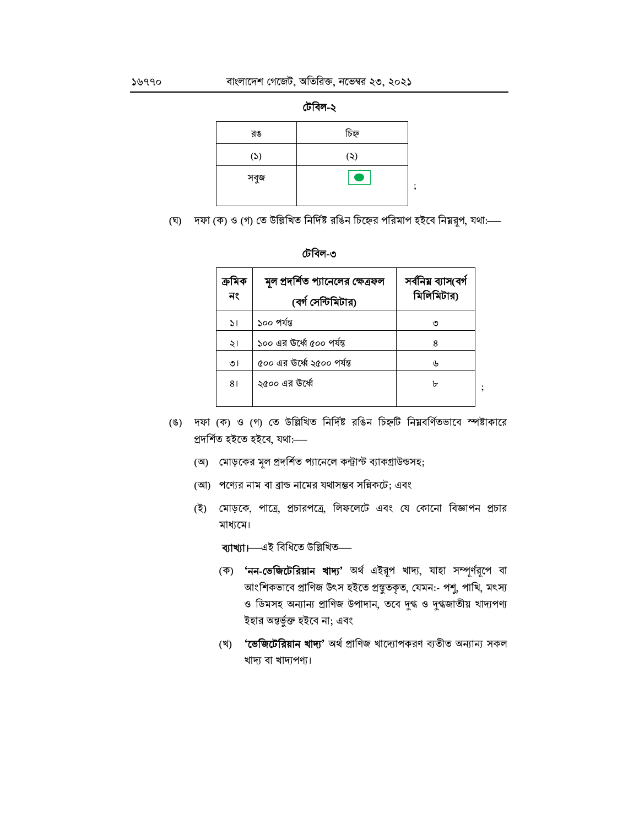

| ঢোবল- |  |
|-------|--|

| চিহ্ন |   |
|-------|---|
| (5)   |   |
|       | , |
|       |   |

(ঘ) দফা (ক) ও (গ) তে উল্লিখিত নির্দিষ্ট রঙিন চিহ্নের পরিমাপ হইবে নিম্নরূপ, যথা:---



| ক্ৰামক<br>নং  | মূল প্রদর্শিত প্যানেলের ক্ষেত্রফল<br>(বৰ্গ সেন্টিমিটার) | সৰ্বনিয় ব্যাস(বৰ্গ<br>মিলিমিটার) |  |
|---------------|---------------------------------------------------------|-----------------------------------|--|
| $\mathcal{L}$ | ১০০ পৰ্যন্ত                                             | ৩                                 |  |
| ২।            | ১০০ এর উর্ধ্বে ৫০০ পর্যন্ত                              | 8                                 |  |
| ৩।            | ৫০০ এর উর্ধ্বে ২৫০০ পর্যন্ত                             | رلہ                               |  |
| 81            | ২৫০০ এর উর্ধ্বে                                         | ৮                                 |  |
|               |                                                         |                                   |  |

- (ঙ) দফা (ক) ও (গ) তে উল্লিখিত নির্দিষ্ট রঙিন চিহ্নটি নিম্নবর্ণিতভাবে স্পষ্টাকারে প্ৰদৰ্শিত হইতে হইবে, যথা:----
	- (অ) মোড়কের মূল প্রদর্শিত প্যানেলে কন্ট্রাস্ট ব্যাকগ্রাউন্ডসহ;
	- (আ) পণ্যের নাম বা ব্রান্ড নামের যথাসম্ভব সন্নিকটে; এবং
	- (ই) মোড়কে, পাত্রে, প্রচারপত্রে, লিফলেটে এবং যে কোনো বিজ্ঞাপন প্রচার মাধ্যমে।

ব্যাখ্যা।—এই বিধিতে উল্লিখিত—

- (ক) 'নন-ভেজিটেরিয়ান খাদ্য' অর্থ এইরূপ খাদ্য, যাহা সম্পূর্ণরূপে বা আংশিকভাবে প্রাণিজ উৎস হইতে প্রস্তুতকৃত, যেমন:- পশু, পাখি, মৎস্য ও ডিমসহ অন্যান্য প্রাণিজ উপাদান, তবে দুগ্ধ ও দুগ্ধজাতীয় খাদ্যপণ্য ইহার অন্তর্ভুক্ত হইবে না; এবং
- (খ) 'ভেজিটেরিয়ান খাদ্য' অর্থ প্রাণিজ খাদ্যোপকরণ ব্যতীত অন্যান্য সকল খাদ্য বা খাদ্যপণ্য।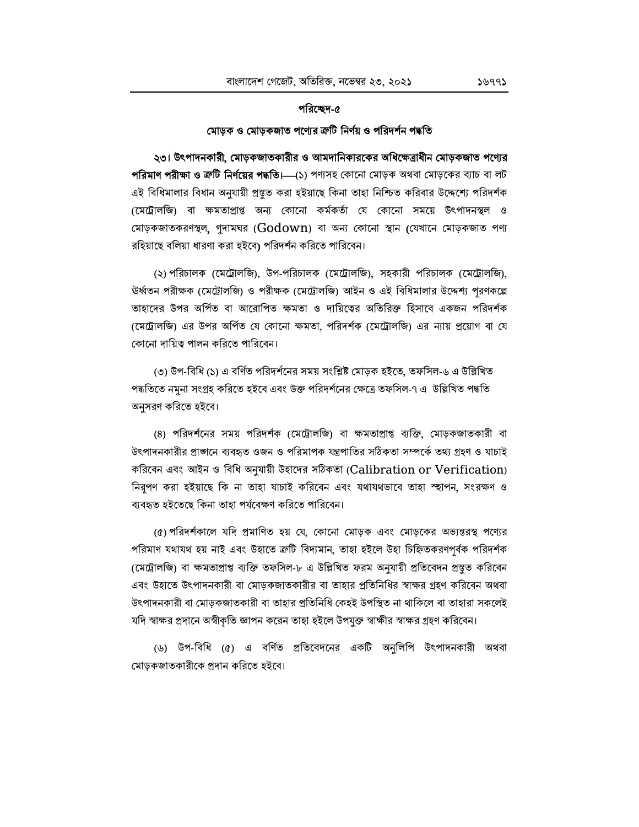## পরিচ্ছেদ-৫

## মোড়ক ও মোড়কজাত পণ্যের ক্রটি নির্ণয় ও পরিদর্শন পদ্ধতি

২৩। উৎপাদনকারী, মোড়কজাতকারীর ও আমদানিকারকের অধিক্ষেত্রাধীন মোড়কজাত পণ্যের পরিমাণ পরীক্ষা ও ক্রটি নির্ণয়ের পদ্ধতি।—(১) পণ্যসহ কোনো মোড়ক অথবা মোড়কের ব্যাচ বা লট এই বিধিমালার বিধান অনুযায়ী প্রস্তুত করা হইয়াছে কিনা তাহা নিশ্চিত করিবার উদ্দেশ্যে পরিদর্শক (মেট্রোলজি) বা ক্ষমতাপ্রাপ্ত অন্য কোনো কর্মকর্তা যে কোনো সময়ে উৎপাদনস্থল ও মোড়কজাতকরণস্থল, গুদামঘর ( $\rm{Godown}$ ) বা অন্য কোনো স্থান (যেখানে মোড়কজাত পণ্য রহিয়াছে বলিয়া ধারণা করা হইবে) পরিদর্শন করিতে পারিবেন।

(২) পরিচালক (মেট্রোলজি), উপ-পরিচালক (মেট্রোলজি), সহকারী পরিচালক (মেট্রোলজি), উর্ধ্বতন পরীক্ষক (মেট্রোলজি) ও পরীক্ষক (মেট্রোলজি) আইন ও এই বিধিমালার উদ্দেশ্য পূরণকল্লে তাহাদের উপর অর্পিত বা আরোপিত ক্ষমতা ও দায়িত্বের অতিরিক্ত হিসাবে একজন পরিদর্শক (মেট্রোলজি) এর উপর অর্পিত যে কোনো ক্ষমতা, পরিদর্শক (মেট্রোলজি) এর ন্যায় প্রয়োগ বা যে কোনো দায়িত্ব পালন করিতে পারিবেন।

(৩) উপ-বিধি (১) এ বর্ণিত পরিদর্শনের সময় সংশ্লিষ্ট মোড়ক হইতে, তফসিল-৬ এ উল্লিখিত পদ্ধতিতে নমুনা সংগ্রহ করিতে হইবে এবং উক্ত পরিদর্শনের ক্ষেত্রে তফসিল-৭ এ উল্লিখিত পদ্ধতি অনুসরণ করিতে হইবে।

(৪) পরিদর্শনের সময় পরিদর্শক (মেট্রোলজি) বা ক্ষমতাপ্রাপ্ত ব্যক্তি, মোড়কজাতকারী বা উৎপাদনকারীর প্রাঙ্গনে ব্যবহৃত ওজন ও পরিমাপক যন্ত্রপাতির সঠিকতা সম্পর্কে তথ্য গ্রহণ ও যাচাই করিবেন এবং আইন ও বিধি অনুযায়ী উহাদের সঠিকতা (Calibration or Verification) নিরূপণ করা হইয়াছে কি না তাহা যাচাই করিবেন এবং যথাযথভাবে তাহা স্হাপন, সংরক্ষণ ও ব্যবহৃত হইতেছে কিনা তাহা পর্যবেক্ষণ করিতে পারিবেন।

(৫) পরিদর্শকালে যদি প্রমাণিত হয় যে, কোনো মোড়ক এবং মোড়কের অভ্যন্তরস্থ পণ্যের পরিমাণ যথাযথ হয় নাই এবং উহাতে ক্রটি বিদ্যমান, তাহা হইলে উহা চিহ্নিতকরণপূর্বক পরিদর্শক (মেট্রোলজি) বা ক্ষমতাপ্রাপ্ত ব্যক্তি তফসিল-৮ এ উল্লিখিত ফরম অনুযায়ী প্রতিবেদন প্রস্তুত করিবেন এবং উহাতে উৎপাদনকারী বা মোড়কজাতকারীর বা তাহার প্রতিনিধির স্বাক্ষর গ্রহণ করিবেন অথবা উৎপাদনকারী বা মোড়কজাতকারী বা তাহার প্রতিনিধি কেহই উপস্থিত না থাকিলে বা তাহারা সকলেই যদি স্বাক্ষর প্রদানে অস্বীকৃতি জ্ঞাপন করেন তাহা হইলে উপযুক্ত স্বাক্ষীর স্বাক্ষর গ্রহণ করিবেন।

(৬) উপ-বিধি (৫) এ বর্ণিত প্রতিবেদনের একটি অনুলিপি উৎপাদনকারী অথবা মোড়কজাতকারীকে প্রদান করিতে হইবে।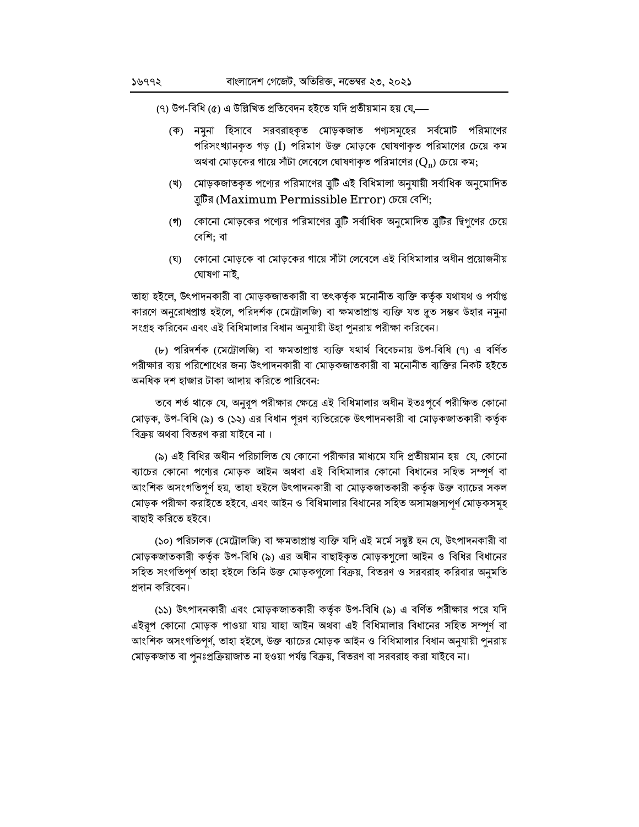(৭) উপ-বিধি (৫) এ উল্লিখিত প্রতিবেদন হইতে যদি প্রতীয়মান হয় যে,—

- (ক) নমুনা হিসাবে সরবরাহকৃত মোড়কজাত পণ্যসমূহের সর্বমোট পরিমাণের পরিসংখ্যানকৃত গড় (I) পরিমাণ উক্ত মোড়কে ঘোষণাকৃত পরিমাণের চেয়ে কম অথবা মোড়কের গায়ে সাঁটা লেবেলে ঘোষণাকৃত পরিমাণের ( $Q_n$ ) চেয়ে কম;
- (খ) মোড়কজাতকৃত পণ্যের পরিমাণের বুটি এই বিধিমালা অনুযায়ী সর্বাধিক অনুমোদিত বুটির (Maximum Permissible Error) চেয়ে বেশি;
- (গ) কোনো মোড়কের পণ্যের পরিমাণের ব্রুটি সর্বাধিক অনুমোদিত ব্রুটির দ্বিগুণের চেয়ে বেশি: বা
- (ঘ) কোনো মোড়কে বা মোড়কের গায়ে সাঁটা লেবেলে এই বিধিমালার অধীন প্রয়োজনীয় ঘোষণা নাই.

তাহা হইলে, উৎপাদনকারী বা মোড়কজাতকারী বা তৎকর্তৃক মনোনীত ব্যক্তি কর্তৃক যথাযথ ও পর্যাপ্ত কারণে অনুরোধপ্রাপ্ত হইলে, পরিদর্শক (মেট্রোলজি) বা ক্ষমতাপ্রাপ্ত ব্যক্তি যত দুত সম্ভব উহার নমুনা সংগ্রহ করিবেন এবং এই বিধিমালার বিধান অনুযায়ী উহা পুনরায় পরীক্ষা করিবেন।

(৮) পরিদর্শক (মেট্রোলজি) বা ক্ষমতাপ্রাপ্ত ব্যক্তি যথার্থ বিবেচনায় উপ-বিধি (৭) এ বর্ণিত পরীক্ষার ব্যয় পরিশোধের জন্য উৎপাদনকারী বা মোড়কজাতকারী বা মনোনীত ব্যক্তির নিকট হইতে অনধিক দশ হাজার টাকা আদায় করিতে পারিবেন:

তবে শর্ত থাকে যে, অনুরূপ পরীক্ষার ক্ষেত্রে এই বিধিমালার অধীন ইতঃপূর্বে পরীক্ষিত কোনো মোড়ক, উপ-বিধি (৯) ও (১২) এর বিধান পুরণ ব্যতিরেকে উৎপাদনকারী বা মোড়কজাতকারী কর্তৃক বিক্রয় অথবা বিতরণ করা যাইবে না।

(৯) এই বিধির অধীন পরিচালিত যে কোনো পরীক্ষার মাধ্যমে যদি প্রতীয়মান হয় যে, কোনো ব্যাচের কোনো পণ্যের মোড়ক আইন অথবা এই বিধিমালার কোনো বিধানের সহিত সম্পূর্ণ বা আংশিক অসংগতিপূর্ণ হয়, তাহা হইলে উৎপাদনকারী বা মোড়কজাতকারী কর্তৃক উক্ত ব্যাচের সকল মোড়ক পরীক্ষা করাইতে হইবে, এবং আইন ও বিধিমালার বিধানের সহিত অসামঞ্জস্যপূর্ণ মোড়কসমূহ বাছাই করিতে হইবে।

(১০) পরিচালক (মেট্রোলজি) বা ক্ষমতাপ্রাপ্ত ব্যক্তি যদি এই মর্মে সন্তুষ্ট হন যে, উৎপাদনকারী বা মোড়কজাতকারী কর্তৃক উপ-বিধি (৯) এর অধীন বাছাইকৃত মোড়কগুলো আইন ও বিধির বিধানের সহিত সংগতিপূর্ণ তাহা হইলে তিনি উক্ত মোড়কগুলো বিক্রয়, বিতরণ ও সরবরাহ করিবার অনুমতি প্রদান করিবেন।

(১১) উৎপাদনকারী এবং মোড়কজাতকারী কর্তৃক উপ-বিধি (৯) এ বর্ণিত পরীক্ষার পরে যদি এইরূপ কোনো মোড়ক পাওয়া যায় যাহা আইন অথবা এই বিধিমালার বিধানের সহিত সম্পূর্ণ বা আংশিক অসংগতিপূর্ণ, তাহা হইলে, উক্ত ব্যাচের মোড়ক আইন ও বিধিমালার বিধান অনুযায়ী পুনরায় মোড়কজাত বা পুনঃপ্রক্রিয়াজাত না হওয়া পর্যন্ত বিক্রয়, বিতরণ বা সরবরাহ করা যাইবে না।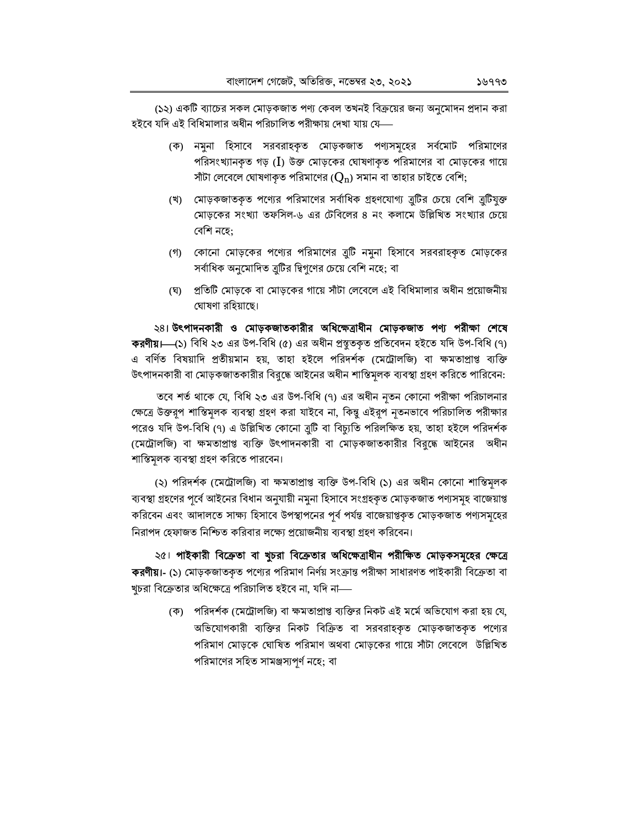(১২) একটি ব্যাচের সকল মোড়কজাত পণ্য কেবল তখনই বিক্রয়ের জন্য অনুমোদন প্রদান করা হইবে যদি এই বিধিমালার অধীন পরিচালিত পরীক্ষায় দেখা যায় যে—

- (ক) নমুনা হিসাবে সরবরাহকৃত মোড়কজাত পণ্যসমূহের সর্বমোট পরিমাণের পরিসংখ্যানকৃত গড় (I) উক্ত মোড়কের ঘোষণাকৃত পরিমাণের বা মোড়কের গায়ে সাঁটা লেবেলে ঘোষণাকৃত পরিমাণের ( $Q_n$ ) সমান বা তাহার চাইতে বেশি;
- (খ) মোড়কজাতকৃত পণ্যের পরিমাণের সর্বাধিক গ্রহণযোগ্য ত্রুটির চেয়ে বেশি ত্রুটিযুক্ত মোড়কের সংখ্যা তফসিল-৬ এর টেবিলের ৪ নং কলামে উল্লিখিত সংখ্যার চেয়ে বেশি নহে:
- (গ) কোনো মোড়কের পণ্যের পরিমাণের ব্রুটি নমুনা হিসাবে সরবরাহকৃত মোড়কের সর্বাধিক অনুমোদিত ত্রুটির দ্বিগুণের চেয়ে বেশি নহে; বা
- (ঘ) প্রতিটি মোড়কে বা মোড়কের গায়ে সাঁটা লেবেলে এই বিধিমালার অধীন প্রয়োজনীয় ঘোষণা রহিয়াছে।

২৪। উৎপাদনকারী ও মোড়কজাতকারীর অধিক্ষেত্রাধীন মোড়কজাত পণ্য পরীক্ষা শেষে কর্র**ণীয়।----**(১) বিধি ২৩ এর উপ-বিধি (৫) এর অধীন প্রস্তুতকৃত প্রতিবেদন হইতে যদি উপ-বিধি (৭) এ বর্ণিত বিষয়াদি প্রতীয়মান হয়, তাহা হইলে পরিদর্শক (মেট্রোলজি) বা ক্ষমতাপ্রাপ্ত ব্যক্তি উৎপাদনকারী বা মোড়কজাতকারীর বিরুদ্ধে আইনের অধীন শাস্তিমূলক ব্যবস্থা গ্রহণ করিতে পারিবেন:

তবে শর্ত থাকে যে, বিধি ২৩ এর উপ-বিধি (৭) এর অধীন নৃতন কোনো পরীক্ষা পরিচালনার ক্ষেত্রে উক্তরূপ শাস্তিমূলক ব্যবস্থা গ্রহণ করা যাইবে না, কিন্তু এইরূপ নৃতনভাবে পরিচালিত পরীক্ষার পরেও যদি উপ-বিধি (৭) এ উল্লিখিত কোনো ত্রুটি বা বিচ্যুতি পরিলক্ষিত হয়, তাহা হইলে পরিদর্শক (মেট্রোলজি) বা ক্ষমতাপ্রাপ্ত ব্যক্তি উৎপাদনকারী বা মোড়কজাতকারীর বিরুদ্ধে আইনের অধীন শাস্তিমূলক ব্যবস্থা গ্রহণ করিতে পারবেন।

(২) পরিদর্শক (মেট্রোলজি) বা ক্ষমতাপ্রাপ্ত ব্যক্তি উপ-বিধি (১) এর অধীন কোনো শাস্তিমূলক ব্যবস্থা গ্রহণের পূর্বে আইনের বিধান অনুযায়ী নমুনা হিসাবে সংগ্রহকৃত মোড়কজাত পণ্যসমূহ বাজেয়াপ্ত করিবেন এবং আদালতে সাক্ষ্য হিসাবে উপস্থাপনের পূর্ব পর্যন্ত বাজেয়াপ্তকৃত মোড়কজাত পণ্যসমূহের নিরাপদ হেফাজত নিশ্চিত করিবার লক্ষ্যে প্রয়োজনীয় ব্যবস্থা গ্রহণ করিবেন।

২৫। পাইকারী বিক্রেতা বা খুচরা বিক্রেতার অধিক্ষেত্রাধীন পরীক্ষিত মোড়কসমূহের ক্ষেত্রে **করণীয়।- (১) মোড়কজাতকৃত পণ্যের পরিমাণ নির্ণয় সংক্রান্ত পরীক্ষা সাধারণত পাইকারী বিক্রেতা বা** খুচরা বিক্রেতার অধিক্ষেত্রে পরিচালিত হইবে না, যদি না—

(ক) পরিদর্শক (মেট্রোলজি) বা ক্ষমতাপ্রাপ্ত ব্যক্তির নিকট এই মর্মে অভিযোগ করা হয় যে, অভিযোগকারী ব্যক্তির নিকট বিক্রিত বা সরবরাহকৃত মোড়কজাতকৃত পণ্যের পরিমাণ মোড়কে ঘোষিত পরিমাণ অথবা মোড়কের গায়ে সাঁটা লেবেলে উল্লিখিত পরিমাণের সহিত সামঞ্জস্যপর্ণ নহে; বা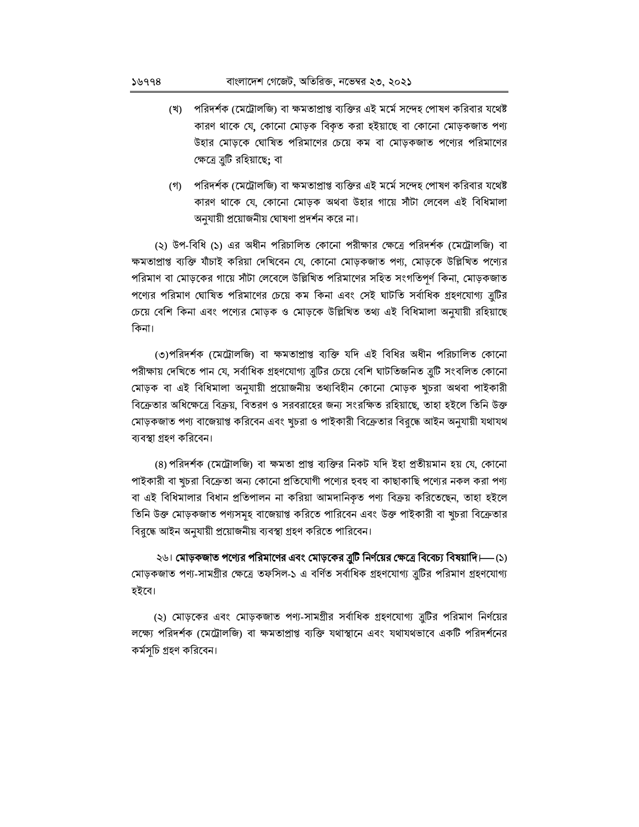- (খ) পরিদর্শক (মেট্রোলজি) বা ক্ষমতাপ্রাপ্ত ব্যক্তির এই মর্মে সন্দেহ পোষণ করিবার যথেষ্ট কারণ থাকে যে, কোনো মোড়ক বিকৃত করা হইয়াছে বা কোনো মোড়কজাত পণ্য উহার মোড়কে ঘোষিত পরিমাণের চেয়ে কম বা মোড়কজাত পণ্যের পরিমাণের ক্ষেত্রে ত্রুটি রহিয়াছে; বা
- (গ) পরিদর্শক (মেট্রোলজি) বা ক্ষমতাপ্রাপ্ত ব্যক্তির এই মর্মে সন্দেহ পোষণ করিবার যথেষ্ট কারণ থাকে যে, কোনো মোড়ক অথবা উহার গায়ে সাঁটা লেবেল এই বিধিমালা অনুযায়ী প্রয়োজনীয় ঘোষণা প্রদর্শন করে না।

(২) উপ-বিধি (১) এর অধীন পরিচালিত কোনো পরীক্ষার ক্ষেত্রে পরিদর্শক (মেট্রোলজি) বা ক্ষমতাপ্রাপ্ত ব্যক্তি যাঁচাই করিয়া দেখিবেন যে, কোনো মোড়কজাত পণ্য, মোড়কে উল্লিখিত পণ্যের পরিমাণ বা মোড়কের গায়ে সাঁটা লেবেলে উল্লিখিত পরিমাণের সহিত সংগতিপূর্ণ কিনা, মোড়কজাত পণ্যের পরিমাণ ঘোষিত পরিমাণের চেয়ে কম কিনা এবং সেই ঘাটতি সর্বাধিক গ্রহণযোগ্য ত্রুটির চেয়ে বেশি কিনা এবং পগ্যের মোড়ক ও মোড়কে উল্লিখিত তথ্য এই বিধিমালা অনুযায়ী রহিয়াছে কিনা।

(৩)পরিদর্শক (মেট্রোলজি) বা ক্ষমতাপ্রাপ্ত ব্যক্তি যদি এই বিধির অধীন পরিচালিত কোনো পরীক্ষায় দেখিতে পান যে, সর্বাধিক গ্রহণযোগ্য ত্রুটির চেয়ে বেশি ঘাটতিজনিত ত্রুটি সংবলিত কোনো মোড়ক বা এই বিধিমালা অনুযায়ী প্রয়োজনীয় তথ্যবিহীন কোনো মোড়ক খুচরা অথবা পাইকারী বিক্রেতার অধিক্ষেত্রে বিক্রয়, বিতরণ ও সরবরাহের জন্য সংরক্ষিত রহিয়াছে, তাহা হইলে তিনি উক্ত মোড়কজাত পণ্য বাজেয়াপ্ত করিবেন এবং খুচরা ও পাইকারী বিক্রেতার বিরুদ্ধে আইন অনুযায়ী যথাযথ ব্যবস্থা গ্রহণ করিবেন।

(৪) পরিদর্শক (মেট্রোলজি) বা ক্ষমতা প্রাপ্ত ব্যক্তির নিকট যদি ইহা প্রতীয়মান হয় যে, কোনো পাইকারী বা খুচরা বিক্রেতা অন্য কোনো প্রতিযোগী পণ্যের হুবহু বা কাছাকাছি পণ্যের নকল করা পণ্য বা এই বিধিমালার বিধান প্রতিপালন না করিয়া আমদানিকৃত পণ্য বিক্রয় করিতেছেন, তাহা হইলে তিনি উক্ত মোড়কজাত পণ্যসমূহ বাজেয়াপ্ত করিতে পারিবেন এবং উক্ত পাইকারী বা খচরা বিক্রেতার বিরুদ্ধে আইন অনুযায়ী প্রয়োজনীয় ব্যবস্থা গ্রহণ করিতে পারিবেন।

২৬। মোড়কজাত পণ্যের পরিমাণের এবং মোড়কের ব্রুটি নির্ণয়ের ক্ষেত্রে বিবেচ্য বিষয়াদি।— (১) মোড়কজাত পণ্য-সামগ্ৰীর ক্ষেত্রে তফসিল-১ এ বর্ণিত সর্বাধিক গ্রহণযোগ্য ত্রটির পরিমাণ গ্রহণযোগ্য হইবে।

(২) মোড়কের এবং মোড়কজাত পণ্য-সামগ্রীর সর্বাধিক গ্রহণযোগ্য ব্রুটির পরিমাণ নির্ণয়ের লক্ষ্যে পরিদর্শক (মেট্রোলজি) বা ক্ষমতাপ্রাপ্ত ব্যক্তি যথাস্থানে এবং যথাযথভাবে একটি পরিদর্শনের কৰ্মসচি গ্ৰহণ করিবেন।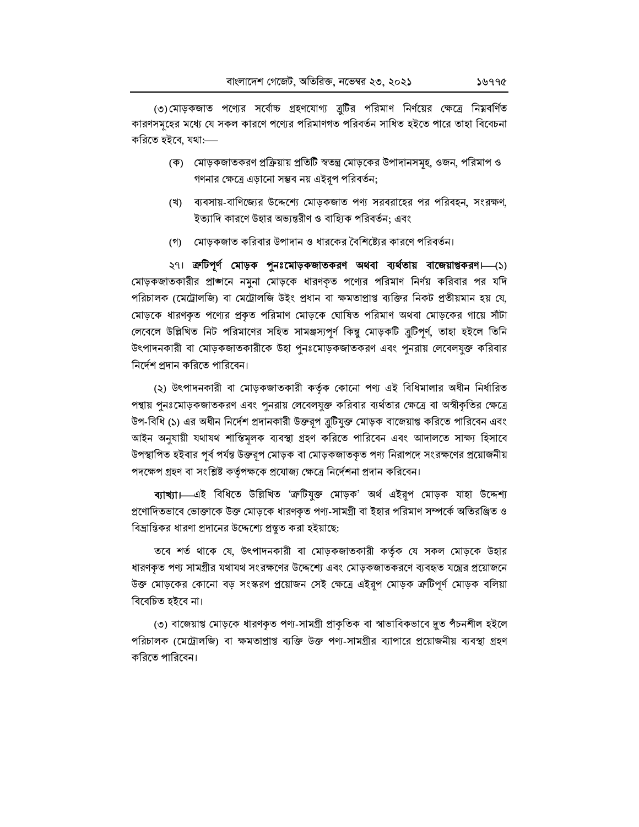(৩)মোড়কজাত পণ্যের সর্বোচ্চ গ্রহণযোগ্য ব্রুটির পরিমাণ নির্ণয়ের ক্ষেত্রে নিম্নবর্ণিত কারণসমূহের মধ্যে যে সকল কারণে পণ্যের পরিমাণগত পরিবর্তন সাধিত হইতে পারে তাহা বিবেচনা করিতে হইবে, যথা:—

- (ক) মোড়কজাতকরণ প্রক্রিয়ায় প্রতিটি স্বতন্ত্র মোড়কের উপাদানসমূহ, ওজন, পরিমাপ ও গণনার ক্ষেত্রে এড়ানো সম্ভব নয় এইরপ পরিবর্তন;
- (খ) ব্যবসায়-বাণিজ্যের উদ্দেশ্যে মোড়কজাত পণ্য সরবরাহের পর পরিবহন, সংরক্ষণ, ইত্যাদি কারণে উহার অভ্যন্তরীণ ও বাহ্যিক পরিবর্তন; এবং
- (গ) মোড়কজাত করিবার উপাদান ও ধারকের বৈশিষ্ট্যের কারণে পরিবর্তন।

২৭। ক্রটিপূর্ণ মোড়ক পুনঃমোড়কজাতকরণ অথবা ব্যর্থতায় বাজেয়াপ্তকরণ। (১) মোড়কজাতকারীর প্রাজ্ঞানে নমুনা মোড়কে ধারণকৃত পণ্যের পরিমাণ নির্ণয় করিবার পর যদি পরিচালক (মেট্রোলজি) বা মেট্রোলজি উইং প্রধান বা ক্ষমতাপ্রাপ্ত ব্যক্তির নিকট প্রতীয়মান হয় যে, মোড়কে ধারণকৃত পণ্যের প্রকৃত পরিমাণ মোড়কে ঘোষিত পরিমাণ অথবা মোড়কের গায়ে সাঁটা লেবেলে উল্লিখিত নিট পরিমাণের সহিত সামঞ্জস্যপূর্ণ কিন্তু মোড়কটি ব্রুটিপূর্ণ, তাহা হইলে তিনি উৎপাদনকারী বা মোড়কজাতকারীকে উহা পুনঃমোড়কজাতকরণ এবং পুনরায় লেবেলযুক্ত করিবার নির্দেশ প্রদান করিতে পারিবেন।

(২) উৎপাদনকারী বা মোড়কজাতকারী কর্তৃক কোনো পণ্য এই বিধিমালার অধীন নির্ধারিত পন্থায় পুনঃমোড়কজাতকরণ এবং পুনরায় লেবেলযুক্ত করিবার ব্যর্থতার ক্ষেত্রে বা অস্বীকৃতির ক্ষেত্রে উপ-বিধি (১) এর অধীন নির্দেশ প্রদানকারী উক্তরূপ ত্রুটিযুক্ত মোড়ক বাজেয়াপ্ত করিতে পারিবেন এবং আইন অনুযায়ী যথাযথ শাস্তিমূলক ব্যবস্থা গ্রহণ করিতে পারিবেন এবং আদালতে সাক্ষ্য হিসাবে উপস্থাপিত হইবার পর্ব পর্যন্ত উক্তরপ মোড়ক বা মোড়কজাতকৃত পণ্য নিরাপদে সংরক্ষণের প্রয়োজনীয় পদক্ষেপ গ্রহণ বা সংশ্লিষ্ট কর্তৃপক্ষকে প্রযোজ্য ক্ষেত্রে নির্দেশনা প্রদান করিবেন।

ব্যাখ্যা।—এই বিধিতে উল্লিখিত 'ক্ৰটিযুক্ত মোড়ক' অৰ্থ এইরূপ মোড়ক যাহা উদ্দেশ্য প্রণোদিতভাবে ভোক্তাকে উক্ত মোড়কে ধারণকৃত পণ্য-সামগ্রী বা ইহার পরিমাণ সম্পর্কে অতিরঞ্জিত ও বিভ্রান্তিকর ধারণা প্রদানের উদ্দেশ্যে প্রস্তুত করা হইয়াছে:

তবে শর্ত থাকে যে, উৎপাদনকারী বা মোড়কজাতকারী কর্তৃক যে সকল মোড়কে উহার ধারণকৃত পণ্য সামগ্রীর যথাযথ সংরক্ষণের উদ্দেশ্যে এবং মোড়কজাতকরণে ব্যবহৃত যন্ত্রের প্রয়োজনে উক্ত মোড়কের কোনো বড় সংস্করণ প্রয়োজন সেই ক্ষেত্রে এইরূপ মোড়ক ক্রটিপূর্ণ মোড়ক বলিয়া বিবেচিত হইবে না।

(৩) বাজেয়াপ্ত মোড়কে ধারণকৃত পণ্য-সামগ্রী প্রাকৃতিক বা স্বাভাবিকভাবে দুত পঁচনশীল হইলে পরিচালক (মেট্রোলজি) বা ক্ষমতাপ্রাপ্ত ব্যক্তি উক্ত পণ্য-সামগ্রীর ব্যাপারে প্রয়োজনীয় ব্যবস্থা গ্রহণ করিতে পারিবেন।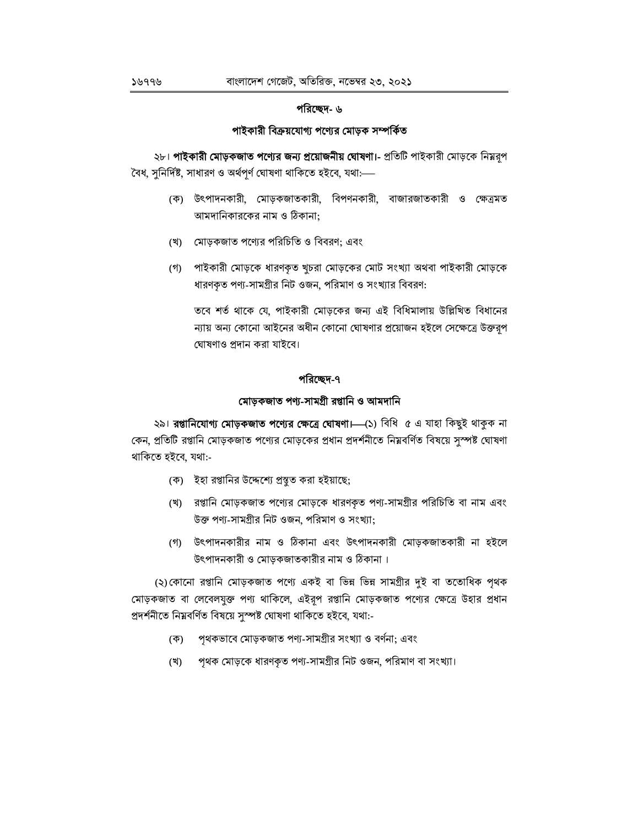## পরিচ্ছেদ- ৬

## পাইকারী বিক্রয়যোগ্য পণ্যের মোড়ক সম্পর্কিত

২৮। পাইকারী মোড়কজাত পণ্যের জন্য প্রয়োজনীয় ঘোষণা।- প্রতিটি পাইকারী মোড়কে নিম্নরূপ বৈধ, সুনির্দিষ্ট, সাধারণ ও অর্থপর্ণ ঘোষণা থাকিতে হইবে, যথা:—

- (ক) উৎপাদনকারী, মোড়কজাতকারী, বিপণনকারী, বাজারজাতকারী ও ক্ষেত্রমত আমদানিকারকের নাম ও ঠিকানা;
- (খ) মোড়কজাত পণ্যের পরিচিতি ও বিবরণ; এবং
- (গ) পাইকারী মোড়কে ধারণকৃত খুচরা মোড়কের মোট সংখ্যা অথবা পাইকারী মোড়কে ধারণকৃত পণ্য-সামগ্রীর নিট ওজন, পরিমাণ ও সংখ্যার বিবরণ:

তবে শর্ত থাকে যে, পাইকারী মোড়কের জন্য এই বিধিমালায় উল্লিখিত বিধানের ন্যায় অন্য কোনো আইনের অধীন কোনো ঘোষণার প্রয়োজন হইলে সেক্ষেত্রে উক্তরূপ ঘোষণাও প্রদান করা যাইবে।

## পরিচ্ছেদ-৭

## মোড়কজাত পণ্য-সামগ্ৰী রপ্তানি ও আমদানি

২৯। **রপ্তানিযোগ্য মোড়কজাত পণ্যের ক্ষেত্রে ঘোষণা।** (১) বিধি ৫ এ যাহা কিছুই থাকুক না কেন, প্রতিটি রপ্তানি মোড়কজাত পণ্যের মোড়কের প্রধান প্রদর্শনীতে নিম্নবর্ণিত বিষয়ে সুস্পষ্ট ঘোষণা থাকিতে হইবে, যথা:-

- (ক) ইহা রপ্তানির উদ্দেশ্যে প্রস্তুত করা হইয়াছে;
- (খ) রপ্তানি মোড়কজাত পণ্যের মোড়কে ধারণকৃত পণ্য-সামগ্রীর পরিচিতি বা নাম এবং উক্ত পণ্য-সামগ্রীর নিট ওজন, পরিমাণ ও সংখ্যা;
- (গ) উৎপাদনকারীর নাম ও ঠিকানা এবং উৎপাদনকারী মোড়কজাতকারী না হইলে উৎপাদনকারী ও মোড়কজাতকারীর নাম ও ঠিকানা।

(২)কোনো রপ্তানি মোড়কজাত পণ্যে একই বা ভিন্ন ভিন্ন সামগ্রীর দুই বা ততোধিক পৃথক মোড়কজাত বা লেবেলযুক্ত পণ্য থাকিলে, এইরূপ রপ্তানি মোড়কজাত পণ্যের ক্ষেত্রে উহার প্রধান প্ৰদৰ্শনীতে নিম্নবৰ্ণিত বিষয়ে সুস্পষ্ট ঘোষণা থাকিতে হইবে, যথা:-

- (ক) পৃথকভাবে মোড়কজাত পণ্য-সামগ্ৰীর সংখ্যা ও বর্ণনা; এবং
- পৃথক মোড়কে ধারণকৃত পণ্য-সামগ্রীর নিট ওজন, পরিমাণ বা সংখ্যা। (খ)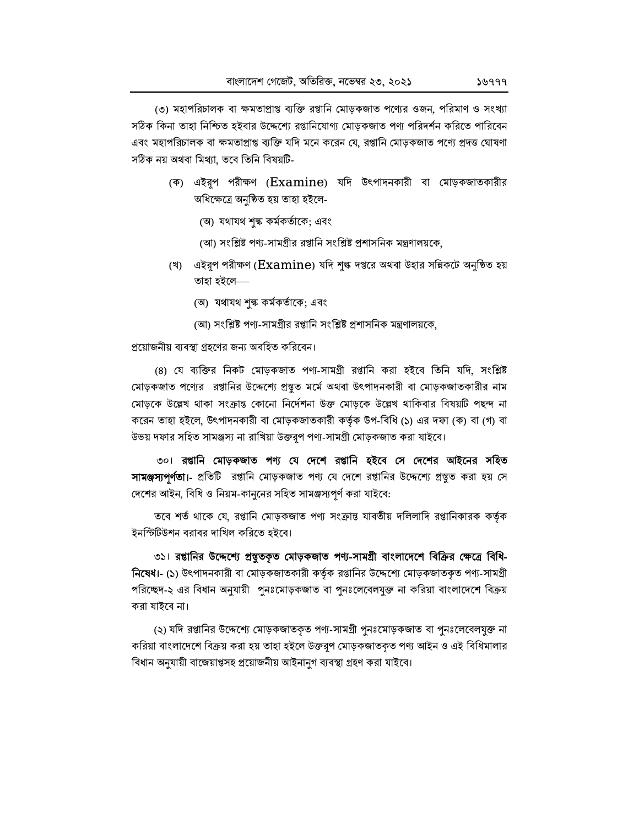(৩) মহাপরিচালক বা ক্ষমতাপ্রাপ্ত ব্যক্তি রপ্তানি মোড়কজাত পণ্যের ওজন, পরিমাণ ও সংখ্যা সঠিক কিনা তাহা নিশ্চিত হইবার উদ্দেশ্যে রপ্তানিযোগ্য মোড়কজাত পণ্য পরিদর্শন করিতে পারিবেন এবং মহাপরিচালক বা ক্ষমতাপ্রাপ্ত ব্যক্তি যদি মনে করেন যে, রপ্তানি মোড়কজাত পণ্যে প্রদত্ত ঘোষণা সঠিক নয় অথবা মিথ্যা, তবে তিনি বিষয়টি-

- (ক) এইরূপ পরীক্ষণ (Examine) যদি উৎপাদনকারী বা মোড়কজাতকারীর অধিক্ষেত্রে অনুষ্ঠিত হয় তাহা হইলে-
	- (অ) যথাযথ শৃঙ্ক কর্মকর্তাকে; এবং
	- (আ) সংশ্লিষ্ট পণ্য-সামগ্ৰীর রপ্তানি সংশ্লিষ্ট প্রশাসনিক মন্ত্রণালয়কে,
- (খ) এইরূপ পরীক্ষণ (Examine) যদি শুল্ক দপ্তরে অথবা উহার সন্নিকটে অনুষ্ঠিত হয় তাহা হইলে—
	- (অ) যথাযথ শৃঙ্ক কর্মকর্তাকে; এবং
	- (আ) সংশ্লিষ্ট পণ্য-সামগ্ৰীর রপ্তানি সংশ্লিষ্ট প্রশাসনিক মন্ত্রণালয়কে,

### প্রয়োজনীয় ব্যবস্থা গ্রহণের জন্য অবহিত করিবেন।

(৪) যে ব্যক্তির নিকট মোড়কজাত পণ্য-সামগ্রী রপ্তানি করা হইবে তিনি যদি, সংশ্লিষ্ট মোড়কজাত পণ্যের রপ্তানির উদ্দেশ্যে প্রস্তুত মর্মে অথবা উৎপাদনকারী বা মোড়কজাতকারীর নাম মোড়কে উল্লেখ থাকা সংক্রান্ত কোনো নির্দেশনা উক্ত মোড়কে উল্লেখ থাকিবার বিষয়টি পছন্দ না করেন তাহা হইলে, উৎপাদনকারী বা মোড়কজাতকারী কর্তৃক উপ-বিধি (১) এর দফা (ক) বা (গ) বা উভয় দফার সহিত সামঞ্জস্য না রাখিয়া উক্তরূপ পণ্য-সামগ্রী মোড়কজাত করা যাইবে।

৩০। রপ্তানি মোড়কজাত পণ্য যে দেশে রপ্তানি হইবে সে দেশের আইনের সহিত সামঞ্জস্যপূর্ণতা।- প্রতিটি রপ্তানি মোড়কজাত পণ্য যে দেশে রপ্তানির উদ্দেশ্যে প্রস্তুত করা হয় সে দেশের আইন, বিধি ও নিয়ম-কানুনের সহিত সামঞ্জস্যপূর্ণ করা যাইবে:

তবে শর্ত থাকে যে, রপ্তানি মোড়কজাত পণ্য সংক্রান্ত যাবতীয় দলিলাদি রপ্তানিকারক কর্তৃক ইনস্টিটিউশন বরাবর দাখিল করিতে হইবে।

৩১। রপ্তানির উদ্দেশ্যে প্রস্তুতকৃত মোড়কজাত পণ্য-সামগ্রী বাংলাদেশে বিক্রির ক্ষেত্রে বিধি-নিষেধা- (১) উৎপাদনকারী বা মোড়কজাতকারী কর্তৃক রপ্তানির উদ্দেশ্যে মোড়কজাতকৃত পণ্য-সামগ্রী পরিচ্ছেদ-২ এর বিধান অনুযায়ী পুনঃমোড়কজাত বা পুনঃলেবেলযুক্ত না করিয়া বাংলাদেশে বিক্রয় করা যাইবে না।

(২) যদি রপ্তানির উদ্দেশ্যে মোড়কজাতকৃত পণ্য-সামগ্রী পুনঃমোড়কজাত বা পুনঃলেবেলযুক্ত না করিয়া বাংলাদেশে বিক্রয় করা হয় তাহা হইলে উক্তরূপ মোড়কজাতকৃত পণ্য আইন ও এই বিধিমালার বিধান অনুযায়ী বাজেয়াপ্তসহ প্রয়োজনীয় আইনানুগ ব্যবস্থা গ্রহণ করা যাইবে।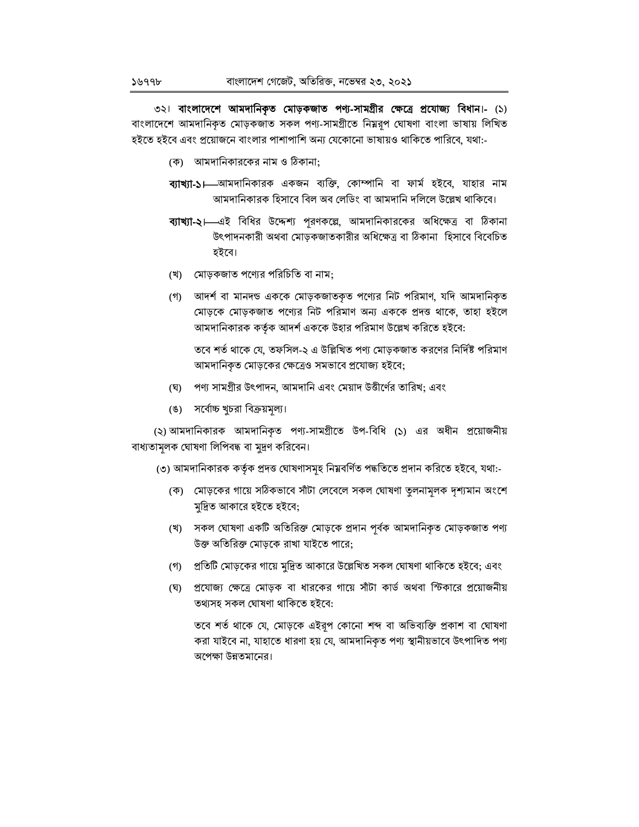৩২৷ বাংলাদেশে আমদানিকৃত মোড়কজাত পণ্য-সামগ্ৰীর ক্ষেত্রে প্রযোজ্য বিধান।- (১) বাংলাদেশে আমদানিকৃত মোড়কজাত সকল পণ্য-সামগ্ৰীতে নিম্নরূপ ঘোষণা বাংলা ভাষায় লিখিত হইতে হইবে এবং প্রয়োজনে বাংলার পাশাপাশি অন্য যেকোনো ভাষায়ও থাকিতে পারিবে, যথা:-

- (ক) আমদানিকারকের নাম ও ঠিকানা:
- ব্যাখ্যা-১। আমদানিকারক একজন ব্যক্তি, কোম্পানি বা ফার্ম হইবে, যাহার নাম আমদানিকারক হিসাবে বিল অব লেডিং বা আমদানি দলিলে উল্লেখ থাকিবে।
- ব্যাখ্যা-২।—এই বিধির উদ্দেশ্য পূরণকল্লে, আমদানিকারকের অধিক্ষেত্র বা ঠিকানা উৎপাদনকারী অথবা মোড়কজাতকারীর অধিক্ষেত্র বা ঠিকানা হিসাবে বিবেচিত হইবে।
- (খ) মোড়কজাত পণ্যের পরিচিতি বা নাম;
- (গ) আদর্শ বা মানদন্ড এককে মোড়কজাতকৃত পণ্যের নিট পরিমাণ, যদি আমদানিকৃত মোড়কে মোড়কজাত পগ্যের নিট পরিমাণ অন্য এককে প্রদত্ত থাকে, তাহা হইলে আমদানিকারক কর্তৃক আদর্শ এককে উহার পরিমাণ উল্লেখ করিতে হইবে:

তবে শর্ত থাকে যে, তফসিল-২ এ উল্লিখিত পণ্য মোড়কজাত করণের নির্দিষ্ট পরিমাণ আমদানিকৃত মোড়কের ক্ষেত্রেও সমভাবে প্রযোজ্য হইবে;

- পণ্য সামগ্রীর উৎপাদন, আমদানি এবং মেয়াদ উত্তীর্ণের তারিখ; এবং (ঘ)
- (ঙ) সর্বোচ্চ খুচরা বিক্রয়মূল্য।

(২) আমদানিকারক আমদানিকৃত পণ্য-সামগ্রীতে উপ-বিধি (১) এর অধীন প্রয়োজনীয় বাধ্যতামূলক ঘোষণা লিপিবদ্ধ বা মুদ্রণ করিবেন।

- (৩) আমদানিকারক কর্তৃক প্রদত্ত ঘোষণাসমূহ নিম্নবর্ণিত পদ্ধতিতে প্রদান করিতে হইবে, যথা:-
	- (ক) মোড়কের গায়ে সঠিকভাবে সাঁটা লেবেলে সকল ঘোষণা তুলনামূলক দৃশ্যমান অংশে মুদ্রিত আকারে হইতে হইবে;
	- (খ) সকল ঘোষণা একটি অতিরিক্ত মোড়কে প্রদান পূর্বক আমদানিকৃত মোড়কজাত পণ্য উক্ত অতিরিক্ত মোড়কে রাখা যাইতে পারে;
	- (গ) প্রতিটি মোড়কের গায়ে মুদ্রিত আকারে উল্লেখিত সকল ঘোষণা থাকিতে হইবে; এবং
	- (ঘ) প্রযোজ্য ক্ষেত্রে মোড়ক বা ধারকের গায়ে সাঁটা কার্ড অথবা স্টিকারে প্রয়োজনীয় তথ্যসহ সকল ঘোষণা থাকিতে হইবে:

তবে শর্ত থাকে যে, মোড়কে এইরূপ কোনো শব্দ বা অভিব্যক্তি প্রকাশ বা ঘোষণা করা যাইবে না, যাহাতে ধারণা হয় যে, আমদানিকৃত পণ্য স্থানীয়ভাবে উৎপাদিত পণ্য অপেক্ষা উন্নতমানের।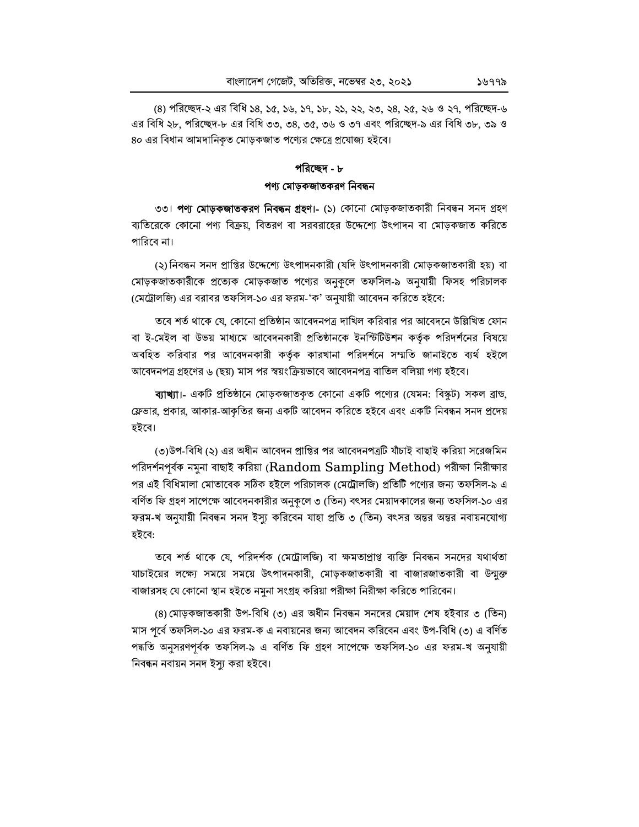(৪) পরিচ্ছেদ-২ এর বিধি ১৪, ১৫, ১৬, ১৭, ১৮, ২১, ২২, ২৩, ২৪, ২৫, ২৬ ও ২৭, পরিচ্ছেদ-৬ এর বিধি ২৮, পরিচ্ছেদ-৮ এর বিধি ৩৩, ৩৪, ৩৫, ৩৬ ও ৩৭ এবং পরিচ্ছেদ-৯ এর বিধি ৩৮, ৩৯ ও ৪০ এর বিধান আমদানিকৃত মোড়কজাত পণ্যের ক্ষেত্রে প্রযোজ্য হইবে।

## পরিচ্ছেদ - ৮ পণ্য মোড়কজাতকরণ নিবন্ধন

৩৩। **পণ্য মোড়কজাতকরণ নিবন্ধন গ্রহণ।-** (১) কোনো মোড়কজাতকারী নিবন্ধন সনদ গ্রহণ ব্যতিরেকে কোনো পণ্য বিক্রয়, বিতরণ বা সরবরাহের উদ্দেশ্যে উৎপাদন বা মোড়কজাত করিতে পারিবে না।

(২)নিবন্ধন সনদ প্রাপ্তির উদ্দেশ্যে উৎপাদনকারী (যদি উৎপাদনকারী মোড়কজাতকারী হয়) বা মোড়কজাতকারীকে প্রত্যেক মোড়কজাত পণ্যের অনুকলে তফসিল-৯ অনুযায়ী ফিসহ পরিচালক (মেট্রোলজি) এর বরাবর তফসিল-১০ এর ফরম-'ক' অনুযায়ী আবেদন করিতে হইবে:

তবে শর্ত থাকে যে, কোনো প্রতিষ্ঠান আবেদনপত্র দাখিল করিবার পর আবেদনে উল্লিখিত ফোন বা ই-মেইল বা উভয় মাধ্যমে আবেদনকারী প্রতিষ্ঠানকে ইনস্টিটিশন কর্তৃক পরিদর্শনের বিষয়ে অবহিত করিবার পর আবেদনকারী কর্তৃক কারখানা পরিদর্শনে সম্মতি জানাইতে ব্যর্থ হইলে আবেদনপত্র গ্রহণের ৬ (ছয়) মাস পর স্বয়ংক্রিয়ভাবে আবেদনপত্র বাতিল বলিয়া গণ্য হইবে।

ব্যাখ্যা।- একটি প্রতিষ্ঠানে মোড়কজাতকৃত কোনো একটি পণ্যের (যেমন: বিস্কট) সকল ব্রান্ড, ফ্লেভার, প্রকার, আকার-আকৃতির জন্য একটি আবেদন করিতে হইবে এবং একটি নিবন্ধন সনদ প্রদেয় হইবে।

(৩)উপ-বিধি (২) এর অধীন আবেদন প্রাপ্তির পর আবেদনপত্রটি যাঁচাই বাছাই করিয়া সরেজমিন পরিদর্শনপূর্বক নমুনা বাছাই করিয়া ( $\operatorname{Random\,~Sampling\,Method}$ ) পরীক্ষা নিরীক্ষার পর এই বিধিমালা মোতাবেক সঠিক হইলে পরিচালক (মেট্রোলজি) প্রতিটি পণ্যের জন্য তফসিল-৯ এ বর্ণিত ফি গ্রহণ সাপেক্ষে আবেদনকারীর অনকলে ৩ (তিন) বৎসর মেয়াদকালের জন্য তফসিল-১০ এর ফরম-খ অনুযায়ী নিবন্ধন সনদ ইস্যু করিবেন যাহা প্রতি ৩ (তিন) বৎসর অন্তর অন্তর নবায়নযোগ্য হইবে:

তবে শর্ত থাকে যে, পরিদর্শক (মেট্রোলজি) বা ক্ষমতাপ্রাপ্ত ব্যক্তি নিবন্ধন সনদের যথার্থতা যাচাইয়ের লক্ষ্যে সময়ে সময়ে উৎপাদনকারী, মোড়কজাতকারী বা বাজারজাতকারী বা উন্মক্ত বাজারসহ যে কোনো স্থান হইতে নমুনা সংগ্রহ করিয়া পরীক্ষা নিরীক্ষা করিতে পারিবেন।

(৪) মোড়কজাতকারী উপ-বিধি (৩) এর অধীন নিবন্ধন সনদের মেয়াদ শেষ হইবার ৩ (তিন) মাস পর্বে তফসিল-১০ এর ফরম-ক এ নবায়নের জন্য আবেদন করিবেন এবং উপ-বিধি (৩) এ বর্ণিত পদ্ধতি অনুসরণপূর্বক তফসিল-৯ এ বর্ণিত ফি গ্রহণ সাপেক্ষে তফসিল-১০ এর ফরম-খ অনুযায়ী নিবন্ধন নবায়ন সনদ ইস্যু করা হইবে।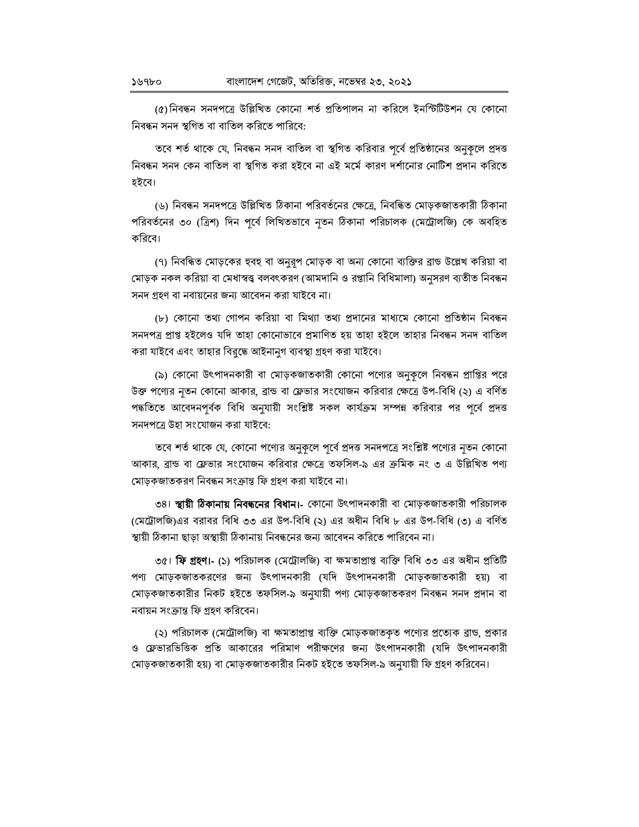(৫)নিবন্ধন সনদপত্রে উল্লিখিত কোনো শর্ত প্রতিপালন না করিলে ইনস্টিটিউশন যে কোনো নিবন্ধন সনদ স্থগিত বা বাতিল করিতে পারিবে:

তবে শর্ত থাকে যে, নিবন্ধন সনদ বাতিল বা স্থগিত করিবার পূর্বে প্রতিষ্ঠানের অনুকূলে প্রদত্ত নিবন্ধন সনদ কেন বাতিল বা স্থগিত করা হইবে না এই মর্মে কারণ দর্শানোর নোটিশ প্রদান করিতে হইবে।

(৬) নিবন্ধন সনদপত্রে উল্লিখিত ঠিকানা পরিবর্তনের ক্ষেত্রে, নিবন্ধিত মোড়কজাতকারী ঠিকানা পরিবর্তনের ৩০ (ত্রিশ) দিন পূর্বে লিখিতভাবে নৃতন ঠিকানা পরিচালক (মেট্রোলজি) কে অবহিত কবিবে।

(৭) নিবন্ধিত মোড়কের হুবহু বা অনুরূপ মোড়ক বা অন্য কোনো ব্যক্তির ব্রান্ড উল্লেখ করিয়া বা মোড়ক নকল করিয়া বা মেধাস্বত্ত্ব বলবৎকরণ (আমদানি ও রপ্তানি বিধিমালা) অনুসরণ ব্যতীত নিবন্ধন সনদ গ্ৰহণ বা নবায়নের জন্য আবেদন করা যাইবে না।

(৮) কোনো তথ্য গোপন করিয়া বা মিথ্যা তথ্য প্রদানের মাধ্যমে কোনো প্রতিষ্ঠান নিবন্ধন সনদপত্ৰ প্ৰাপ্ত হইলেও যদি তাহা কোনোভাবে প্ৰমাণিত হয় তাহা হইলে তাহার নিবন্ধন সনদ বাতিল করা যাইবে এবং তাহার বিরুদ্ধে আইনানুগ ব্যবস্থা গ্রহণ করা যাইবে।

(৯) কোনো উৎপাদনকারী বা মোড়কজাতকারী কোনো পণ্যের অনুকূলে নিবন্ধন প্রাপ্তির পরে উক্ত পণ্যের নৃতন কোনো আকার, ব্রান্ড বা ফ্লেভার সংযোজন করিবার ক্ষেত্রে উপ-বিধি (২) এ বর্ণিত পদ্ধতিতে আবেদনপূৰ্বক বিধি অনুযায়ী সংশ্লিষ্ট সকল কাৰ্যক্ৰম সম্পন্ন করিবার পর পূৰ্বে প্রদত্ত সনদপত্রে উহা সংযোজন করা যাইবে:

তবে শর্ত থাকে যে, কোনো পণ্যের অনুকূলে পূর্বে প্রদত্ত সনদপত্রে সংশ্লিষ্ট পণ্যের নৃতন কোনো আকার, ব্রান্ড বা ফ্লেভার সংযোজন করিবার ক্ষেত্রে তফসিল-৯ এর ক্রমিক নং ৩ এ উল্লিখিত পণ্য মোড়কজাতকরণ নিবন্ধন সংক্রান্ত ফি গ্রহণ করা যাইবে না।

৩৪। **স্থায়ী ঠিকানায় নিবন্ধনের বিধান।-** কোনো উৎপাদনকারী বা মোড়কজাতকারী পরিচালক (মেট্রোলজি)এর বরাবর বিধি ৩৩ এর উপ-বিধি (২) এর অধীন বিধি ৮ এর উপ-বিধি (৩) এ বর্ণিত স্থায়ী ঠিকানা ছাড়া অস্থায়ী ঠিকানায় নিবন্ধনের জন্য আবেদন করিতে পারিবেন না।

৩৫। **ফি গ্রহণ।- (১)** পরিচালক (মেট্রোলজি) বা ক্ষমতাপ্রাপ্ত ব্যক্তি বিধি ৩৩ এর অধীন প্রতিটি পণ্য মোড়কজাতকরণের জন্য উৎপাদনকারী (যদি উৎপাদনকারী মোড়কজাতকারী হয়) বা মোড়কজাতকারীর নিকট হইতে তফসিল-৯ অনুযায়ী পণ্য মোড়কজাতকরণ নিবন্ধন সনদ প্রদান বা নবায়ন সংক্রান্ত ফি গ্রহণ করিবেন।

(২) পরিচালক (মেট্রোলজি) বা ক্ষমতাপ্রাপ্ত ব্যক্তি মোড়কজাতকৃত পণ্যের প্রত্যেক ব্রাঙ, প্রকার ও ফ্লেভারভিত্তিক প্রতি আকারের পরিমাণ পরীক্ষণের জন্য উৎপাদনকারী (যদি উৎপাদনকারী মোড়কজাতকারী হয়) বা মোড়কজাতকারীর নিকট হইতে তফসিল-৯ অনুযায়ী ফি গ্রহণ করিবেন।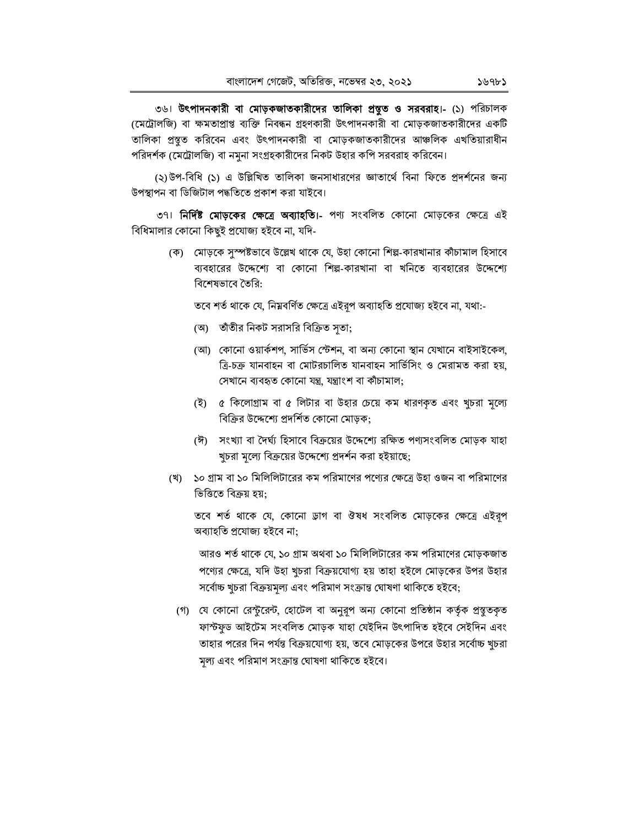৩৬। উৎপাদনকারী বা মোড়কজাতকারীদের তালিকা প্রন্থুত ও সরবরাহ।- (১) পরিচালক (মেট্রোলজি) বা ক্ষমতাপ্রাপ্ত ব্যক্তি নিবন্ধন গ্রহণকারী উৎপাদনকারী বা মোড়কজাতকারীদের একটি তালিকা প্রস্তুত করিবেন এবং উৎপাদনকারী বা মোড়কজাতকারীদের আঞ্চলিক এখতিয়ারাধীন পরিদর্শক (মেট্রোলজি) বা নমুনা সংগ্রহকারীদের নিকট উহার কপি সরবরাহ করিবেন।

(২)উপ-বিধি (১) এ উল্লিখিত তালিকা জনসাধারণের জ্ঞাতার্থে বিনা ফিতে প্রদর্শনের জন্য উপস্থাপন বা ডিজিটাল পদ্ধতিতে প্রকাশ করা যাইবে।

৩৭। **নির্দিষ্ট মোড়কের ক্ষেত্রে অব্যাহতি।-** পণ্য সংবলিত কোনো মোড়কের ক্ষেত্রে এই বিধিমালার কোনো কিছুই প্রযোজ্য হইবে না, যদি-

> (ক) মোড়কে সুস্পষ্টভাবে উল্লেখ থাকে যে, উহা কোনো শিল্প-কারখানার কাঁচামাল হিসাবে ব্যবহারের উদ্দেশ্যে বা কোনো শিল্প-কারখানা বা খনিতে ব্যবহারের উদ্দেশ্যে বিশেষভাবে তৈরি:

তবে শর্ত থাকে যে, নিম্নবর্ণিত ক্ষেত্রে এইরূপ অব্যাহতি প্রযোজ্য হইবে না, যথা:-

- (অ) তাঁতীর নিকট সরাসরি বিক্রিত সতা;
- (আ) কোনো ওয়ার্কশপ, সার্ভিস স্টেশন, বা অন্য কোনো স্থান যেখানে বাইসাইকেল, ত্রি-চক্র যানবাহন বা মোটরচালিত যানবাহন সার্ভিসিং ও মেরামত করা হয়, সেখানে ব্যবহৃত কোনো যন্ত্ৰ, যন্ত্ৰাংশ বা কাঁচামাল;
- (ই) ৫ কিলোগ্রাম বা ৫ লিটার বা উহার চেয়ে কম ধারণকৃত এবং খুচরা মূল্যে বিক্রির উদ্দেশ্যে প্রদর্শিত কোনো মোড়ক:
- (ঈ) সংখ্যা বা দৈর্ঘ্য হিসাবে বিক্রয়ের উদ্দেশ্যে রক্ষিত পণ্যসংবলিত মোড়ক যাহা খুচরা মূল্যে বিক্রয়ের উদ্দেশ্যে প্রদর্শন করা হইয়াছে;
- (খ) ১০ গ্রাম বা ১০ মিলিলিটারের কম পরিমাণের পণ্যের ক্ষেত্রে উহা ওজন বা পরিমাণের ভিত্তিতে বিক্রয় হয়:

তবে শর্ত থাকে যে, কোনো ড্রাগ বা ঔষধ সংবলিত মোড়কের ক্ষেত্রে এইরূপ অব্যাহতি প্ৰযোজ্য হইবে না:

আরও শর্ত থাকে যে, ১০ গ্রাম অথবা ১০ মিলিলিটারের কম পরিমাণের মোড়কজাত পণ্যের ক্ষেত্রে, যদি উহা খুচরা বিক্রয়যোগ্য হয় তাহা হইলে মোড়কের উপর উহার সৰ্বোচ্চ খুচরা বিক্রয়মূল্য এবং পরিমাণ সংক্রান্ত ঘোষণা থাকিতে হইবে;

(গ) যে কোনো রেন্টুরেন্ট, হোটেল বা অনুরূপ অন্য কোনো প্রতিষ্ঠান কর্তৃক প্রস্থুতকৃত ফাস্টফুড আইটেম সংবলিত মোড়ক যাহা যেইদিন উৎপাদিত হইবে সেইদিন এবং তাহার পরের দিন পর্যন্ত বিক্রয়যোগ্য হয়, তবে মোড়কের উপরে উহার সর্বোচ্চ খুচরা মূল্য এবং পরিমাণ সংক্রান্ত ঘোষণা থাকিতে হইবে।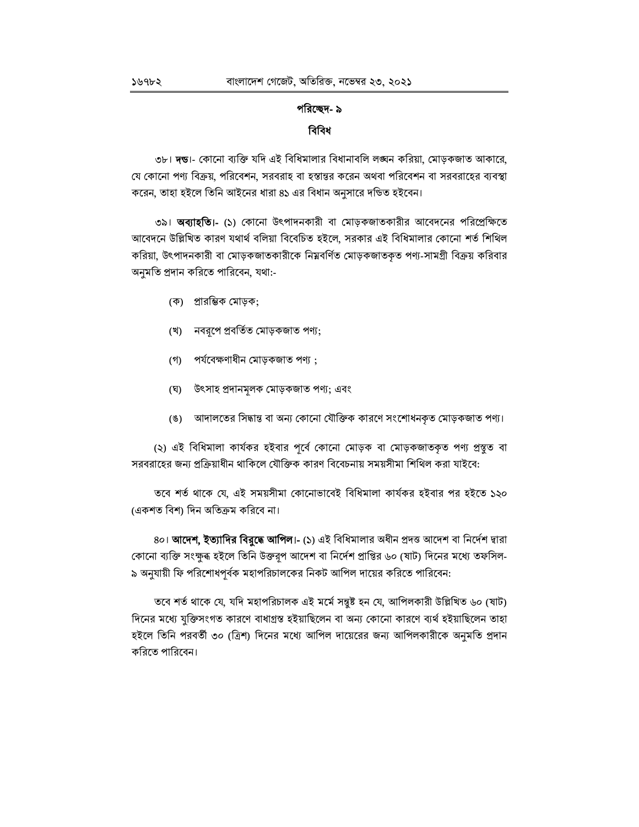## পরিচ্ছেদ- ৯ বিবিধ

৩৮। দন্ডা- কোনো ব্যক্তি যদি এই বিধিমালার বিধানাবলি লঙ্ঘন করিয়া, মোড়কজাত আকারে, যে কোনো পণ্য বিক্রয়, পরিবেশন, সরবরাহ বা হস্তান্তর করেন অথবা পরিবেশন বা সরবরাহের ব্যবস্থা করেন, তাহা হইলে তিনি আইনের ধারা ৪১ এর বিধান অনুসারে দন্ডিত হইবেন।

৩৯। **অব্যাহতি।-** (১) কোনো উৎপাদনকারী বা মোড়কজাতকারীর আবেদনের পরিপ্রেক্ষিতে আবেদনে উল্লিখিত কারণ যথার্থ বলিয়া বিবেচিত হইলে, সরকার এই বিধিমালার কোনো শর্ত শিথিল করিয়া, উৎপাদনকারী বা মোড়কজাতকারীকে নিম্নবর্ণিত মোড়কজাতকৃত পণ্য-সামগ্রী বিক্রয় করিবার অনুমতি প্রদান করিতে পারিবেন, যথা:-

- (ক) প্রারম্ভিক মোড়ক;
- (খ) নবরূপে প্রবর্তিত মোড়কজাত পণ্য;
- $($ গী পৰ্যবেক্ষণাধীন মোড়কজাত পণ্য ;
- (ঘ) উৎসাহ প্ৰদানমূলক মোড়কজাত পণ্য; এবং
- $(8)$ আদালতের সিদ্ধান্ত বা অন্য কোনো যৌক্তিক কারণে সংশোধনকৃত মোড়কজাত পণ্য।

(২) এই বিধিমালা কাৰ্যকর হইবার পূর্বে কোনো মোড়ক বা মোড়কজাতকৃত পণ্য প্রস্তুত বা সরবরাহের জন্য প্রক্রিয়াধীন থাকিলে যৌক্তিক কারণ বিবেচনায় সময়সীমা শিথিল করা যাইবে:

তবে শর্ত থাকে যে, এই সময়সীমা কোনোভাবেই বিধিমালা কার্যকর হইবার পর হইতে ১২০ (একশত বিশ) দিন অতিক্ৰম করিবে না।

8০। **আদেশ, ইত্যাদির বিরুদ্ধে আপিল।-** (১) এই বিধিমালার অধীন প্রদত্ত আদেশ বা নির্দেশ দ্বারা কোনো ব্যক্তি সংক্ষুৰ হইলে তিনি উক্তরূপ আদেশ বা নির্দেশ প্রাপ্তির ৬০ (ষাট) দিনের মধ্যে তফসিল-৯ অনুযায়ী ফি পরিশোধপূর্বক মহাপরিচালকের নিকট আপিল দায়ের করিতে পারিবেন:

তবে শর্ত থাকে যে, যদি মহাপরিচালক এই মর্মে সন্তুষ্ট হন যে, আপিলকারী উল্লিখিত ৬০ (ষাট) দিনের মধ্যে যুক্তিসংগত কারণে বাধাগ্রস্ত হইয়াছিলেন বা অন্য কোনো কারণে ব্যর্থ হইয়াছিলেন তাহা হইলে তিনি পরবর্তী ৩০ (ত্রিশ) দিনের মধ্যে আপিল দায়েরের জন্য আপিলকারীকে অনুমতি প্রদান করিতে পারিবেন।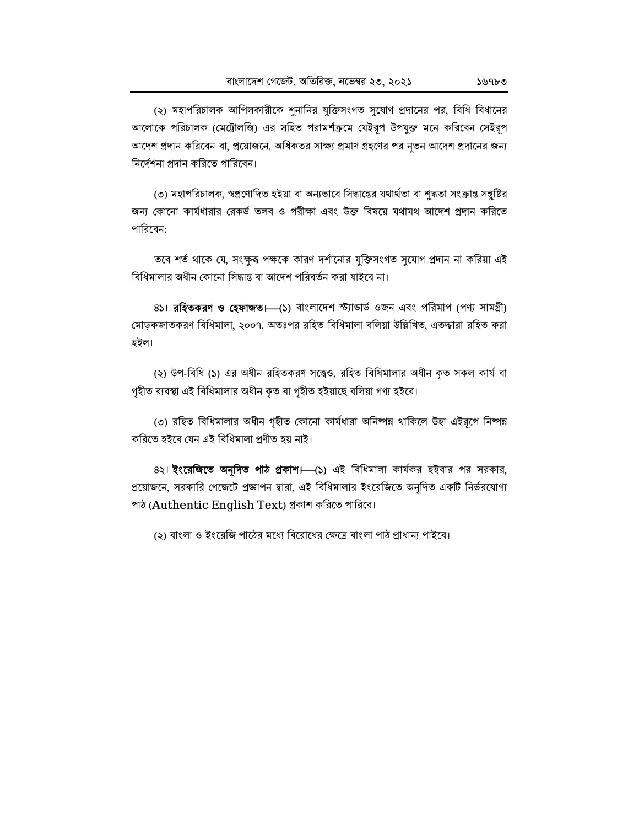(২) মহাপরিচালক আপিলকারীকে শুনানির যুক্তিসংগত সুযোগ প্রদানের পর, বিধি বিধানের আলোকে পরিচালক (মেট্রোলজি) এর সহিত পরামর্শক্রমে যেইরূপ উপযুক্ত মনে করিবেন সেইরূপ আদেশ প্রদান করিবেন বা, প্রয়োজনে, অধিকতর সাক্ষ্য প্রমাণ গ্রহণের পর নৃতন আদেশ প্রদানের জন্য নির্দেশনা প্রদান করিতে পারিবেন।

(৩) মহাপরিচালক, স্বপ্রণোদিত হইয়া বা অন্যভাবে সিদ্ধান্তের যথার্থতা বা শুদ্ধতা সংক্রান্ত সন্তুষ্টির জন্য কোনো কার্যধারার রেকর্ড তলব ও পরীক্ষা এবং উক্ত বিষয়ে যথাযথ আদেশ প্রদান করিতে পারিবেন:

তবে শর্ত থাকে যে, সংক্ষুৰূ পক্ষকে কারণ দর্শানোর যুক্তিসংগত সুযোগ প্রদান না করিয়া এই বিধিমালার অধীন কোনো সিদ্ধান্ত বা আদেশ পরিবর্তন করা যাইবে না।

8১। রহিতকরণ ও হেফাজত। (১) বাংলাদেশ স্ট্যান্ডার্ড ওজন এবং পরিমাপ (পণ্য সামগ্রী) মোড়কজাতকরণ বিধিমালা, ২০০৭, অতঃপর রহিত বিধিমালা বলিয়া উল্লিখিত, এতদ্দারা রহিত করা হইল।

(২) উপ-বিধি (১) এর অধীন রহিতকরণ সত্ত্বেও, রহিত বিধিমালার অধীন কৃত সকল কার্য বা গৃহীত ব্যবস্থা এই বিধিমালার অধীন কৃত বা গৃহীত হইয়াছে বলিয়া গণ্য হইবে।

(৩) রহিত বিধিমালার অধীন গৃহীত কোনো কার্যধারা অনিষ্পন্ন থাকিলে উহা এইরূপে নিষ্পন্ন করিতে হইবে যেন এই বিধিমালা প্রণীত হয় নাই।

8২। **ইংরেজিতে অনূদিত পাঠ প্রকাশ।** (১) এই বিধিমালা কার্যকর হইবার পর সরকার, প্রয়োজনে, সরকারি গেজেটে প্রজ্ঞাপন দ্বারা, এই বিধিমালার ইংরেজিতে অনূদিত একটি নির্ভরযোগ্য পাঠ (Authentic English Text) প্রকাশ করিতে পারিবে।

(২) বাংলা ও ইংরেজি পাঠের মধ্যে বিরোধের ক্ষেত্রে বাংলা পাঠ প্রাধান্য পাইবে।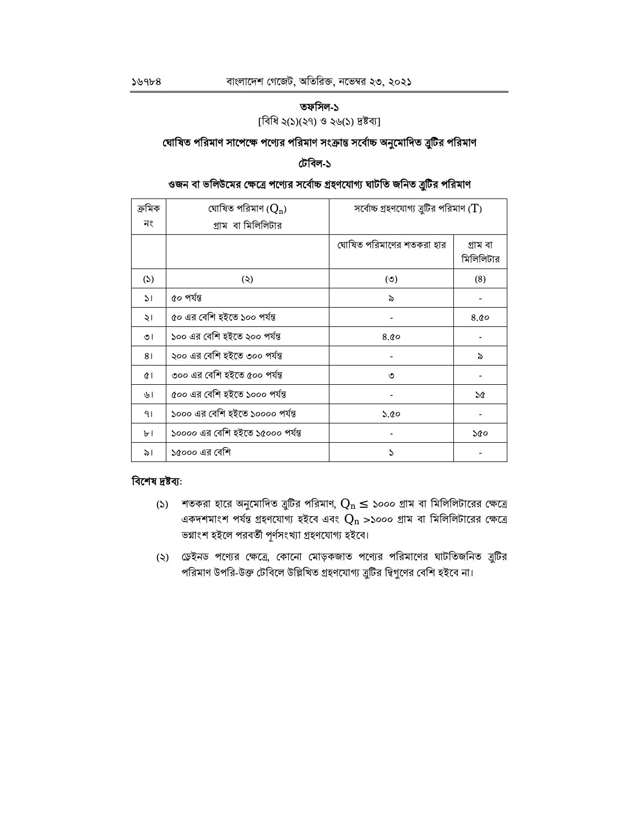#### $5968$

## তফসিল-১

[বিধি ২(১)(২৭) ও ২৬(১) দ্রষ্টব্য]

## ঘোষিত পরিমাণ সাপেক্ষে পণ্যের পরিমাণ সংক্রান্ত সর্বোচ্চ অনুমোদিত ব্রুটির পরিমাণ

## টেবিল-১

## ওজন বা ভলিউমের ক্ষেত্রে পণ্যের সর্বোচ্চ গ্রহণযোগ্য ঘাটতি জনিত ত্রুটির পরিমাণ

| ক্ৰমিক        | ঘোষিত পরিমাণ $(Q_n)$             | সর্বোচ্চ গ্রহণযোগ্য ব্রুটির পরিমাণ $(T)$ |                       |
|---------------|----------------------------------|------------------------------------------|-----------------------|
| নং            | গ্ৰাম বা মিলিলিটার               |                                          |                       |
|               |                                  | ঘোষিত পরিমাণের শতকরা হার                 | গ্ৰাম বা<br>মিলিলিটার |
| (5)           | (5)                              | (5)                                      | (8)                   |
| $\mathcal{L}$ | ৫০ পৰ্যন্ত                       | ৯                                        |                       |
| ২।            | ৫০ এর বেশি হইতে ১০০ পর্যন্ত      |                                          | 8.00                  |
| ৩৷            | ১০০ এর বেশি হইতে ২০০ পর্যন্ত     | 8.00                                     |                       |
| 81            | ২০০ এর বেশি হইতে ৩০০ পর্যন্ত     |                                          | ৯                     |
| $\alpha$      | ৩০০ এর বেশি হইতে ৫০০ পর্যন্ত     | ৩                                        |                       |
| ৬।            | ৫০০ এর বেশি হইতে ১০০০ পর্যন্ত    |                                          | ১৫                    |
| 91            | ১০০০ এর বেশি হইতে ১০০০০ পর্যন্ত  | ১.৫০                                     |                       |
| ৮।            | ১০০০০ এর বেশি হইতে ১৫০০০ পর্যন্ত |                                          | ১৫০                   |
| ৯।            | ১৫০০০ এর বেশি                    | S                                        |                       |

## বিশেষ দ্ৰষ্টব্য:

- (১) শতকরা হারে অনুমোদিত ত্রুটির পরিমাণ,  $Q_n \leq$  ১০০০ গ্রাম বা মিলিলিটারের ক্ষেত্রে একদশমাংশ পর্যন্ত গ্রহণযোগ্য হইবে এবং  $\mathbf{Q}_\mathrm{n}$  >১০০০ গ্রাম বা মিলিলিটারের ক্ষেত্রে ভগ্নাংশ হইলে পরবর্তী পূর্ণসংখ্যা গ্রহণযোগ্য হইবে।
- (২) ডেইনড পণ্যের ক্ষেত্রে, কোনো মোড়কজাত পণ্যের পরিমাণের ঘাটতিজনিত ত্রুটির পরিমাণ উপরি-উক্ত টেবিলে উল্লিখিত গ্রহণযোগ্য ত্রুটির দ্বিগুণের বেশি হইবে না।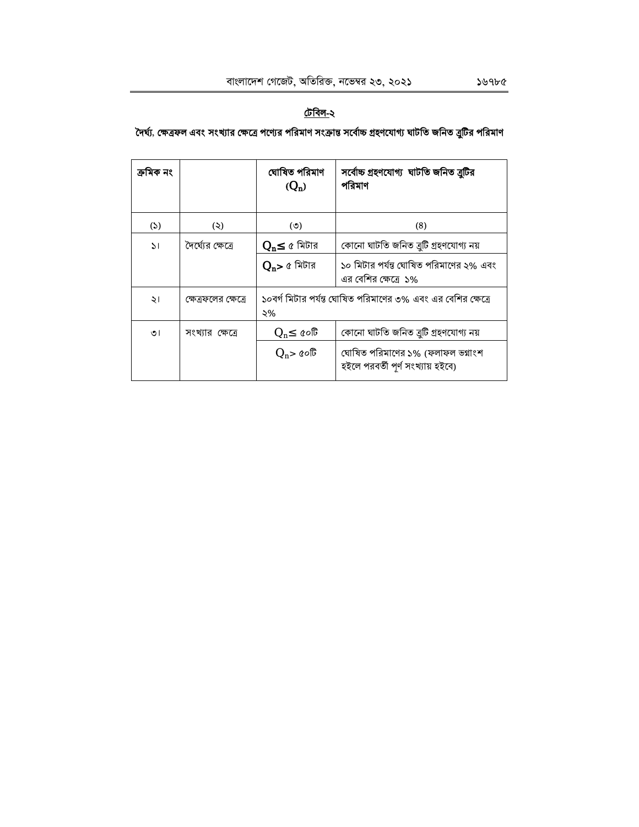## <u>টেবিল-</u>২

## দৈর্ঘ্য, ক্ষেত্রফল এবং সংখ্যার ক্ষেত্রে পণ্যের পরিমাণ সংক্রান্ত সর্বোচ্চ গ্রহণযোগ্য ঘাটতি জনিত ত্রুটির পরিমাণ

| ক্ৰামক নং    |                      | ঘোষিত পরিমাণ<br>$(Q_n)$ | সর্বোচ্চ গ্রহণযোগ্য  ঘাটতি জনিত ব্রুটির<br>পরিমাণ                     |
|--------------|----------------------|-------------------------|-----------------------------------------------------------------------|
| (5)          | (5)                  | (5)                     | (8)                                                                   |
| $\mathsf{S}$ | দৈৰ্ঘ্যের ক্ষেত্রে   | $Q_n \leq c$ মিটার      | কোনো ঘাটতি জনিত ব্ৰুটি গ্ৰহণযোগ্য নয়                                 |
|              |                      | $Q_n$ > ৫ মিটার         | ১০ মিটার পর্যন্ত ঘোষিত পরিমাণের ২% এবং<br>এর বেশির ক্ষেত্রে ১%        |
| ২।           | ক্ষেত্রফলের ক্ষেত্রে | ২%                      | ১০বর্গ মিটার পর্যন্ত ঘোষিত পরিমাণের ৩% এবং এর বেশির ক্ষেত্রে          |
| ৩।           | সংখ্যার ক্ষেত্রে     | $Q_n \leq \alpha$ ০টি   | কোনো ঘাটতি জনিত ব্ৰুটি গ্ৰহণযোগ্য নয়                                 |
|              |                      | $Q_n$ > ৫০টি            | ঘোষিত পরিমাণের ১% (ফলাফল ভগ্নাংশ<br>হইলে পরবর্তী পূর্ণ সংখ্যায় হইবে) |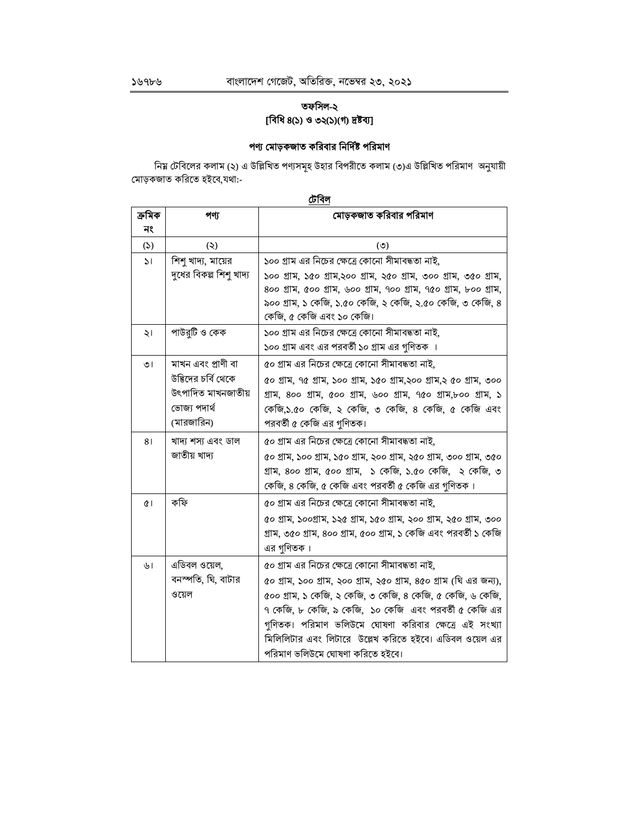## তফসিল-২ [বিধি ৪(১) ও ৩২(১)(গ) দ্রষ্টব্য]

## পণ্য মোড়কজাত করিবার নির্দিষ্ট পরিমাণ

নিয় টেবিলের কলাম (২) এ উল্লিখিত পণ্যসমূহ উহার বিপরীতে কলাম (৩)এ উল্লিখিত পরিমাণ অনুযায়ী মোড়কজাত করিতে হইবে,যথা:-

টেবিল

| ক্ৰমিক       | পণ্য                    | মোড়কজাত করিবার পরিমাণ                                               |
|--------------|-------------------------|----------------------------------------------------------------------|
| নং           |                         |                                                                      |
| (5)          | (5)                     | (5)                                                                  |
| $\mathsf{S}$ | শিশু খাদ্য, মায়ের      | ১০০ গ্রাম এর নিচের ক্ষেত্রে কোনো সীমাবদ্ধতা নাই,                     |
|              | দুধের বিকল্প শিশু খাদ্য | ১০০ গ্ৰাম, ১৫০ গ্ৰাম,২০০ গ্ৰাম, ২৫০ গ্ৰাম, ৩০০ গ্ৰাম, ৩৫০ গ্ৰাম,     |
|              |                         | 800 গ্ৰাম, ৫০০ গ্ৰাম, ৬০০ গ্ৰাম, ৭০০ গ্ৰাম, ৭৫০ গ্ৰাম, ৮০০ গ্ৰাম,    |
|              |                         | ৯০০ গ্রাম, ১ কেজি, ১.৫০ কেজি, ২ কেজি, ২.৫০ কেজি, ৩ কেজি, ৪           |
|              |                         | কেজি, ৫ কেজি এবং ১০ কেজি।                                            |
| ২।           | পাউর্টি ও কেক           | ১০০ গ্রাম এর নিচের ক্ষেত্রে কোনো সীমাবদ্ধতা নাই,                     |
|              |                         | ১০০ গ্রাম এবং এর পরবর্তী ১০ গ্রাম এর গুণিতক ।                        |
| ৩।           | মাখন এবং প্রাণী বা      | ৫০ গ্রাম এর নিচের ক্ষেত্রে কোনো সীমাবদ্ধতা নাই,                      |
|              | উদ্ভিদের চর্বি থেকে     | ৫০ গ্ৰাম, ৭৫ গ্ৰাম, ১০০ গ্ৰাম, ১৫০ গ্ৰাম,২০০ গ্ৰাম,২ ৫০ গ্ৰাম, ৩০০   |
|              | উৎপাদিত মাখনজাতীয়      | গ্ৰাম, 800 গ্ৰাম, ৫00 গ্ৰাম, ৬00 গ্ৰাম, ৭৫০ গ্ৰাম,৮০০ গ্ৰাম, ১       |
|              | ভোজ্য পদাৰ্থ            | কেজি,১.৫০ কেজি, ২ কেজি, ৩ কেজি, ৪ কেজি, ৫ কেজি এবং                   |
|              | (মারজারিন)              | পরবর্তী ৫ কেজি এর গুণিতক।                                            |
| 81           | খাদ্য শস্য এবং ডাল      | ৫০ গ্রাম এর নিচের ক্ষেত্রে কোনো সীমাবদ্ধতা নাই,                      |
|              | জাতীয় খাদ্য            | ৫০ গ্ৰাম, ১০০ গ্ৰাম, ১৫০ গ্ৰাম, ২০০ গ্ৰাম, ২৫০ গ্ৰাম, ৩০০ গ্ৰাম, ৩৫০ |
|              |                         | গ্রাম, ৪০০ গ্রাম, ৫০০ গ্রাম, ১ কেজি, ১.৫০ কেজি, ২ কেজি, ৩            |
|              |                         | কেজি, ৪ কেজি, ৫ কেজি এবং পরবর্তী ৫ কেজি এর গণিতক।                    |
| ¢۱           | কফি                     | ৫০ গ্রাম এর নিচের ক্ষেত্রে কোনো সীমাবদ্ধতা নাই,                      |
|              |                         | ৫০ গ্ৰাম, ১০০গ্ৰাম, ১২৫ গ্ৰাম, ১৫০ গ্ৰাম, ২০০ গ্ৰাম, ২৫০ গ্ৰাম, ৩০০  |
|              |                         | গ্ৰাম, ৩৫০ গ্ৰাম, ৪০০ গ্ৰাম, ৫০০ গ্ৰাম, ১ কেজি এবং পরবৰ্তী ১ কেজি    |
|              |                         | এর গুণিতক।                                                           |
| ৬।           | এডিবল ওয়েল,            | ৫০ গ্রাম এর নিচের ক্ষেত্রে কোনো সীমাবদ্ধতা নাই,                      |
|              | বনস্পতি, ঘি, বাটার      | ৫০ গ্ৰাম, ১০০ গ্ৰাম, ২০০ গ্ৰাম, ২৫০ গ্ৰাম, ৪৫০ গ্ৰাম (ঘি এর জন্য),   |
|              | ওয়েল                   | ৫০০ গ্রাম, ১ কেজি, ২ কেজি, ৩ কেজি, ৪ কেজি, ৫ কেজি, ৬ কেজি,           |
|              |                         | ৭ কেজি, ৮ কেজি, ৯ কেজি, ১০ কেজি এবং পরবর্তী ৫ কেজি এর                |
|              |                         | গুণিতক। পরিমাণ ভলিউমে ঘোষণা করিবার ক্ষেত্রে এই সংখ্যা                |
|              |                         | মিলিলিটার এবং লিটারে উল্লেখ করিতে হইবে। এডিবল ওয়েল এর               |
|              |                         | পরিমাণ ভলিউমে ঘোষণা করিতে হইবে।                                      |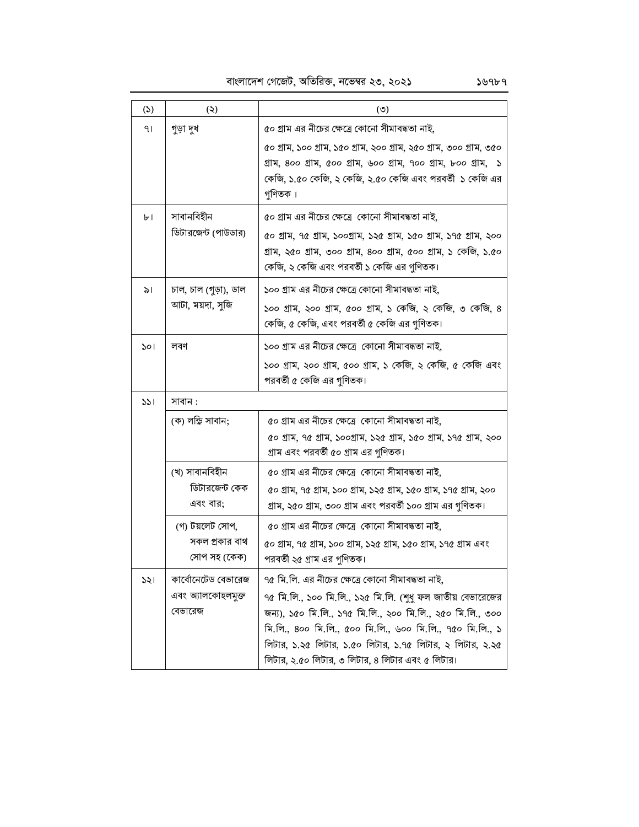বাংলাদেশ গেজেট, অতিরিক্ত, নভেম্বর ২৩, ২০২১

| (5) | (5)                                                  | $\circledcirc$                                                                                                                                                                                                                                                                                                                                             |
|-----|------------------------------------------------------|------------------------------------------------------------------------------------------------------------------------------------------------------------------------------------------------------------------------------------------------------------------------------------------------------------------------------------------------------------|
| 91  | গুড়া দুধ                                            | ৫০ গ্রাম এর নীচের ক্ষেত্রে কোনো সীমাবদ্ধতা নাই,                                                                                                                                                                                                                                                                                                            |
|     |                                                      | ৫০ গ্ৰাম, ১০০ গ্ৰাম, ১৫০ গ্ৰাম, ২০০ গ্ৰাম, ২৫০ গ্ৰাম, ৩০০ গ্ৰাম, ৩৫০<br>গ্ৰাম, 800 গ্ৰাম, ৫০০ গ্ৰাম, ৬০০ গ্ৰাম, ৭০০ গ্ৰাম, ৮০০ গ্ৰাম, ১<br>কেজি, ১.৫০ কেজি, ২ কেজি, ২.৫০ কেজি এবং পরবর্তী ১ কেজি এর<br>গুণিতক।                                                                                                                                             |
| ৮।  | সাবানবিহীন<br>ডিটারজেন্ট (পাউডার)                    | ৫০ গ্রাম এর নীচের ক্ষেত্রে কোনো সীমাবদ্ধতা নাই,<br>৫০ গ্ৰাম, ৭৫ গ্ৰাম, ১০০গ্ৰাম, ১২৫ গ্ৰাম, ১৫০ গ্ৰাম, ১৭৫ গ্ৰাম, ২০০<br>গ্ৰাম, ২৫০ গ্ৰাম, ৩০০ গ্ৰাম, ৪০০ গ্ৰাম, ৫০০ গ্ৰাম, ১ কেজি, ১.৫০<br>কেজি, ২ কেজি এবং পরবর্তী ১ কেজি এর গুণিতক।                                                                                                                     |
| ৯।  | চাল, চাল (গুড়া), ডাল<br>আটা, ময়দা, সুজি            | ১০০ গ্রাম এর নীচের ক্ষেত্রে কোনো সীমাবদ্ধতা নাই,<br>১০০ গ্রাম, ২০০ গ্রাম, ৫০০ গ্রাম, ১ কেজি, ২ কেজি, ৩ কেজি, ৪<br>কেজি, ৫ কেজি, এবং পরবর্তী ৫ কেজি এর গুণিতক।                                                                                                                                                                                              |
| ১০। | লবণ                                                  | ১০০ গ্রাম এর নীচের ক্ষেত্রে কোনো সীমাবদ্ধতা নাই,<br>১০০ গ্ৰাম, ২০০ গ্ৰাম, ৫০০ গ্ৰাম, ১ কেজি, ২ কেজি, ৫ কেজি এবং                                                                                                                                                                                                                                            |
|     |                                                      | পরবর্তী ৫ কেজি এর গুণিতক।                                                                                                                                                                                                                                                                                                                                  |
| 331 | সাবান :                                              |                                                                                                                                                                                                                                                                                                                                                            |
|     | (ক) লন্ডি সাবান;                                     | ৫০ গ্রাম এর নীচের ক্ষেত্রে কোনো সীমাবদ্ধতা নাই,<br>৫০ গ্ৰাম, ৭৫ গ্ৰাম, ১০০গ্ৰাম, ১২৫ গ্ৰাম, ১৫০ গ্ৰাম, ১৭৫ গ্ৰাম, ২০০<br>গ্রাম এবং পরবর্তী ৫০ গ্রাম এর গুণিতক।                                                                                                                                                                                             |
|     | (খ) সাবানবিহীন<br>ডিটারজেন্ট কেক<br>এবং বার;         | ৫০ গ্রাম এর নীচের ক্ষেত্রে কোনো সীমাবদ্ধতা নাই,<br>৫০ গ্ৰাম, ৭৫ গ্ৰাম, ১০০ গ্ৰাম, ১২৫ গ্ৰাম, ১৫০ গ্ৰাম, ১৭৫ গ্ৰাম, ২০০<br>গ্রাম, ২৫০ গ্রাম, ৩০০ গ্রাম এবং পরবর্তী ১০০ গ্রাম এর গুণিতক।                                                                                                                                                                     |
|     | (গ) টয়লেট সোপ,<br>সকল প্রকার বাথ<br>সোপ সহ (কেক)    | ৫০ গ্রাম এর নীচের ক্ষেত্রে  কোনো সীমাবদ্ধতা নাই,<br>৫০ গ্ৰাম, ৭৫ গ্ৰাম, ১০০ গ্ৰাম, ১২৫ গ্ৰাম, ১৫০ গ্ৰাম, ১৭৫ গ্ৰাম এবং<br>পরবর্তী ২৫ গ্রাম এর গণিতক।                                                                                                                                                                                                       |
| ১২। | কার্বোনেটেড বেভারেজ<br>এবং অ্যালকোহলমুক্ত<br>বেভারেজ | ৭৫ মি.লি. এর নীচের ক্ষেত্রে কোনো সীমাবদ্ধতা নাই,<br>৭৫ মি.লি., ১০০ মি.লি., ১২৫ মি.লি. (শুধু ফল জাতীয় বেভারেজের<br>জন্য), ১৫০ মি.লি., ১৭৫ মি.লি., ২০০ মি.লি., ২৫০ মি.লি., ৩০০<br>মি.লি., ৪০০ মি.লি., ৫০০ মি.লি., ৬০০ মি.লি., ৭৫০ মি.লি., ১<br>লিটার, ১.২৫ লিটার, ১.৫০ লিটার, ১.৭৫ লিটার, ২ লিটার, ২.২৫<br>লিটার, ২.৫০ লিটার, ৩ লিটার, ৪ লিটার এবং ৫ লিটার। |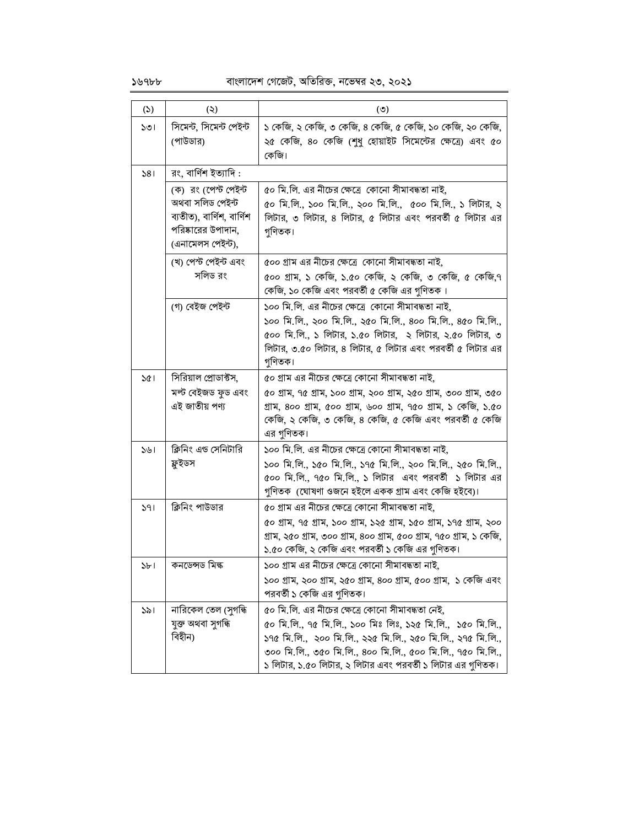১৬৭৮৮

## বাংলাদেশ গেজেট, অতিরিক্ত, নভেম্বর ২৩, ২০২১

| (5) | (5)                                                                                                              | $\circ$                                                                                                                                                                                                                                                                                                       |
|-----|------------------------------------------------------------------------------------------------------------------|---------------------------------------------------------------------------------------------------------------------------------------------------------------------------------------------------------------------------------------------------------------------------------------------------------------|
| ১৩। | সিমেন্ট, সিমেন্ট পেইন্ট<br>(পাউডার)                                                                              | ১ কেজি, ২ কেজি, ৩ কেজি, ৪ কেজি, ৫ কেজি, ১০ কেজি, ২০ কেজি,<br>২৫ কেজি, ৪০ কেজি (শুধু হোয়াইট সিমেন্টের ক্ষেত্রে) এবং ৫০<br>কেজি।                                                                                                                                                                               |
| 581 | রং, বার্ণিশ ইত্যাদি :                                                                                            |                                                                                                                                                                                                                                                                                                               |
|     | (ক) রং (পেন্ট পেইন্ট<br>অথবা সলিড পেইন্ট<br>ব্যতীত), বার্ণিশ, বার্ণিশ<br>পরিষ্কারের উপাদান,<br>(এনামেলস পেইন্ট), | ৫০ মি.লি. এর নীচের ক্ষেত্রে কোনো সীমাবদ্ধতা নাই,<br>৫০ মি.লি., ১০০ মি.লি., ২০০ মি.লি.,  ৫০০ মি.লি., ১ লিটার, ২<br>লিটার, ৩ লিটার, ৪ লিটার, ৫ লিটার এবং পরবর্তী ৫ লিটার এর<br>গুণিতক।                                                                                                                          |
|     | (খ) পেস্ট পেইন্ট এবং<br>সলিড রং                                                                                  | ৫০০ গ্রাম এর নীচের ক্ষেত্রে কোনো সীমাবদ্ধতা নাই,<br>৫০০ গ্রাম, ১ কেজি, ১.৫০ কেজি, ২ কেজি, ৩ কেজি, ৫ কেজি,৭<br>কেজি, ১০ কেজি এবং পরবর্তী ৫ কেজি এর গুণিতক।                                                                                                                                                     |
|     | (গ) বেইজ পেইন্ট                                                                                                  | ১০০ মি.লি. এর নীচের ক্ষেত্রে  কোনো সীমাবদ্ধতা নাই,<br>১০০ মি.লি., ২০০ মি.লি., ২৫০ মি.লি., ৪০০ মি.লি., ৪৫০ মি.লি.,<br>৫০০ মি.লি., ১ লিটার, ১.৫০ লিটার,  ২ লিটার, ২.৫০ লিটার, ৩<br>লিটার, ৩.৫০ লিটার, ৪ লিটার, ৫ লিটার এবং পরবর্তী ৫ লিটার এর<br>গুণিতক।                                                        |
| 301 | সিরিয়াল প্রোডাক্টস,<br>মল্ট বেইজড ফুড এবং<br>এই জাতীয় পণ্য                                                     | ৫০ গ্রাম এর নীচের ক্ষেত্রে কোনো সীমাবদ্ধতা নাই,<br>৫০ গ্ৰাম, ৭৫ গ্ৰাম, ১০০ গ্ৰাম, ২০০ গ্ৰাম, ২৫০ গ্ৰাম, ৩০০ গ্ৰাম, ৩৫০<br>গ্ৰাম, 800 গ্ৰাম, ৫০০ গ্ৰাম, ৬০০ গ্ৰাম, ৭৫০ গ্ৰাম, ১ কেজি, ১.৫০<br>কেজি, ২ কেজি, ৩ কেজি, ৪ কেজি, ৫ কেজি এবং পরবর্তী ৫ কেজি<br>এর গুণিতক।                                            |
| 541 | ক্লিনিং এড সেনিটারি<br>ফ্লুইডস                                                                                   | ১০০ মি.লি. এর নীচের ক্ষেত্রে কোনো সীমাবদ্ধতা নাই,<br>১০০ মি.লি., ১৫০ মি.লি., ১৭৫ মি.লি., ২০০ মি.লি., ২৫০ মি.লি.,<br>৫০০ মি.লি., ৭৫০ মি.লি., ১ লিটার  এবং পরবর্তী  ১ লিটার এর<br>গুণিতক  (ঘোষণা ওজনে হইলে একক গ্ৰাম এবং কেজি হইবে)।                                                                            |
| 391 | ক্লিনিং পাউডার                                                                                                   | ৫০ গ্রাম এর নীচের ক্ষেত্রে কোনো সীমাবদ্ধতা নাই,<br>৫০ গ্ৰাম, ৭৫ গ্ৰাম, ১০০ গ্ৰাম, ১২৫ গ্ৰাম, ১৫০ গ্ৰাম, ১৭৫ গ্ৰাম, ২০০<br>গ্ৰাম, ২৫০ গ্ৰাম, ৩০০ গ্ৰাম, ৪০০ গ্ৰাম, ৫০০ গ্ৰাম, ৭৫০ গ্ৰাম, ১ কেজি,<br>১.৫০ কেজি, ২ কেজি এবং পরবর্তী ১ কেজি এর গুণিতক।                                                            |
| 3P  | কনডেন্সড মিল্ক                                                                                                   | ১০০ গ্রাম এর নীচের ক্ষেত্রে কোনো সীমাবদ্ধতা নাই,<br>১০০ গ্ৰাম, ২০০ গ্ৰাম, ২৫০ গ্ৰাম, ৪০০ গ্ৰাম, ৫০০ গ্ৰাম, ১ কেজি এবং<br>পরবর্তী ১ কেজি এর গুণিতক।                                                                                                                                                            |
| ১৯। | নারিকেল তেল (সুগন্ধি<br>যুক্ত অথবা সুগন্ধি<br>বিহীন)                                                             | ৫০ মি.লি. এর নীচের ক্ষেত্রে কোনো সীমাবদ্ধতা নেই,<br>৫০ মি.লি., ৭৫ মি.লি., ১০০ মিঃ লিঃ, ১২৫ মি.লি.,  ১৫০ মি.লি.,<br>১৭৫ মি.লি.,  ২০০ মি.লি., ২২৫ মি.লি., ২৫০ মি.লি., ২৭৫ মি.লি.,<br>৩০০ মি.লি., ৩৫০ মি.লি., ৪০০ মি.লি., ৫০০ মি.লি., ৭৫০ মি.লি.,<br>১ লিটার, ১.৫০ লিটার, ২ লিটার এবং পরবর্তী ১ লিটার এর গুণিতক। |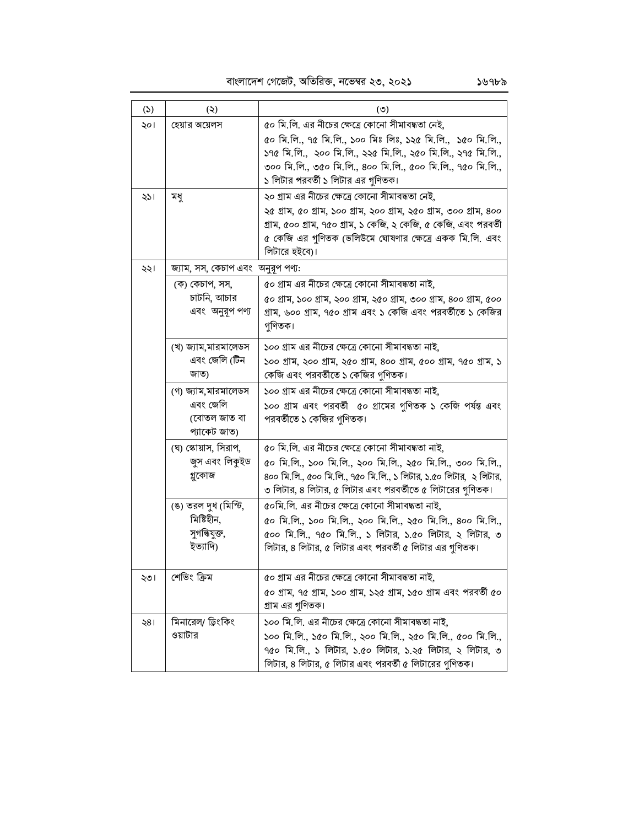## বাংলাদেশ গেজেট, অতিরিক্ত, নভেম্বর ২৩, ২০২১

| (5)            | (5)                                                             | $\circ$                                                                                                                                                                                                                                                                              |  |  |  |  |  |
|----------------|-----------------------------------------------------------------|--------------------------------------------------------------------------------------------------------------------------------------------------------------------------------------------------------------------------------------------------------------------------------------|--|--|--|--|--|
| ২০।            | হেয়ার অয়েলস                                                   | ৫০ মি.লি. এর নীচের ক্ষেত্রে কোনো সীমাবদ্ধতা নেই,<br>৫০ মি.লি., ৭৫ মি.লি., ১০০ মিঃ লিঃ, ১২৫ মি.লি.,  ১৫০ মি.লি.,<br>১৭৫ মি.লি.,  ২০০ মি.লি., ২২৫ মি.লি., ২৫০ মি.লি., ২৭৫ মি.লি.,<br>৩০০ মি.লি., ৩৫০ মি.লি., ৪০০ মি.লি., ৫০০ মি.লি., ৭৫০ মি.লি.,<br>১ লিটার পরবর্তী ১ লিটার এর গুণিতক। |  |  |  |  |  |
| ২১।            | মধু                                                             | ২০ গ্রাম এর নীচের ক্ষেত্রে কোনো সীমাবদ্ধতা নেই,<br>২৫ গ্ৰাম, ৫০ গ্ৰাম, ১০০ গ্ৰাম, ২০০ গ্ৰাম, ২৫০ গ্ৰাম, ৩০০ গ্ৰাম, ৪০০<br>গ্রাম, ৫০০ গ্রাম, ৭৫০ গ্রাম, ১ কেজি, ২ কেজি, ৫ কেজি, এবং পরবর্তী<br>৫ কেজি এর গুণিতক (ভলিউমে ঘোষণার ক্ষেত্রে একক মি.লি. এবং<br>লিটারে হইবে)।               |  |  |  |  |  |
| ২২।            | জ্যাম, সস, কেচাপ এবং অনুরূপ পণ্য:                               |                                                                                                                                                                                                                                                                                      |  |  |  |  |  |
|                | (ক) কেচাপ, সস,<br>চাটনি, আচার<br>এবং অনুরূপ পণ্য                | ৫০ গ্রাম এর নীচের ক্ষেত্রে কোনো সীমাবদ্ধতা নাই,<br>৫০ গ্ৰাম, ১০০ গ্ৰাম, ২০০ গ্ৰাম, ২৫০ গ্ৰাম, ৩০০ গ্ৰাম, ৪০০ গ্ৰাম, ৫০০<br>গ্রাম, ৬০০ গ্রাম, ৭৫০ গ্রাম এবং ১ কেজি এবং পরবর্তীতে ১ কেজির<br>গুণিতক।                                                                                   |  |  |  |  |  |
|                | (খ) জ্যাম,মারমালেডস<br>এবং জেলি (টিন<br>জাত)                    | ১০০ গ্রাম এর নীচের ক্ষেত্রে কোনো সীমাবদ্ধতা নাই,<br>১০০ গ্ৰাম, ২০০ গ্ৰাম, ২৫০ গ্ৰাম, ৪০০ গ্ৰাম, ৫০০ গ্ৰাম, ৭৫০ গ্ৰাম, ১<br>কেজি এবং পরবর্তীতে ১ কেজির গুণিতক।                                                                                                                        |  |  |  |  |  |
|                | (গ) জ্যাম,মারমালেডস<br>এবং জেলি<br>(বোতল জাত বা<br>প্যাকেট জাত) | ১০০ গ্রাম এর নীচের ক্ষেত্রে কোনো সীমাবদ্ধতা নাই,<br>১০০ গ্রাম এবং পরবর্তী ৫০ গ্রামের গুণিতক ১ কেজি পর্যন্ত এবং<br>পরবর্তীতে ১ কেজির গুণিতক।                                                                                                                                          |  |  |  |  |  |
|                | (ঘ) স্কোয়াস, সিরাপ,<br>জুস এবং লিকুইড<br>গ্নুকোজ               | ৫০ মি.লি. এর নীচের ক্ষেত্রে কোনো সীমাবদ্ধতা নাই,<br>৫০ মি.লি., ১০০ মি.লি., ২০০ মি.লি., ২৫০ মি.লি., ৩০০ মি.লি.,<br>৪০০ মি.লি., ৫০০ মি.লি., ৭৫০ মি.লি., ১ লিটার, ১.৫০ লিটার,  ২ লিটার,<br>৩ লিটার, ৪ লিটার, ৫ লিটার এবং পরবর্তীতে ৫ লিটারের গুণিতক।                                    |  |  |  |  |  |
|                | (ঙ) তরল দুধ (মিস্টি,<br>মিষ্টিহীন,<br>সুগন্ধিযুক্ত,<br>ইত্যাদি) | ৫০মি.লি. এর নীচের ক্ষেত্রে কোনো সীমাবদ্ধতা নাই,<br>৫০ মি.লি., ১০০ মি.লি., ২০০ মি.লি., ২৫০ মি.লি., ৪০০ মি.লি.,<br>৫০০ মি.লি., ৭৫০ মি.লি., ১ লিটার, ১.৫০ লিটার, ২ লিটার, ৩<br>লিটার, ৪ লিটার, ৫ লিটার এবং পরবর্তী ৫ লিটার এর গুণিতক।                                                   |  |  |  |  |  |
| ২৩।            | শেভিং ক্ৰিম                                                     | ৫০ গ্ৰাম এর নীচের ক্ষেত্রে কোনো সীমাবদ্ধতা নাই,<br>৫০ গ্ৰাম, ৭৫ গ্ৰাম, ১০০ গ্ৰাম, ১২৫ গ্ৰাম, ১৫০ গ্ৰাম এবং পরবৰ্তী ৫০<br>গ্রাম এর গুণিতক।                                                                                                                                            |  |  |  |  |  |
| $\frac{18}{5}$ | মিনারেল/ ড্রিংকিং<br>ওয়াটার                                    | ১০০ মি.লি. এর নীচের ক্ষেত্রে কোনো সীমাবদ্ধতা নাই,<br>১০০ মি.লি., ১৫০ মি.লি., ২০০ মি.লি., ২৫০ মি.লি., ৫০০ মি.লি.,<br>৭৫০ মি.লি., ১ লিটার, ১.৫০ লিটার, ১.২৫ লিটার, ২ লিটার, ৩<br>লিটার, ৪ লিটার, ৫ লিটার এবং পরবর্তী ৫ লিটারের গুণিতক।                                                 |  |  |  |  |  |

১৬৭৮৯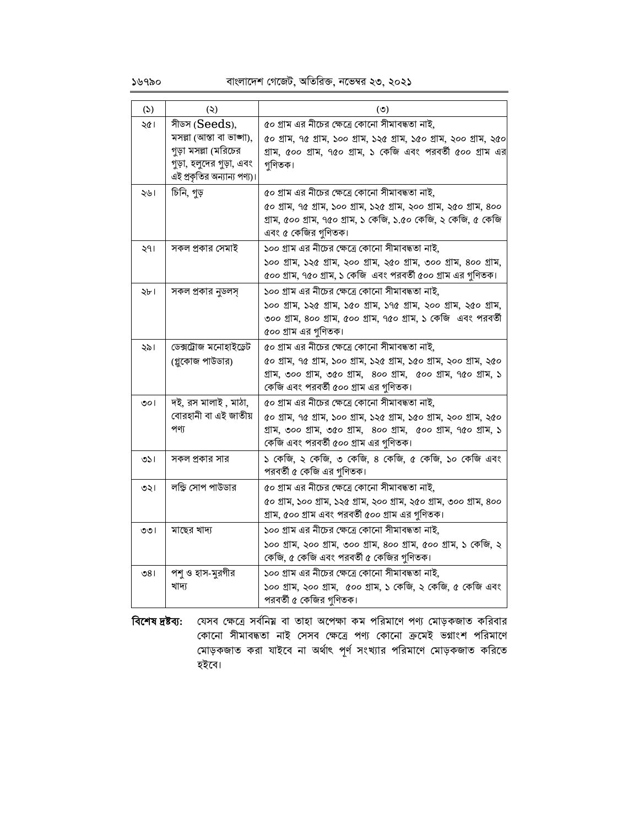১৬৭৯০

## বাংলাদেশ গেজেট, অতিরিক্ত, নভেম্বর ২৩, ২০২১

| (5)    | (5)                                                                                                                         | $\circ$                                                                                                                                                                                                                            |  |  |  |
|--------|-----------------------------------------------------------------------------------------------------------------------------|------------------------------------------------------------------------------------------------------------------------------------------------------------------------------------------------------------------------------------|--|--|--|
| ২৫।    | সীডস (Seeds),<br>মসল্লা (আস্তা বা ভাজা),<br>গুড়া মসল্লা (মরিচের<br>গুড়া, হলুদের গুড়া, এবং<br>এই প্রকৃতির অন্যান্য পণ্য)। | ৫০ গ্রাম এর নীচের ক্ষেত্রে কোনো সীমাবদ্ধতা নাই,<br>৫০ গ্ৰাম, ৭৫ গ্ৰাম, ১০০ গ্ৰাম, ১২৫ গ্ৰাম, ১৫০ গ্ৰাম, ২০০ গ্ৰাম, ২৫০<br>গ্ৰাম, ৫০০ গ্ৰাম, ৭৫০ গ্ৰাম, ১ কেজি এবং পরবর্তী ৫০০ গ্ৰাম এর<br>গণিতক।                                   |  |  |  |
| ২৬।    | চিনি, গুড়                                                                                                                  | ৫০ গ্রাম এর নীচের ক্ষেত্রে কোনো সীমাবদ্ধতা নাই,<br>৫০ গ্ৰাম, ৭৫ গ্ৰাম, ১০০ গ্ৰাম, ১২৫ গ্ৰাম, ২০০ গ্ৰাম, ২৫০ গ্ৰাম, ৪০০<br>গ্রাম, ৫০০ গ্রাম, ৭৫০ গ্রাম, ১ কেজি, ১.৫০ কেজি, ২ কেজি, ৫ কেজি<br>এবং ৫ কেজির গুণিতক।                    |  |  |  |
| ২৭।    | সকল প্রকার সেমাই                                                                                                            | ১০০ গ্রাম এর নীচের ক্ষেত্রে কোনো সীমাবদ্ধতা নাই,<br>১০০ গ্ৰাম, ১২৫ গ্ৰাম, ২০০ গ্ৰাম, ২৫০ গ্ৰাম, ৩০০ গ্ৰাম, ৪০০ গ্ৰাম,<br>৫০০ গ্রাম, ৭৫০ গ্রাম, ১ কেজি এবং পরবর্তী ৫০০ গ্রাম এর গুণিতক।                                             |  |  |  |
| ২৮।    | সকল প্রকার নুডলস্                                                                                                           | ১০০ গ্রাম এর নীচের ক্ষেত্রে কোনো সীমাবদ্ধতা নাই,<br>১০০ গ্ৰাম, ১২৫ গ্ৰাম, ১৫০ গ্ৰাম, ১৭৫ গ্ৰাম, ২০০ গ্ৰাম, ২৫০ গ্ৰাম,<br>৩০০ গ্ৰাম, ৪০০ গ্ৰাম, ৫০০ গ্ৰাম, ৭৫০ গ্ৰাম, ১ কেজি এবং পরবৰ্তী<br>৫০০ গ্রাম এর গুণিতক।                    |  |  |  |
| ২৯।    | ডেক্সট্রোজ মনোহাইড্রেট<br>(গ্লুকোজ পাউডার)                                                                                  | ৫০ গ্রাম এর নীচের ক্ষেত্রে কোনো সীমাবদ্ধতা নাই,<br>৫০ গ্ৰাম, ৭৫ গ্ৰাম, ১০০ গ্ৰাম, ১২৫ গ্ৰাম, ১৫০ গ্ৰাম, ২০০ গ্ৰাম, ২৫০<br>গ্ৰাম, ৩০০ গ্ৰাম, ৩৫০ গ্ৰাম, ৪০০ গ্ৰাম, ৫০০ গ্ৰাম, ৭৫০ গ্ৰাম, ১<br>কেজি এবং পরবর্তী ৫০০ গ্রাম এর গুণিতক। |  |  |  |
| ৩০।    | দই, রস মালাই , মাঠা,<br>বোরহানী বা এই জাতীয়<br>পণ্য                                                                        | ৫০ গ্রাম এর নীচের ক্ষেত্রে কোনো সীমাবদ্ধতা নাই,<br>৫০ গ্ৰাম, ৭৫ গ্ৰাম, ১০০ গ্ৰাম, ১২৫ গ্ৰাম, ১৫০ গ্ৰাম, ২০০ গ্ৰাম, ২৫০<br>গ্ৰাম, ৩০০ গ্ৰাম, ৩৫০ গ্ৰাম, ৪০০ গ্ৰাম, ৫০০ গ্ৰাম, ৭৫০ গ্ৰাম, ১<br>কেজি এবং পরবর্তী ৫০০ গ্রাম এর গুণিতক। |  |  |  |
| ৩১।    | সকল প্রকার সার                                                                                                              | ১ কেজি, ২ কেজি, ৩ কেজি, ৪ কেজি, ৫ কেজি, ১০ কেজি এবং<br>পরবর্তী ৫ কেজি এর গুণিতক।                                                                                                                                                   |  |  |  |
| ৩২।    | লন্ডি সোপ পাউডার                                                                                                            | ৫০ গ্রাম এর নীচের ক্ষেত্রে কোনো সীমাবদ্ধতা নাই,<br>৫০ গ্ৰাম, ১০০ গ্ৰাম, ১২৫ গ্ৰাম, ২০০ গ্ৰাম, ২৫০ গ্ৰাম, ৩০০ গ্ৰাম, ৪০০<br>গ্রাম, ৫০০ গ্রাম এবং পরবর্তী ৫০০ গ্রাম এর গুণিতক।                                                       |  |  |  |
| ৩৩।    | মাছের খাদ্য                                                                                                                 | ১০০ গ্রাম এর নীচের ক্ষেত্রে কোনো সীমাবদ্ধতা নাই,<br>১০০ গ্ৰাম, ২০০ গ্ৰাম, ৩০০ গ্ৰাম, ৪০০ গ্ৰাম, ৫০০ গ্ৰাম, ১ কেজি, ২<br>কেজি, ৫ কেজি এবং পরবর্তী ৫ কেজির গুণিতক।                                                                   |  |  |  |
| ৩ $81$ | পশু ও হাস-মুরগীর<br>খাদ্য                                                                                                   | ১০০ গ্রাম এর নীচের ক্ষেত্রে কোনো সীমাবদ্ধতা নাই,<br>১০০ গ্রাম, ২০০ গ্রাম,  ৫০০ গ্রাম, ১ কেজি, ২ কেজি, ৫ কেজি এবং<br>পরবর্তী ৫ কেজির গুণিতক।                                                                                        |  |  |  |

বিশেষ দ্রষ্টব্য: যেসব ক্ষেত্রে সর্বনিয় বা তাহা অপেক্ষা কম পরিমাণে পণ্য মোড়কজাত করিবার কোনো সীমাবদ্ধতা নাই সেসব ক্ষেত্রে পণ্য কোনো ক্রমেই ভগ্নাংশ পরিমাণে মোড়কজাত করা যাইবে না অর্থাৎ পূর্ণ সংখ্যার পরিমাণে মোড়কজাত করিতে হইবে।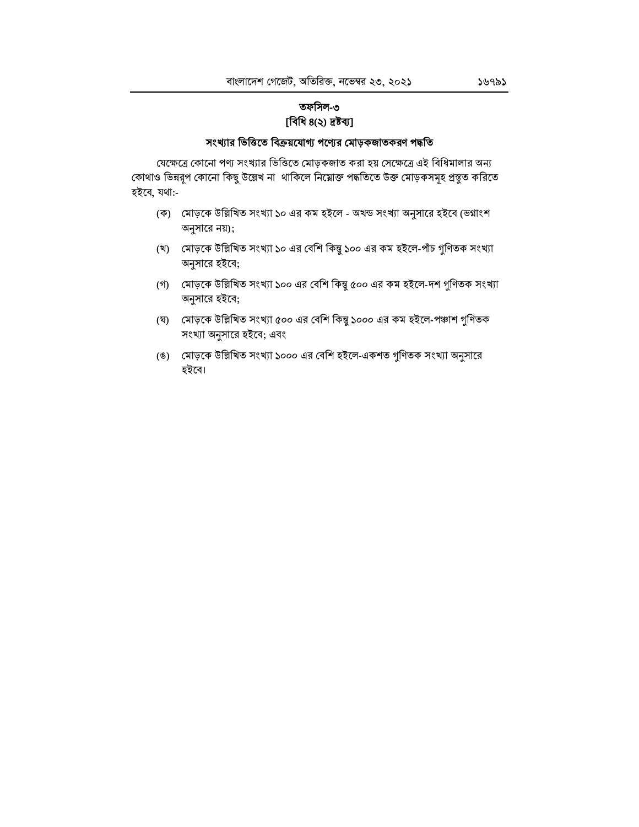## তফসিল-৩ [বিধি ৪(২) দ্ৰষ্টব্য]

## সংখ্যার ভিত্তিতে বিক্রয়যোগ্য পণ্যের মোড়কজাতকরণ পদ্ধতি

যেক্ষেত্রে কোনো পণ্য সংখ্যার ভিত্তিতে মোড়কজাত করা হয় সেক্ষেত্রে এই বিধিমালার অন্য কোথাও ভিন্নরূপ কোনো কিছু উল্লেখ না থাকিলে নিমোক্ত পদ্ধতিতে উক্ত মোড়কসমূহ প্রস্তুত করিতে হইবে, যথা:-

- (ক) মোড়কে উল্লিখিত সংখ্যা ১০ এর কম হইলে অখন্ড সংখ্যা অনুসারে হইবে (ভগ্নাংশ অনুসারে নয়);
- (খ) মোড়কে উল্লিখিত সংখ্যা ১০ এর বেশি কিন্তু ১০০ এর কম হইলে-পাঁচ গুণিতক সংখ্যা অনুসারে হইবে;
- (গ) মোড়কে উল্লিখিত সংখ্যা ১০০ এর বেশি কিন্তু ৫০০ এর কম হইলে-দশ গুণিতক সংখ্যা অনুসারে হইবে;
- (ঘ) মোড়কে উল্লিখিত সংখ্যা ৫০০ এর বেশি কিন্তু ১০০০ এর কম হইলে-পঞ্চাশ গুণিতক সংখ্যা অনুসারে হইবে; এবং
- (ঙ) মোড়কে উল্লিখিত সংখ্যা ১০০০ এর বেশি হইলে-একশত গুণিতক সংখ্যা অনুসারে হইবে।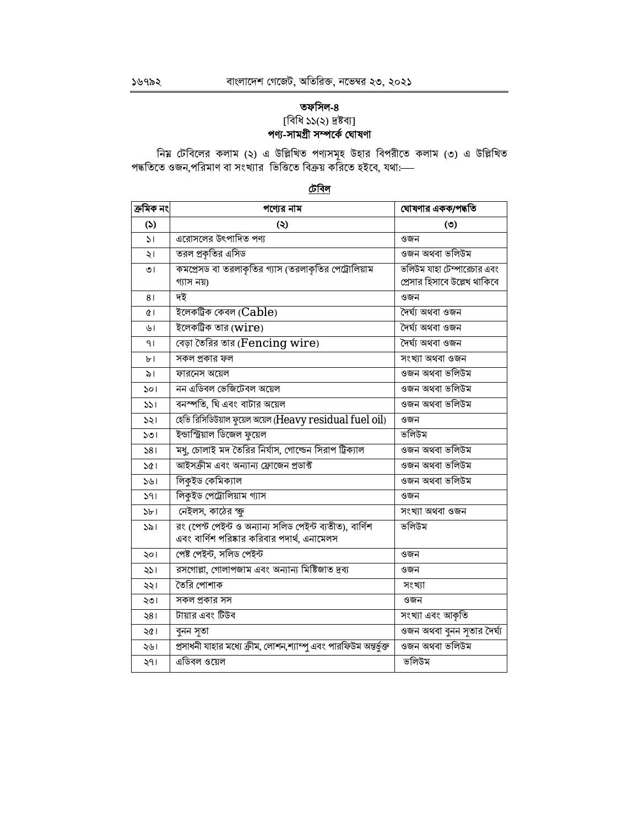# তফসিল-৪ াবিধি ১১(২) দ্রষ্টব্য]<br>**পণ্য-সামগ্রী সম্পর্কে ঘোষণা**

নিয় টেবিলের কলাম (২) এ উল্লিখিত পণ্যসমূহ উহার বিপরীতে কলাম (৩) এ উল্লিখিত<br>পদ্ধতিতে ওজন,পরিমাণ বা সংখ্যার ভিত্তিতে বিক্রয় করিতে হইবে, যথা:—

## <u>টেবিল</u>

| ক্ৰমিক নং    | পণ্যের নাম                                                                                              | ঘোষণার একক/পদ্ধতি            |
|--------------|---------------------------------------------------------------------------------------------------------|------------------------------|
| (5)          | $\circledcirc$                                                                                          | $\circ$                      |
| $\mathsf{S}$ | এরোসলের উৎপাদিত পণ্য                                                                                    | ওজন                          |
| ২।           | তরল প্রকৃতির এসিড                                                                                       | ওজন অথবা ভলিউম               |
| ৩।           | কমপ্রেসড বা তরলাকৃতির গ্যাস (তরলাকৃতির পেট্রোলিয়াম                                                     | ভলিউম যাহা টেম্পারেচার এবং   |
|              | গ্যাস নয়)                                                                                              | প্রেসার হিসাবে উল্লেখ থাকিবে |
| 81           | দই                                                                                                      | ওজন                          |
| ¢۱           | ইলেকট্ৰিক কেবল ( $Cable$ )                                                                              | দৈৰ্ঘ্য অথবা ওজন             |
| ৬।           | ইলেকট্রিক তার ( $wire$ )                                                                                | দৈৰ্ঘ্য অথবা ওজন             |
| ۹۱           | বেড়া তৈরির তার (Fencing wire)                                                                          | দৈৰ্ঘ্য অথবা ওজন             |
| ৮।           | সকল প্রকার ফল                                                                                           | সংখ্যা অথবা ওজন              |
| ৯।           | ফারনেস অয়েল                                                                                            | ওজন অথবা ভলিউম               |
| ১০।          | নন এডিবল ভেজিটেবল অয়েল                                                                                 | ওজন অথবা ভলিউম               |
| ১১।          | বনস্পতি, ঘি এবং বাটার অয়েল                                                                             | ওজন অথবা ভলিউম               |
| ১২।          | হেভি রিসিডিউয়াল ফুয়েল অয়েল (Heavy residual fuel oil)                                                 | ওজন                          |
| ১৩।          | ইন্ডাস্ট্রিয়াল ডিজেল ফুয়েল                                                                            | ভলিউম                        |
| 581          | মধু, চোলাই মদ তৈরির নির্যাস, গোল্ডেন সিরাপ ট্রিক্যাল                                                    | ওজন অথবা ভলিউম               |
| ১৫।          | আইসক্ৰীম এবং অন্যান্য ফ্ৰোজেন প্ৰডাক্ট                                                                  | ওজন অথবা ভলিউম               |
| ১৬।          | লিকুইড কেমিক্যাল                                                                                        | ওজন অথবা ভলিউম               |
| 391          | লিকুইড পেট্রোলিয়াম গ্যাস                                                                               | ওজন                          |
| ১৮।          | নেইলস, কাঠের ক্ষু                                                                                       | সংখ্যা অথবা ওজন              |
| ১৯।          | রং (পেস্ট পেইন্ট ও অন্যান্য সলিড পেইন্ট ব্যতীত), বার্ণিশ<br>এবং বার্ণিশ পরিষ্কার করিবার পদার্থ, এনামেলস | ভলিউম                        |
|              | পেষ্ট পেইন্ট, সলিড পেইন্ট                                                                               | ওজন                          |
| ২০।          | রসগোল্লা, গোলাপজাম এবং অন্যান্য মিষ্টিজাত দ্রব্য                                                        | ওজন                          |
| ২১।          | তৈরি পোশাক                                                                                              |                              |
| ২২।          |                                                                                                         | সংখ্যা                       |
| ২৩।          | সকল প্রকার সস                                                                                           | ওজন                          |
| ২৪।          | টায়ার এবং টিউব                                                                                         | সংখ্যা এবং আকৃতি             |
| ২৫।          | বুনন সৃতা                                                                                               | তজন অথবা বুনন সূতার দৈর্ঘ্য  |
| ২৬।          | প্রসাধনী যাহার মধ্যে ক্রীম, লোশন,শ্যাম্পু এবং পারফিউম অন্তর্ভুক্ত                                       | ওজন অথবা ভলিউম               |
| ২৭।          | এডিবল ওয়েল                                                                                             | ভলিউম                        |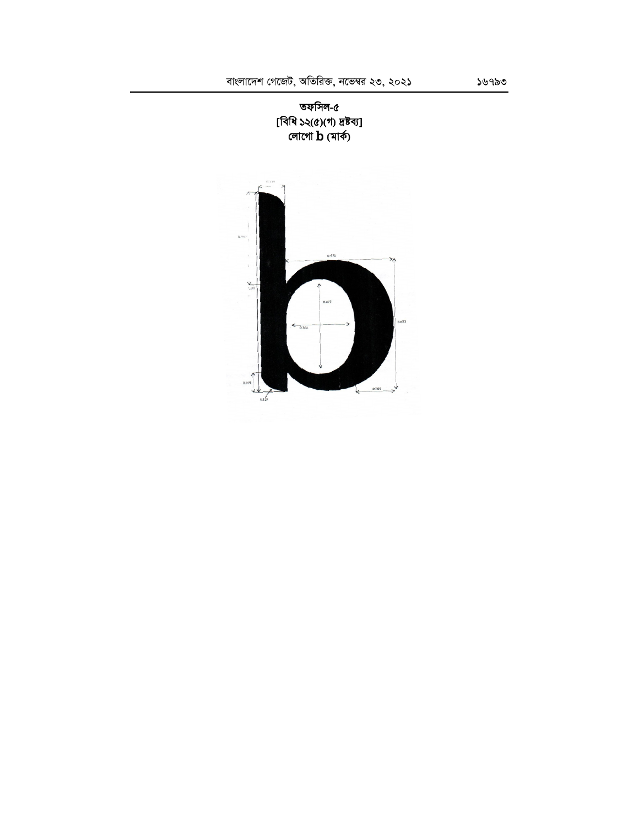

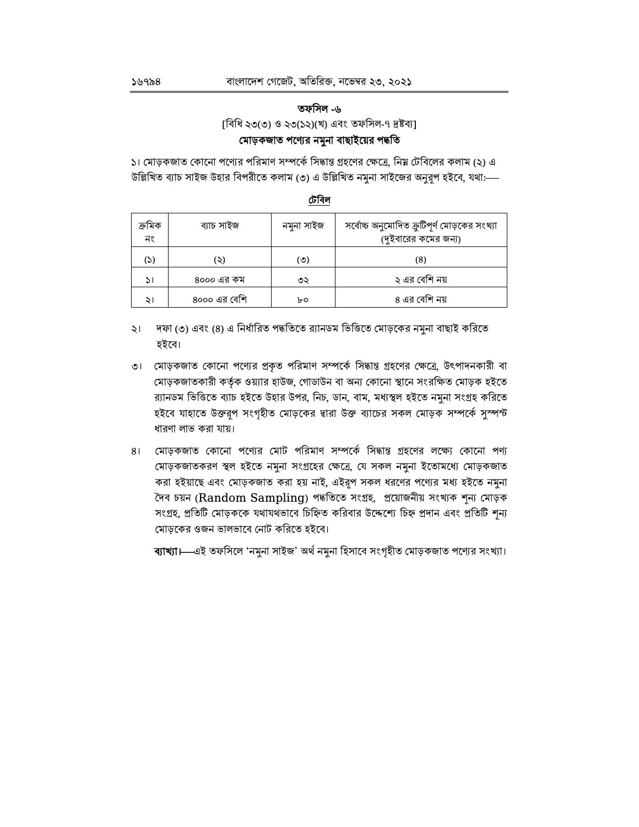## তফসিল -৬

[বিধি ২৩(৩) ও ২৩(১২)(খ) এবং তফসিল-৭ দ্ৰষ্টব্য]

## মোড়কজাত পণ্যের নমুনা বাছাইয়ের পদ্ধতি

১। মোড়কজাত কোনো পণ্যের পরিমাণ সম্পর্কে সিদ্ধান্ত গ্রহণের ক্ষেত্রে, নিয় টেবিলের কলাম (২) এ উল্লিখিত ব্যাচ সাইজ উহার বিপরীতে কলাম (৩) এ উল্লিখিত নমুনা সাইজের অনুরূপ হইবে, যথা:—–

| ক্ৰমিক<br>নং | ব্যাচ সাইজ   | নমুনা সাইজ | সর্বোচ্চ অনুমোদিত ক্রুটিপূর্ণ মোড়কের সংখ্যা<br>(দুইবারের কমের জন্য) |
|--------------|--------------|------------|----------------------------------------------------------------------|
| (S)          | ২)           | (৩)        | (8)                                                                  |
| اد           | ৪০০০ এর কম   | ৩২         | ২ এর বেশি নয়                                                        |
| ২।           | ৪০০০ এর বেশি | ৮০         | ৪ এর বেশি নয়                                                        |

## টেবিল

- ২। দফা (৩) এবং (৪) এ নির্ধারিত পদ্ধতিতে র্যানডম ভিত্তিতে মোড়কের নমুনা বাছাই করিতে হইবে।
- ৩। মোড়কজাত কোনো পণ্যের প্রকৃত পরিমাণ সম্পর্কে সিদ্ধান্ত গ্রহণের ক্ষেত্রে, উৎপাদনকারী বা মোড়কজাতকারী কর্তৃক ওয়্যার হাউজ, গোডাউন বা অন্য কোনো স্থানে সংরক্ষিত মোড়ক হইতে র্য়ানডম ভিত্তিতে ব্যাচ হইতে উহার উপর, নিচ, ডান, বাম, মধ্যস্থল হইতে নমুনা সংগ্রহ করিতে হইবে যাহাতে উক্তরূপ সংগৃহীত মোড়কের দ্বারা উক্ত ব্যাচের সকল মোড়ক সম্পর্কে সুস্পন্ট ধারণা লাভ করা যায়।
- ৪। মোড়কজাত কোনো পণ্যের মোট পরিমাণ সম্পর্কে সিদ্ধান্ত গ্রহণের লক্ষ্যে কোনো পণ্য মোড়কজাতকরণ স্থল হইতে নমুনা সংগ্রহের ক্ষেত্রে, যে সকল নমুনা ইতোমধ্যে মোড়কজাত করা হইয়াছে এবং মোড়কজাত করা হয় নাই, এইরূপ সকল ধরণের পণ্যের মধ্য হইতে নমুনা দৈব চয়ন (Random Sampling) পদ্ধতিতে সংগ্ৰহ, প্ৰয়োজনীয় সংখ্যক শূন্য মোড়ক সংগ্রহ, প্রতিটি মোড়ককে যথাযথভাবে চিহ্নিত করিবার উদ্দেশ্যে চিহ্ন প্রদান এবং প্রতিটি শূন্য মোড়কের ওজন ভালভাবে নোট করিতে হইবে।

ব্যাখ্যা।—এই তফসিলে 'নমুনা সাইজ' অর্থ নমুনা হিসাবে সংগৃহীত মোড়কজাত পণ্যের সংখ্যা।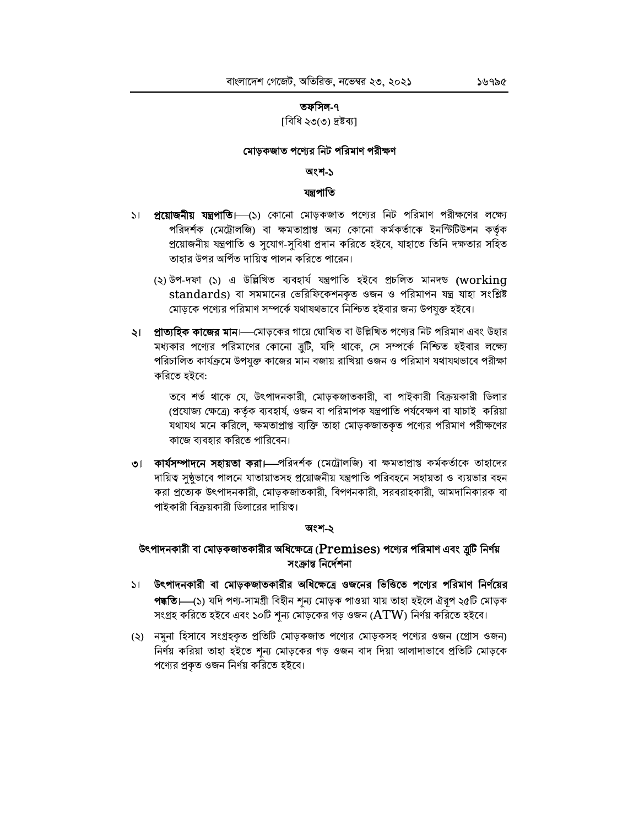#### তফসিল-৭

## ।বিধি ২৩(৩) দ্রষ্টব্যা

## মোড়কজাত পণ্যের নিট পরিমাণ পরীক্ষণ

#### অংশ-১

#### যন্ত্ৰপাতি

- ১। **প্রয়োজনীয় যন্ত্রপাতি।** (১) কোনো মোড়কজাত পণ্যের নিট পরিমাণ পরীক্ষণের লক্ষ্যে পরিদর্শক (মেট্রোলজি) বা ক্ষমতাপ্রাপ্ত অন্য কোনো কর্মকর্তাকে ইনস্টিটিউশন কর্তৃক প্রয়োজনীয় যন্ত্রপাতি ও সুযোগ-সুবিধা প্রদান করিতে হইবে, যাহাতে তিনি দক্ষতার সহিত তাহার উপর অর্পিত দায়িত্ব পালন করিতে পারেন।
	- (২) উপ-দফা (১) এ উল্লিখিত ব্যবহার্য যন্ত্রপাতি হইবে প্রচলিত মানদণ্ড (working standards) বা সমমানের ভেরিফিকেশনকৃত ওজন ও পরিমাপন যন্ত্র যাহা সংশ্লিষ্ট মোড়কে পণ্যের পরিমাণ সম্পর্কে যথাযথভাবে নিশ্চিত হইবার জন্য উপযুক্ত হইবে।
- **২। প্রাত্যহিক কাজের মান।**—মোড়কের গায়ে ঘোষিত বা উল্লিখিত পণ্যের নিট পরিমাণ এবং উহার মধ্যকার পণ্যের পরিমাণের কোনো ব্রুটি, যদি থাকে, সে সম্পর্কে নিশ্চিত হইবার লক্ষ্যে পরিচালিত কার্যক্রমে উপযুক্ত কাজের মান বজায় রাখিয়া ওজন ও পরিমাণ যথাযথভাবে পরীক্ষা করিতে হইবে:

তবে শর্ত থাকে যে, উৎপাদনকারী, মোড়কজাতকারী, বা পাইকারী বিক্রয়কারী ডিলার (প্রযোজ্য ক্ষেত্রে) কর্তৃক ব্যবহার্য, ওজন বা পরিমাপক যন্ত্রপাতি পর্যবেক্ষণ বা যাচাই করিয়া যথাযথ মনে করিলে, ক্ষমতাপ্রাপ্ত ব্যক্তি তাহা মোড়কজাতকৃত পণ্যের পরিমাণ পরীক্ষণের কাজে ব্যবহার করিতে পারিবেন।

৩। কার্যসম্পাদনে সহায়তা করা।—পরিদর্শক (মেট্রোলজি) বা ক্ষমতাপ্রাপ্ত কর্মকর্তাকে তাহাদের দায়িত্ব সৃষ্ঠভাবে পালনে যাতায়াতসহ প্রয়োজনীয় যন্ত্রপাতি পরিবহনে সহায়তা ও ব্যয়ভার বহন করা প্রত্যেক উৎপাদনকারী, মোড়কজাতকারী, বিপণনকারী, সরবরাহকারী, আমদানিকারক বা পাইকারী বিক্রয়কারী ডিলারের দায়িত্ব।

#### অংশ-২

## উৎপাদনকারী বা মোড়কজাতকারীর অধিক্ষেত্রে ( $\bf{Premises}$ ) পণ্যের পরিমাণ এবং ব্রুটি নির্ণয় সংক্ৰান্ত নিৰ্দেশনা

- ১। উৎপাদনকারী বা মোড়কজাতকারীর অধিক্ষেত্রে ওজনের ভিত্তিতে পণ্যের পরিমাণ নির্ণয়ের পদ্ধতি।—(১) যদি পণ্য-সামগ্ৰী বিহীন শন্য মোড়ক পাওয়া যায় তাহা হইলে ঐরপ ২৫টি মোড়ক সংগ্রহ করিতে হইবে এবং ১০টি শূন্য মোড়কের গড় ওজন ( $ATW$ ) নির্ণয় করিতে হইবে।
- (২) নমুনা হিসাবে সংগ্রহকৃত প্রতিটি মোড়কজাত পণ্যের মোড়কসহ পণ্যের ওজন (গ্রোস ওজন) নির্ণয় করিয়া তাহা হইতে শূন্য মোড়কের গড় ওজন বাদ দিয়া আলাদাভাবে প্রতিটি মোড়কে পণ্যের প্রকৃত ওজন নির্ণয় করিতে হইবে।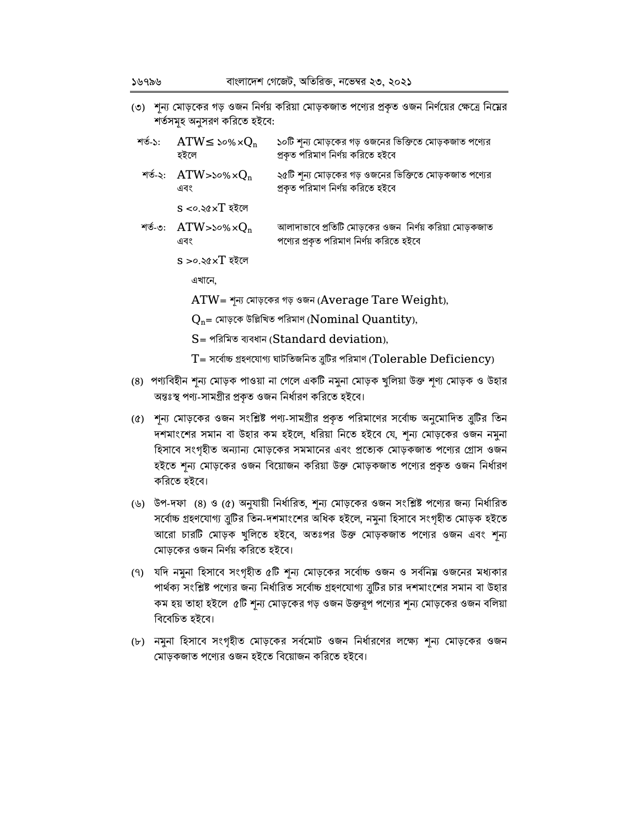(৩) শূন্য মোড়কের গড় ওজন নির্ণয় করিয়া মোড়কজাত পণ্যের প্রকৃত ওজন নির্ণয়ের ক্ষেত্রে নিম্নের শৰ্তসমহ অনুসরণ করিতে হইবে:

| শত-১: $ATW \le$ ১০% $\times Q_n$<br>হইলে | ১০টি শূন্য মোড়কের গড় ওজনের ভিক্তিতে মোড়কজাত পণ্যের<br>প্ৰকৃত পরিমাণ নির্ণয় করিতে হইবে         |
|------------------------------------------|---------------------------------------------------------------------------------------------------|
| শৰ্ত-২: $ATW$ >১০% $\times Q_n$<br>এবং   | ২৫টি শূন্য মোড়কের গড় ওজনের ভিক্তিতে মোড়কজাত পণ্যের<br>প্রকৃত পরিমাণ নির্ণয় করিতে হইবে         |
| $s < o$ .২৫ $\times T$ হইলে              |                                                                                                   |
| শত-৩: $ATW$ >১০% $\times Q_n$<br>এবং     | আলাদাভাবে প্রতিটি মোড়কের ওজন  নির্ণয় করিয়া মোড়কজাত<br>পণ্যের প্রকৃত পরিমাণ নির্ণয় করিতে হইবে |
| $s > o$ .২৫ $\times T$ হইলে              |                                                                                                   |

এখানে,

 $ATW = \gamma \pi$  মোড়কের গড় ওজন (Average Tare Weight),

 $Q_{n}$ = মোড়কে উল্লিখিত পরিমাণ ( $\boldsymbol{\mathrm{Nominal\; Quantity}}$ ),

S= পরিমিত ব্যবধান (Standard deviation),

- $T = \pi$ ৰ্বাচ্চ গ্ৰহণযোগ্য ঘাটতিজনিত ত্ৰুটির পরিমাণ (Tolerable Deficiency)
- (৪) পণ্যবিহীন শূন্য মোড়ক পাওয়া না গেলে একটি নমুনা মোড়ক খুলিয়া উক্ত শূণ্য মোড়ক ও উহার অন্তঃস্থ পণ্য-সামগ্ৰীর প্রকৃত ওজন নির্ধারণ করিতে হইবে।
- (৫) শূন্য মোড়কের ওজন সংশ্লিষ্ট পণ্য-সামগ্রীর প্রকৃত পরিমাণের সর্বোচ্চ অনুমোদিত ব্রুটির তিন দশমাংশের সমান বা উহার কম হইলে, ধরিয়া নিতে হইবে যে, শূন্য মোড়কের ওজন নমুনা হিসাবে সংগৃহীত অন্যান্য মোড়কের সমমানের এবং প্রত্যেক মোড়কজাত পণ্যের গ্রোস ওজন হইতে শূন্য মোড়কের ওজন বিয়োজন করিয়া উক্ত মোড়কজাত পণ্যের প্রকৃত ওজন নির্ধারণ করিতে হইবে।
- (৬) উপ-দফা (৪) ও (৫) অনুযায়ী নির্ধারিত, শূন্য মোড়কের ওজন সংশ্লিষ্ট পণ্যের জন্য নির্ধারিত সর্বোচ্চ গ্রহণযোগ্য ব্রুটির তিন-দশমাংশের অধিক হইলে, নমুনা হিসাবে সংগৃহীত মোড়ক হইতে আরো চারটি মোড়ক খুলিতে হইবে, অতঃপর উক্ত মোড়কজাত পণ্যের ওজন এবং শন্য মোড়কের ওজন নির্ণয় করিতে হইবে।
- (৭) যদি নমুনা হিসাবে সংগৃহীত ৫টি শূন্য মোড়কের সর্বোচ্চ ওজন ও সর্বনিয় ওজনের মধ্যকার পার্থক্য সংশ্লিষ্ট পণ্যের জন্য নির্ধারিত সর্বোচ্চ গ্রহণযোগ্য ত্রুটির চার দশমাংশের সমান বা উহার কম হয় তাহা হইলে ৫টি শূন্য মোড়কের গড় ওজন উক্তরূপ পণ্যের শূন্য মোড়কের ওজন বলিয়া বিবেচিত হইবে।
- (৮) নমুনা হিসাবে সংগৃহীত মোড়কের সর্বমোট ওজন নির্ধারণের লক্ষ্যে শূন্য মোড়কের ওজন মোড়কজাত পণ্যের ওজন হইতে বিয়োজন করিতে হইবে।

১৬৭৯৬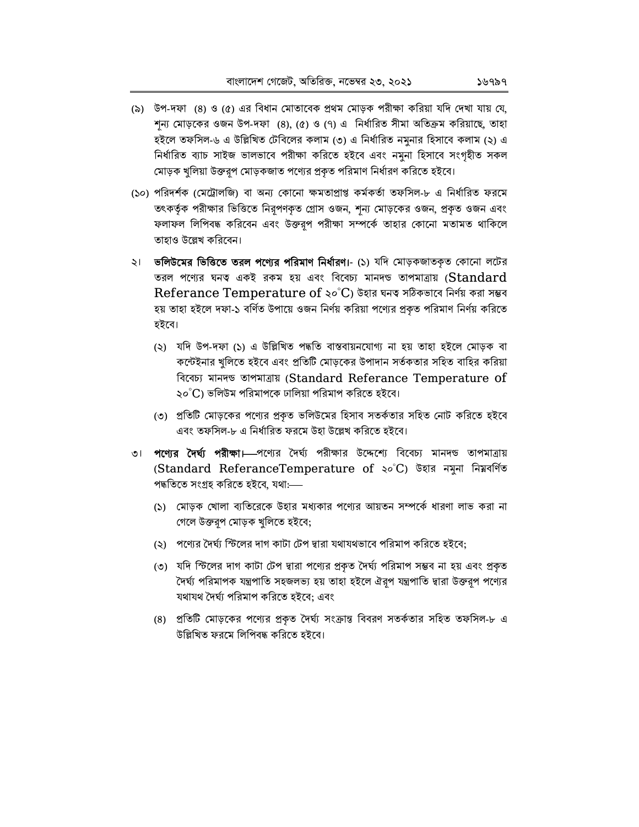- (৯) উপ-দফা (৪) ও (৫) এর বিধান মোতাবেক প্রথম মোড়ক পরীক্ষা করিয়া যদি দেখা যায় যে, শন্য মোড়কের ওজন উপ-দফা (৪), (৫) ও (৭) এ নির্ধারিত সীমা অতিক্রম করিয়াছে, তাহা হইলে তফসিল-৬ এ উল্লিখিত টেবিলের কলাম (৩) এ নির্ধারিত নমুনার হিসাবে কলাম (২) এ নিৰ্ধারিত ব্যাচ সাইজ ভালভাবে পরীক্ষা করিতে হইবে এবং নমুনা হিসাবে সংগৃহীত সকল মোড়ক খুলিয়া উক্তরূপ মোড়কজাত পণ্যের প্রকৃত পরিমাণ নির্ধারণ করিতে হইবে।
- (১০) পরিদর্শক (মেট্রোলজি) বা অন্য কোনো ক্ষমতাপ্রাপ্ত কর্মকর্তা তফসিল-৮ এ নির্ধারিত ফরমে তৎকর্তৃক পরীক্ষার ভিত্তিতে নিরূপণকৃত গ্রোস ওজন, শূন্য মোড়কের ওজন, প্রকৃত ওজন এবং ফলাফল লিপিবদ্ধ করিবেন এবং উক্তরূপ পরীক্ষা সম্পর্কে তাহার কোনো মতামত থাকিলে তাহাও উল্লেখ করিবেন।
- ২। ভলিউমের ভিত্তিতে তরল পণ্যের পরিমাণ নির্ধারণ।- (১) যদি মোড়কজাতকৃত কোনো লটের তরল পণ্যের ঘনত একই রকম হয় এবং বিবেচ্য মানদণ্ড তাপমাত্রায় (Standard Referance Temperature of ২০ $^{\circ}$ C) উহার ঘনত সঠিকভাবে নির্ণয় করা সম্ভব হয় তাহা হইলে দফা-১ বর্ণিত উপায়ে ওজন নির্ণয় করিয়া পণ্যের প্রকৃত পরিমাণ নির্ণয় করিতে হইবে।
	- (২) যদি উপ-দফা (১) এ উল্লিখিত পদ্ধতি বাস্তবায়নযোগ্য না হয় তাহা হইলে মোড়ক বা কন্টেইনার খুলিতে হইবে এবং প্রতিটি মোড়কের উপাদান সর্তকতার সহিত বাহির করিয়া বিবেচ্য মানদণ্ড তাপমাত্ৰায় (Standard Referance Temperature of ২০ $^{\circ}$ C) ভলিউম পরিমাপকে ঢালিয়া পরিমাপ করিতে হইবে।
	- (৩) প্রতিটি মোড়কের পণ্যের প্রকৃত ভলিউমের হিসাব সতর্কতার সহিত নোট করিতে হইবে এবং তফসিল-৮ এ নির্ধারিত ফরমে উহা উল্লেখ করিতে হইবে।
- ৩। **পণ্যের দৈর্ঘ্য পরীক্ষা।—**পণ্যের দৈর্ঘ্য পরীক্ষার উদ্দেশ্যে বিবেচ্য মানদণ্ড তাপমাত্রায় (Standard ReferanceTemperature of ২০°C) উহার নমুনা নিম্নবর্ণিত পদ্ধতিতে সংগ্ৰহ করিতে হইবে, যথা:—
	- (১) মোড়ক খোলা ব্যতিরেকে উহার মধ্যকার পণ্যের আয়তন সম্পর্কে ধারণা লাভ করা না গেলে উক্তরপ মোড়ক খুলিতে হইবে;
	- (২) পণ্যের দৈর্ঘ্য স্টিলের দাগ কাটা টেপ দ্বারা যথাযথভাবে পরিমাপ করিতে হইবে;
	- (৩) যদি স্টিলের দাগ কাটা টেপ দ্বারা পণ্যের প্রকৃত দৈর্ঘ্য পরিমাপ সম্ভব না হয় এবং প্রকৃত দৈৰ্ঘ্য পরিমাপক যন্ত্রপাতি সহজলভ্য হয় তাহা হইলে ঐরূপ যন্ত্রপাতি দ্বারা উক্তরূপ পণ্যের যথাযথ দৈৰ্ঘ্য পরিমাপ করিতে হইবে; এবং
	- (৪) প্রতিটি মোড়কের পণ্যের প্রকৃত দৈর্ঘ্য সংক্রান্ত বিবরণ সতর্কতার সহিত তফসিল-৮ এ উল্লিখিত ফরমে লিপিবদ্ধ করিতে হইবে।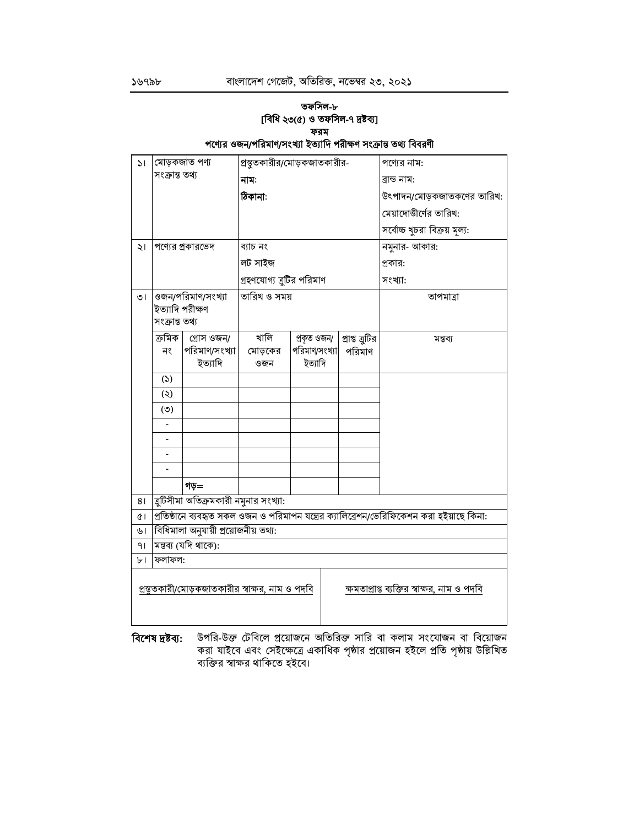## তফসিল-৮ [বিধি ২৩(৫) ও তফসিল-৭ দ্রষ্টব্য] ফরম পণ্যের ওজন/পরিমাণ/সংখ্যা ইত্যাদি পরীক্ষণ সংক্রান্ত তথ্য বিবরণী

| 51         | মোড়কজাত পণ্য                                                                                         |                                       | প্রস্থুতকারীর/মোড়কজাতকারীর- |                              |                           | পণ্যের নাম:                   |  |  |
|------------|-------------------------------------------------------------------------------------------------------|---------------------------------------|------------------------------|------------------------------|---------------------------|-------------------------------|--|--|
|            | সংক্ৰান্ত তথ্য                                                                                        |                                       | নাম:                         |                              |                           | ৱান্ড নাম:                    |  |  |
|            |                                                                                                       |                                       | ঠিকানা:                      |                              |                           | উৎপাদন/মোড়কজাতকণের তারিখ:    |  |  |
|            |                                                                                                       |                                       |                              |                              |                           | মেয়াদোত্তীর্ণের তারিখ:       |  |  |
|            |                                                                                                       |                                       |                              |                              |                           | সর্বোচ্চ খুচরা বিক্রয় মূল্য: |  |  |
| ২৷         |                                                                                                       | পণ্যের প্রকারভেদ                      | ব্যাচ নং                     |                              |                           | নমুনার- আকার:                 |  |  |
|            |                                                                                                       |                                       | লট সাইজ                      |                              |                           | প্রকার:                       |  |  |
|            |                                                                                                       |                                       | গ্রহণযোগ্য ব্রুটির পরিমাণ    |                              |                           | সংখ্যা:                       |  |  |
| ৩।         |                                                                                                       | ওজন/পরিমাণ/সংখ্যা                     | তারিখ ও সময়                 |                              |                           | তাপমাত্রা                     |  |  |
|            | ইত্যাদি পরীক্ষণ<br>সংক্ৰান্ত তথ্য                                                                     |                                       |                              |                              |                           |                               |  |  |
|            | ক্ৰমিক                                                                                                |                                       | খালি                         |                              |                           |                               |  |  |
|            | নং                                                                                                    | গ্ৰোস ওজন/<br>পরিমাণ/সংখ্যা           | মোড়কের                      | প্ৰকৃত ওজন/<br>পরিমাণ/সংখ্যা | প্ৰাপ্ত ত্ৰুটির<br>পরিমাণ | মন্তব্য                       |  |  |
|            |                                                                                                       | ইত্যাদি                               | ওজন                          | ইত্যাদি                      |                           |                               |  |  |
|            | (5)                                                                                                   |                                       |                              |                              |                           |                               |  |  |
|            | $(\zeta)$                                                                                             |                                       |                              |                              |                           |                               |  |  |
|            | (°)                                                                                                   |                                       |                              |                              |                           |                               |  |  |
|            |                                                                                                       |                                       |                              |                              |                           |                               |  |  |
|            |                                                                                                       |                                       |                              |                              |                           |                               |  |  |
|            |                                                                                                       |                                       |                              |                              |                           |                               |  |  |
|            |                                                                                                       |                                       |                              |                              |                           |                               |  |  |
|            |                                                                                                       | গড়=                                  |                              |                              |                           |                               |  |  |
| 81         |                                                                                                       | ব্রুটিসীমা অতিক্রমকারী নমুনার সংখ্যা: |                              |                              |                           |                               |  |  |
| $\alpha$   | প্রতিষ্ঠানে ব্যবহৃত সকল ওজন ও পরিমাপন যন্ত্রের ক্যালিব্রেশন/ভেরিফিকেশন করা হইয়াছে কিনা:              |                                       |                              |                              |                           |                               |  |  |
| $\sqrt{2}$ | বিধিমালা অনুযায়ী প্রয়োজনীয় তথ্য:                                                                   |                                       |                              |                              |                           |                               |  |  |
| 41         | মন্তব্য (যদি থাকে):                                                                                   |                                       |                              |                              |                           |                               |  |  |
| ৮।         | ফলাফল:                                                                                                |                                       |                              |                              |                           |                               |  |  |
|            | <u>প্রস্থুতকারী/মোড়কজাতকারীর স্বাক্ষর, নাম ও পদবি</u><br>ক্ষমতাপ্রাপ্ত ব্যক্তির স্বাক্ষর, নাম ও পদবি |                                       |                              |                              |                           |                               |  |  |

উপরি-উক্ত টেবিলে প্রয়োজনে অতিরিক্ত সারি বা কলাম সংযোজন বা বিয়োজন বিশেষ দ্ৰষ্টব্য: করা যাইবে এবং সেইক্ষেত্রে একাধিক পৃষ্ঠার প্রয়োজন হইলে প্রতি পৃষ্ঠায় উল্লিখিত<br>ব্যক্তির স্বাক্ষর থাকিতে হইবে।

১৬৭৯৮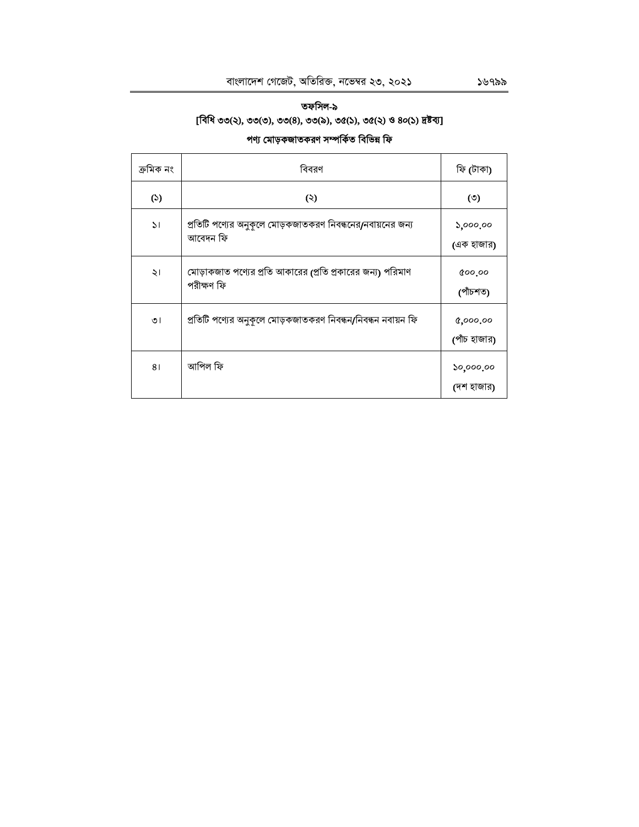## তফসিল-৯ [বিধি ৩৩(২), ৩৩(৩), ৩৩(৪), ৩৩(৯), ৩৫(১), ৩৫(২) ও ৪০(১) দ্রষ্টব্য]

## পণ্য মোড়কজাতকরণ সম্পর্কিত বিভিন্ন ফি

| ক্ৰমিক নং     | বিবরণ                                                                    | ফি (টাকা)                |
|---------------|--------------------------------------------------------------------------|--------------------------|
| (5)           | (3)                                                                      | $\circ$                  |
| $\mathcal{L}$ | প্রতিটি পণ্যের অনুকূলে মোড়কজাতকরণ নিবন্ধনের/নবায়নের জন্য<br>আবেদন ফি   | ১,০০০.০০<br>(এক হাজার)   |
| ২।            | মোড়াকজাত পণ্যের প্রতি আকারের (প্রতি প্রকারের জন্য) পরিমাণ<br>পরীক্ষণ ফি | 800.00<br>(পাঁচশত)       |
| ৩।            | প্রতিটি পণ্যের অনুকূলে মোড়কজাতকরণ নিবন্ধন/নিবন্ধন নবায়ন ফি             | 0,000,00<br>(পাঁচ হাজার) |
| 81            | আপিল ফি                                                                  | ১০,০০০.০০<br>(দশ হাজার)  |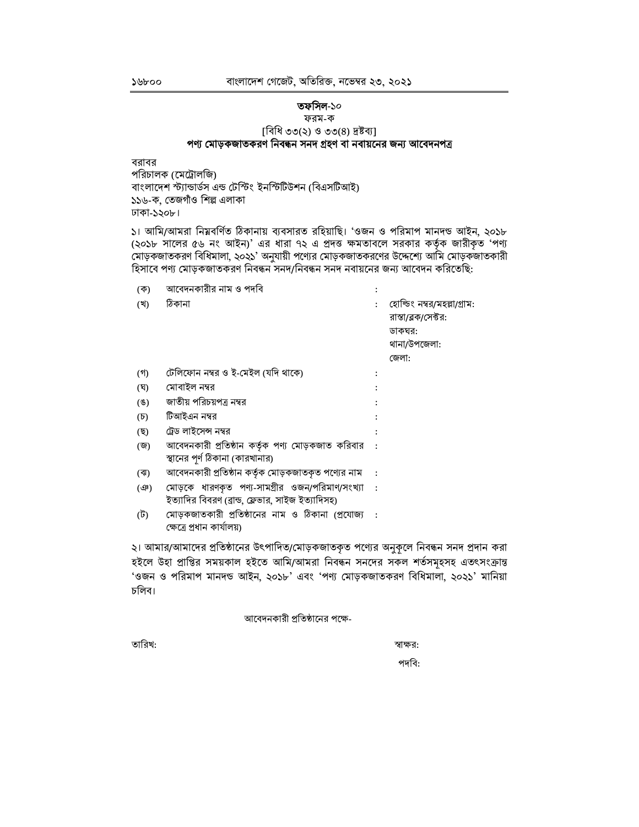#### ১৬৮০০

## তফসিল-১০

## ফরম-ক

## [বিধি ৩৩(২) ও ৩৩(৪) দ্রষ্টব্য] পণ্য মোড়কজাতকরণ নিবন্ধন সনদ গ্রহণ বা নবায়নের জন্য আবেদনপত্র

বরাবর পরিচালক (মেট্রোলজি) বাংলাদেশ স্ট্যান্ডাৰ্ডস এন্ড টেস্টিং ইনস্টিটিউশন (বিএসটিআই) ১১৬-ক, তেজগাঁও শিল্প এলাকা ঢাকা-১২০৮।

১। আমি/আমরা নিম্নবর্ণিত ঠিকানায় ব্যবসারত রহিয়াছি। 'ওজন ও পরিমাপ মানদন্ড আইন, ২০১৮ (২০১৮ সালের ৫৬ নং আইন)' এর ধারা ৭২ এ প্রদত্ত ক্ষমতাবলে সরকার কর্তৃক জারীকৃত 'পণ্য মোড়কজাতকরণ বিধিমালা, ২০২১' অনুযায়ী পণ্যের মোড়কজাতকরণের উদ্দেশ্যে আমি মোড়কজাতকারী হিসাবে পণ্য মোড়কজাতকরণ নিবন্ধন সনদ/নিবন্ধন সনদ নবায়নের জন্য আবেদন করিতেছি:

| (ক)             | আবেদনকারীর নাম ও পদবি                              |                             |
|-----------------|----------------------------------------------------|-----------------------------|
| (খ)             | ঠিকানা                                             | হোল্ডিং নম্বর/মহল্লা/গ্রাম: |
|                 |                                                    | রাস্তা/ৱক/সেক্টর:           |
|                 |                                                    | ডাকঘর:                      |
|                 |                                                    | থানা/উপজেলা:                |
|                 |                                                    | জেলা:                       |
| (গ)             | টেলিফোন নম্বর ও ই-মেইল (যদি থাকে)                  |                             |
| (ঘ)             | মোবাইল নম্বর                                       |                             |
| (8)             | জাতীয় পরিচয়পত্র নম্বর                            |                             |
| $(\mathcal{D})$ | টিআইএন নম্বর                                       |                             |
| (ছ)             | ট্রেড লাইসেন্স নম্বর                               |                             |
| (জ)             | আবেদনকারী প্রতিষ্ঠান কর্তৃক পণ্য মোড়কজাত করিবার   |                             |
|                 | স্থানের পূর্ণ ঠিকানা (কারখানার)                    |                             |
| (ঝ)             | আবেদনকারী প্রতিষ্ঠান কর্তৃক মোড়কজাতকৃত পণ্যের নাম |                             |
| $(\mathcal{P})$ | মোড়কে ধারণকৃত পণ্য-সামগ্রীর ওজন/পরিমাণ/সংখ্যা :   |                             |
|                 | ইত্যাদির বিবরণ (ব্রান্ড, ফ্লেভার, সাইজ ইত্যাদিসহ)  |                             |
| (ট)             | মোড়কজাতকারী প্রতিষ্ঠানের নাম ও ঠিকানা (প্রযোজ্য : |                             |
|                 | ক্ষেত্রে প্রধান কার্যালয়)                         |                             |

২। আমার/আমাদের প্রতিষ্ঠানের উৎপাদিত/মোড়কজাতকৃত পণ্যের অনুকূলে নিবন্ধন সনদ প্রদান করা হইলে উহা প্রাপ্তির সময়কাল হইতে আমি/আমরা নিবন্ধন সনদের সকল শর্তসমূহসহ এতৎসংক্রান্ত 'ওজন ও পরিমাপ মানদন্ড আইন, ২০১৮' এবং 'পণ্য মোড়কজাতকরণ বিধিমালা, ২০২১' মানিয়া চলিব।

## আবেদনকারী প্রতিষ্ঠানের পক্ষে-

তারিখ:

স্বাক্ষর:

পদবি: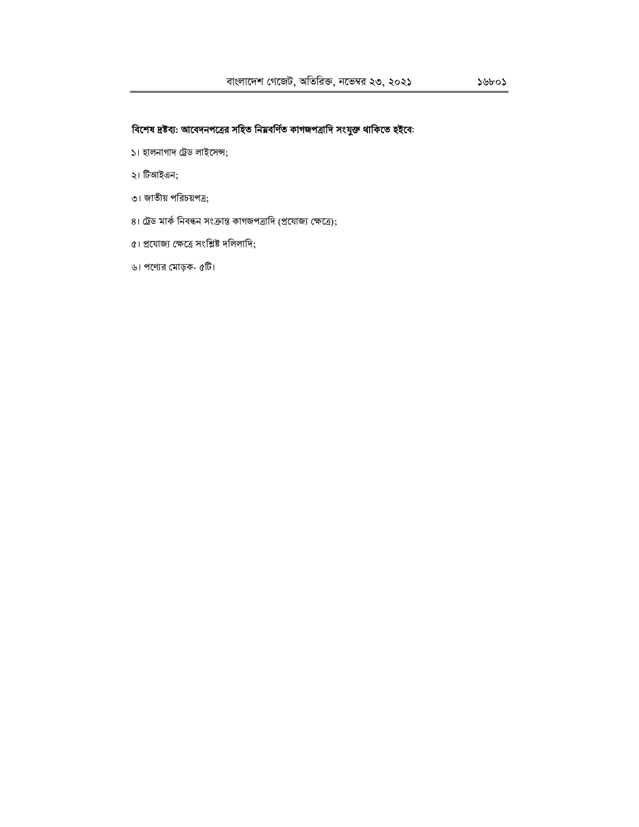- ১। হালনাগাদ ট্রেড লাইসেন্স;
- ২। টিআইএন;
- ৩। জাতীয় পরিচয়পত্র;
- ৪। ট্রেড মার্ক নিবন্ধন সংক্রান্ত কাগজপত্রাদি (প্রযোজ্য ক্ষেত্রে);
- ৫। প্রযোজ্য ক্ষেত্রে সংশ্লিষ্ট দলিলাদি;
- ৬। পণ্যের মোড়ক- ৫টি।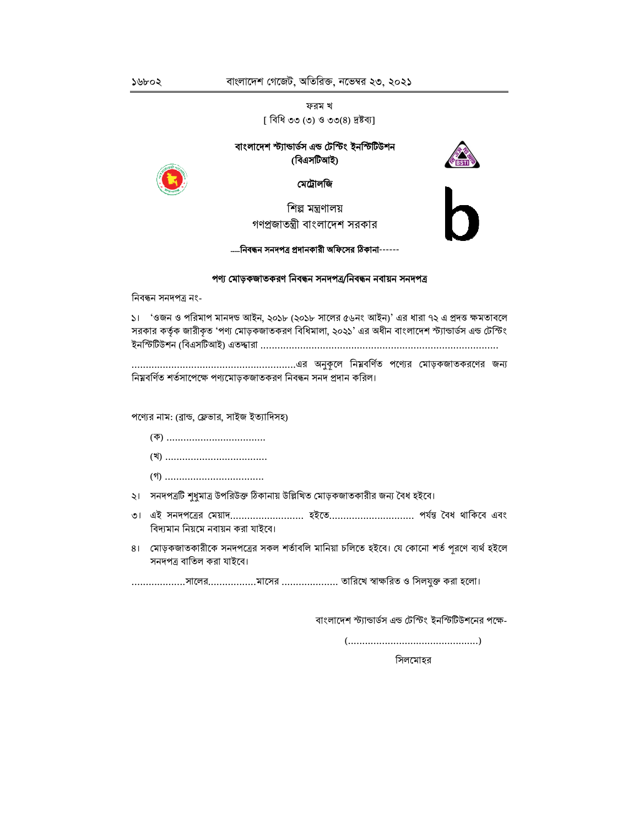ফরম খ [ বিধি ৩৩ (৩) ও ৩৩(৪) দ্রষ্টব্য]

## বাংলাদেশ স্ট্যান্ডাৰ্ডস এন্ড টেস্টিং ইনস্টিটিউশন (বিএসটিআই)





মেট্রালজি

শিল্প মন্ত্রণালয় গণপ্রজাতন্ত্রী বাংলাদেশ সরকার

----নিবন্ধন সনদপত্র প্রদানকারী অফিসের ঠিকানা------

## পণ্য মোড়কজাতকরণ নিবন্ধন সনদপত্র/নিবন্ধন নবায়ন সনদপত্র

নিবন্ধন সনদপত্ৰ নং-

১। 'ওজন ও পরিমাপ মানদন্ড আইন, ২০১৮ (২০১৮ সালের ৫৬নং আইন)' এর ধারা ৭২ এ প্রদত্ত ক্ষমতাবলে সরকার কর্তৃক জারীকৃত 'পণ্য মোড়কজাতকরণ বিধিমালা, ২০২১' এর অধীন বাংলাদেশ স্ট্যান্ডার্ডস এন্ড টেস্টিং ইনস্টিটিউশন (বিএসটিআই) এতদ্বারা ………………………………………………………………………………………

নিম্নবর্ণিত শর্তসাপেক্ষে পণ্যমোড়কজাতকরণ নিবন্ধন সনদ প্রদান করিল।

পণ্যের নাম: (ব্রান্ড, ফ্লেভার, সাইজ ইত্যাদিসহ)

- ২। সনদপত্রটি শুধুমাত্র উপরিউক্ত ঠিকানায় উল্লিখিত মোড়কজাতকারীর জন্য বৈধ হইবে।
- ৩। এই সনদপত্রের মেয়াদ.......................... হইতে............................ পর্যন্ত বৈধ থাকিবে এবং বিদ্যমান নিয়মে নবায়ন করা যাইবে।
- ৪। মোড়কজাতকারীকে সনদপত্রের সকল শর্তাবলি মানিয়া চলিতে হইবে। যে কোনো শর্ত পরণে ব্যর্থ হইলে সনদপত্র বাতিল করা যাইবে।

...................সালের...................মাসের ..................... তারিখে স্বাক্ষরিত ও সিলযুক্ত করা হলো।

বাংলাদেশ স্ট্যান্ডার্ডস এন্ড টেস্টিং ইনস্টিটিউশনের পক্ষে-

সিলমোহর